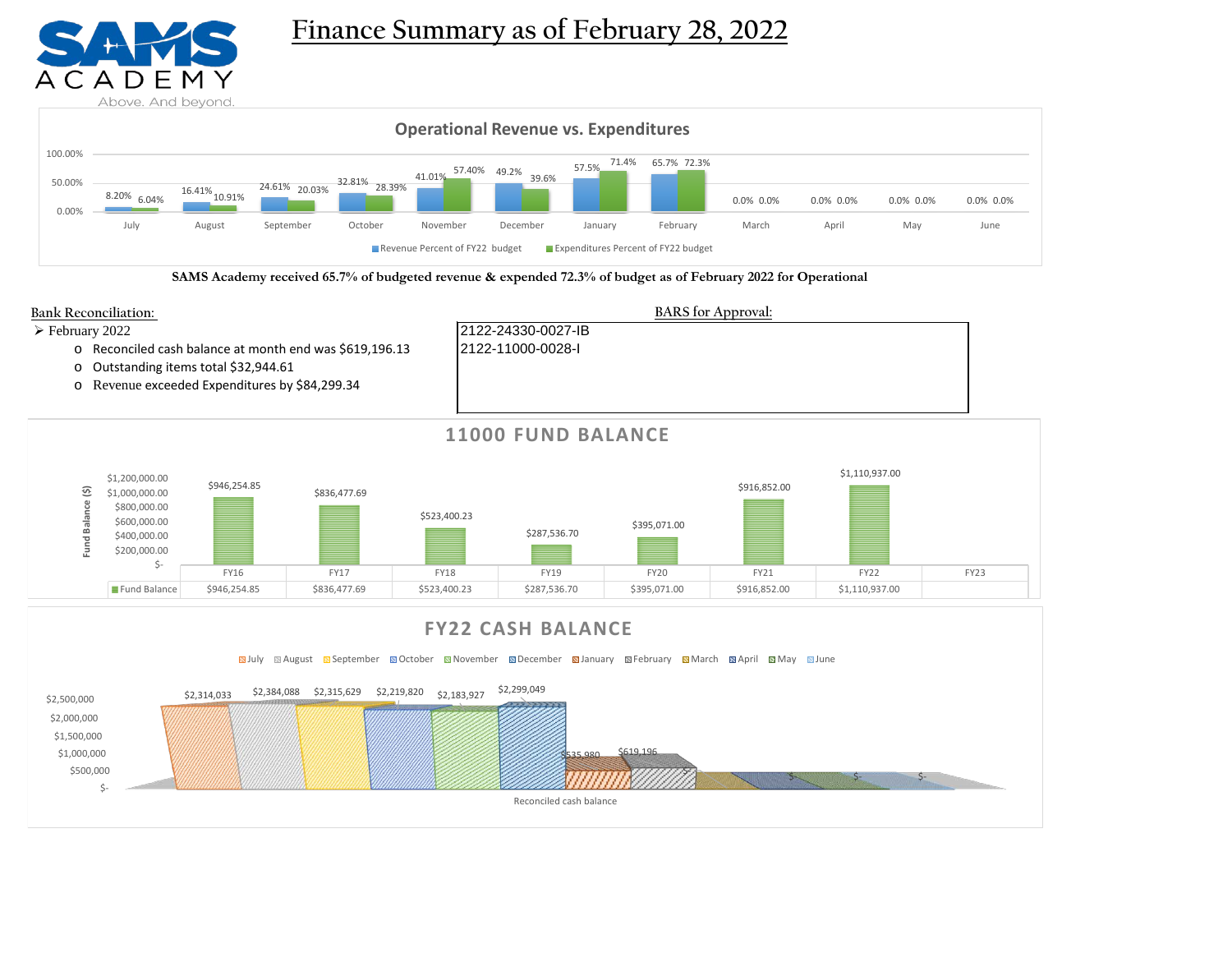

# **Finance Summary as of February 28, 2022**



**SAMS Academy received 65.7% of budgeted revenue & expended 72.3% of budget as of February 2022 for Operational**



**Sauly Saugust September Soctober Soldwember Solder Stanuary September Stanuary Standard April Solday Stune** 

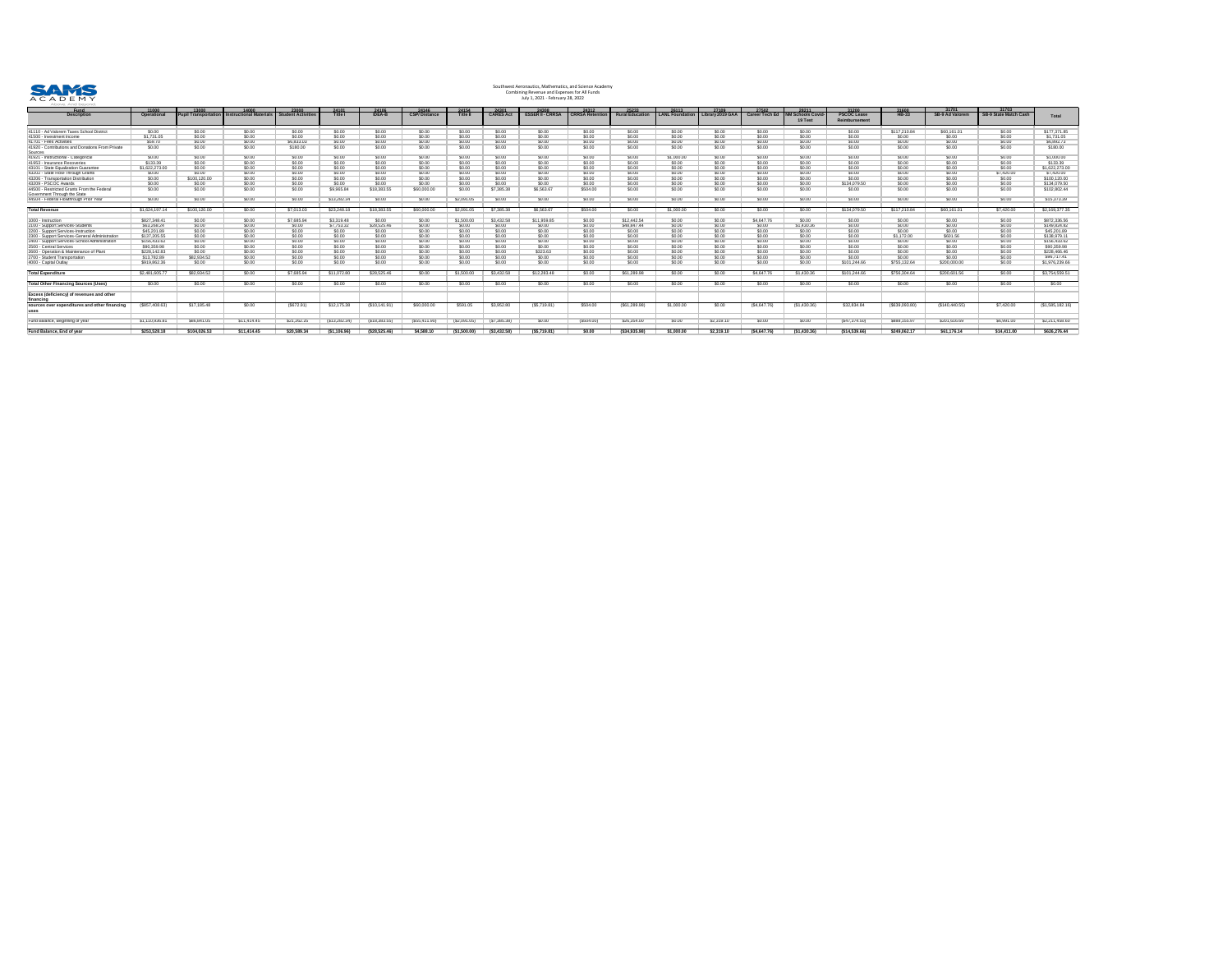

| <u>Fund</u>                                                   | 11000          | 13000                       |                                | 23000            | <u> 24101 </u> | 24106         | 24146               | 24154           | 24301            | 24308                   | 24312                  | <u>25233</u>           | 26113           | <u>27109</u>     | 27502                 | 28211               | 31200              | 31600            | 31701                  | 31703                        |                  |
|---------------------------------------------------------------|----------------|-----------------------------|--------------------------------|------------------|----------------|---------------|---------------------|-----------------|------------------|-------------------------|------------------------|------------------------|-----------------|------------------|-----------------------|---------------------|--------------------|------------------|------------------------|------------------------------|------------------|
| <b>Description</b>                                            | <b>Operati</b> | <b>Pupil Transportation</b> | <b>Instructional Materials</b> | udent Activities | <b>Title I</b> | <b>IDEA-B</b> | <b>CSP/Distance</b> | <b>Title II</b> | <b>CARES Act</b> | <b>ESSER II - CRRS/</b> | <b>CRRSA Retention</b> | <b>Rural Education</b> | LANL Foundation | Library 2019 GAA | <b>Career Tech Ed</b> | <b>Schools Covi</b> | <b>PSCOC Lease</b> | <b>HB-33</b>     | <b>SB-9 Ad Valorem</b> | <b>SB-9 State Match Cash</b> | <b>Total</b>     |
|                                                               |                |                             |                                |                  |                |               |                     |                 |                  |                         |                        |                        |                 |                  |                       | <b>19 Test</b>      | Reimbursement      |                  |                        |                              |                  |
| 41110 - Ad Valorem Taxes School District                      | \$0.00         | \$0.00                      | \$0.00                         | \$0.00           | \$0.00         | \$0.00        | \$0.00              | \$0.00          | \$0.00           | \$0.00                  | \$0.00                 | \$0.00                 | \$0.00          | \$0.00           | \$0.00                | \$0.00              | \$0.00             | \$117,210.84     | \$60,161.01            | \$0.00                       | \$177,371.85     |
| 41500 - Investment Income                                     | \$1,731.0.     |                             |                                |                  | \$0.00         |               |                     |                 |                  |                         |                        |                        |                 |                  | \$0.00                |                     | \$0.00             | \$0.00           | \$0.00                 | \$0.00                       | \$1,731.05       |
| $ 41701 -$ Fees Activities                                    | \$59.70        | SN 00                       |                                | \$6,833.0        | \$0.00         |               |                     |                 |                  |                         | \$0.00                 | 60.00                  |                 |                  | \$0.00                |                     | \$0.00             | \$0.00           |                        | \$0.00                       | \$6,892.73       |
| 41920 - Contributions and Donations From Private              | \$0.00         | \$0.00                      | \$0.00                         | \$180.00         | \$0.00         | \$0.00        | \$0.00              | \$0.00          | \$0.00           | \$0.00                  | \$0.00                 | 0.005                  | \$0.00          | \$0.00           | \$0.00                | \$0.00              | \$0.00             | \$0.00           | \$0.00                 | \$0.00                       | \$180.00         |
| Sources                                                       |                |                             |                                |                  |                |               |                     |                 |                  |                         |                        |                        |                 |                  |                       |                     |                    |                  |                        |                              |                  |
| 41921 - Instructional - Categorical                           | \$0.00         | \$0.00                      | \$0.00                         | \$0.00           | \$0.00         | \$0.00        | \$0.00              | \$0.00          | \$0.00           | \$0.00                  | \$0.00                 | \$0.00                 | \$1,000.00      | \$0.00           | \$0.00                | \$0.00              | \$0.00             | \$0.00           | \$0.00                 | \$0.00                       | \$1,000.00       |
| 41953 - Insurance Recoveries                                  | \$133.39       | \$0.00                      |                                |                  | \$0.00         |               |                     |                 | \$0.00           |                         | \$0.00                 |                        | \$0.00          |                  | \$0.00                | \$0.00              | \$0.00             | \$0.00           | \$0.00                 | \$0.00                       | \$133.39         |
| 43101 - State Equalization Guarantee                          | \$1,622,273.00 | \$0.00                      |                                | \$0.00           | \$0.00         |               |                     |                 |                  |                         | \$0.00                 |                        | \$0.00          |                  | \$0.00                |                     | \$0.00             | \$0.00           | \$0.00                 | \$0.00                       | \$1,622,273.00   |
| 43202 - State Flow-Through Grants                             | \$0.00         | \$0.00                      |                                |                  | \$0.00         |               |                     |                 |                  |                         | \$0.00                 |                        |                 |                  | \$0.00                |                     | \$0.00             | \$0.00           | \$0.00                 | \$7,420.00                   | \$7,420.00       |
| 43206 - Transportation Distribution                           | \$0.00         | \$100,120.00                | \$0.00                         |                  | \$0.00         |               | \$0.00              |                 |                  |                         | \$0.00                 |                        |                 |                  | \$0.00                | \$0.00              | \$0.00             | \$0.00           | \$0.00                 | \$0.00                       | \$100,120.00     |
| $ 43209 - PSCOC$ Awards                                       | \$0.00         | \$0.00                      | \$0.00                         | \$0.00           | \$0.00         | \$0.00        | \$0.00              | \$0.00          | \$0.00           | \$0.00                  | \$0.00                 | \$0.00                 | \$0.00          | \$0.00           | \$0.00                | \$0.00              | \$134,079.50       | \$0.00           | \$0.00                 | \$0.00                       | \$134,079.50     |
| 44500 - Restricted Grants From the Federal                    | \$0.00         | \$0.00                      | \$0.00                         |                  | \$9,965.84     | \$18,383.55   | \$60,000.0          | \$0.00          | \$7,385.38       | \$6,563.67              | \$504.00               | \$0.00                 | \$0.00          | \$0.00           | \$0.00                | \$0.00              | \$0.00             | \$0.00           | \$0.00                 | \$0.00                       | \$102,802.44     |
| Government Through the State                                  |                |                             |                                |                  |                |               |                     |                 |                  |                         |                        |                        |                 |                  |                       |                     |                    |                  |                        |                              |                  |
| 44504 - Federal Flowthrough Prior Year                        | \$0.00         | \$0.00                      | \$0.00                         | \$0.00           | \$13,282.34    | \$0.00        | \$0.00              | \$2,091.05      | \$0.00           | \$0.00                  | \$0.00                 | \$0.00                 | \$0.00          | \$0.00           | \$0.00                | \$0.00              | \$0.00             | \$0.00           | \$0.00                 | \$0.00                       | \$15,373.39      |
|                                                               |                |                             |                                |                  |                |               |                     |                 |                  |                         |                        |                        |                 |                  |                       |                     |                    |                  |                        |                              |                  |
| <b>Total Revenue</b>                                          | \$1,624,197.1  | \$100,120.00                | \$0.00                         | \$7,013.03       | \$23,248.18    | \$18,383.55   | \$60,000.00         | \$2,091.05      | \$7,385.38       | \$6,563.67              | \$504.00               | \$0.00                 | \$1,000.00      | \$0.00           | \$0.00                | \$0.00              | \$134,079.50       | \$117,210.84     | \$60,161.01            | \$7,420.00                   | \$2,169,377.35   |
| $1000$ - Instruction                                          | \$827,348.41   | \$0.00                      | \$0.00                         | \$7,685.94       | \$3,319.48     | \$0.00        | \$0.00              | \$1,500.00      | \$3,432.58       | \$11,959.85             | \$0.00                 | \$12,442.54            | \$0.00          | \$0.00           | \$4,647.76            | \$0.00              | \$0.00             | \$0.00           | \$0.00                 | \$0.00                       | \$872,336.56     |
| 2100 - Support Services-Students                              | \$63,268.24    | \$0.00                      | \$0.00                         | \$0.00           | \$7,753.32     | \$28,525.46   | \$0.00              | \$0.00          | \$0.00           | \$0.00                  | \$0.00                 | \$48,847.44            | \$0.00          | \$0.00           | \$0.00                | \$1,430.36          | \$0.00             | \$0.00           | \$0.00                 | \$0.00                       | \$149,824.82     |
| 2200 - Support Services-Instruction                           | \$45,201.89    | \$0.00                      |                                |                  | \$0.00         | 60.00         | \$0.00              | \$0.00          | \$0.00           | \$0.00                  | \$0.00                 | 0.00                   | \$0.00          | \$0.00           | \$0.00                | \$0.00              | \$0.00             | \$0.00           | \$0.00                 | \$0.00                       | \$45,201.89      |
| 2300 - Support Services-General Administration                | \$137,205.55   | \$0.00                      | \$0.00                         | \$0.00           | \$0.00         | \$0.0         | \$0.00              | \$0.00          | \$0.00           | \$0.00                  | \$0.00                 | \$0.00                 | \$0.00          | \$0.00           | \$0.00                | \$0.00              | \$0.00             | \$1,172.00       | \$601.56               | \$0.00                       | \$138,979.1'     |
| 2400 - Support Services-School Administration                 | \$156,433.62   | \$0.00                      | \$0.00                         | \$0.00           | \$0.00         |               | \$0.00              | \$0.00          |                  |                         | \$0.00                 | 60.00                  | \$0.00          | \$0.00           | \$0.00                | \$0.00              | \$0.00             | \$0.00           | \$0.00                 | \$0.00                       | \$156,433.62     |
| 2500 - Central Services                                       | \$90,359.98    | \$0.00                      | \$0.00                         | \$0.00           | \$0.00         |               | \$0.00              | 60.00           | \$0.00           |                         | \$0.00                 | 0.005                  | \$0.00          | \$0.00           | \$0.00                | \$0.00              | \$0.00             | \$0.00           | \$0.00                 | \$0.00                       | \$90,359.98      |
| 2600 - Operation & Maintenance of Plant                       | \$228,142.83   | \$0.00                      | \$0.00                         | \$0.00           | \$0.00         | \$0.00        | \$0.00              | \$0.00          | \$0.00           | \$323.63                | \$0.00                 | \$0.00                 | \$0.00          | \$0.00           | \$0.00                | \$0.00              | \$0.00             | \$0.00           | \$0.00                 | \$0.00                       | \$228,466.46     |
| 2700 - Student Transportation                                 | \$13,782.89    | \$82,934.52                 | \$0.00                         | \$0.00           | \$0.00         | \$0.00        | \$0.00              | \$0.00          |                  | \$0.00                  | \$0.00                 | 0.00                   | \$0.00          | \$0.00           | \$0.00                | \$0.00              | \$0.00             | \$0.00           | \$0.00                 | \$0.00                       | \$96,717.41      |
| $ 4000 -$ Capital Outlay                                      | \$919,862.36   | \$0.00                      | \$0.00                         |                  | \$0.00         | 60.00         | \$0.00              | 0.001           |                  | \$0.00                  | \$0.00                 | \$0.00                 | \$0.00          | \$0.00           | \$0.00                | \$0.00              | \$101,244.66       | \$755,132.64     | \$200,000.00           | \$0.00                       | \$1,976,239.66   |
| <b>Total Expenditure</b>                                      | \$2,481,605.77 | \$82,934.52                 | \$0.00                         | \$7,685.94       | \$11,072.80    | \$28,525.46   | \$0.00              | \$1,500.00      | \$3,432.58       | \$12,283.48             | \$0.00                 | \$61,289.98            | \$0.00          | \$0.00           | \$4,647.76            | \$1,430.36          | \$101,244.66       | \$756,304.64     | \$200,601.56           | \$0.00                       | \$3,754,559.51   |
| <b>Total Other Financing Sources (Uses)</b>                   | \$0.00         | \$0.00                      | \$0.00                         | \$0.00           | \$0.00         | \$0.00        | \$0.00              | \$0.00          | \$0.00           | \$0.00                  | \$0.00                 | \$0.00                 | \$0.00          | \$0.00           | \$0.00                | \$0.00              | \$0.00             | \$0.00           | \$0.00                 | \$0.00                       | \$0.00           |
|                                                               |                |                             |                                |                  |                |               |                     |                 |                  |                         |                        |                        |                 |                  |                       |                     |                    |                  |                        |                              |                  |
| <b>Excess (deficiency) of revenues and other</b><br>financing |                |                             |                                |                  |                |               |                     |                 |                  |                         |                        |                        |                 |                  |                       |                     |                    |                  |                        |                              |                  |
| sources over expenditures and other financing<br>uses         | (\$857,408.63) | \$17,185.48                 | \$0.00                         | $(\$672.91)$     | \$12,175.38    | (\$10,141.91  | \$60,000.00         | \$591.05        | \$3,952.80       | (\$5,719.81)            | \$504.00               | (\$61,289.98)          | \$1,000.00      | \$0.00           | (\$4,647.76)          | (\$1,430.36)        | \$32,834.84        | $(\$639,093.80)$ | (\$140,440.55)         | \$7,420.00                   | (\$1,585,182.16) |
| Fund Balance, Beginning of year                               | \$1,110,936.81 | \$86,841.05                 | \$11,414.45                    | \$21,262.25      | (\$13,282.34)  | (\$18,383.55  | (\$55,411.90)       | (\$2,091.05     | $(\$7,385.38)$   | \$0.00                  | (\$504.00)             | \$26,354.00            | \$0.00          | \$2,319.10       | \$0.00                | \$0.00              | $(\$47,374.50)$    | \$888,155.97     | \$201,616.69           | \$6,991.00                   | \$2,211,458.60   |
| <b>Fund Balance, End of year</b>                              | \$253,528.18   | \$104,026.53                | \$11,414.45                    | \$20,589.34      | ( \$1,106.96)  | (\$28,525.46  | \$4,588.10          | (\$1,500.00)    | (\$3,432.58)     | (\$5,719.81)            | \$0.00                 | $($ \$34,935.98)       | \$1,000.00      | \$2,319.10       | (\$4,647.76)          | (\$1,430.36)        | (\$14,539.66)      | \$249,062.17     | \$61,176.14            | \$14,411.00                  | \$626,276.44     |

# Southwest Aeronautics, Mathematics, and Science Academy Combining Revenue and Expenses for All Funds July 1, 2021 - February 28, 2022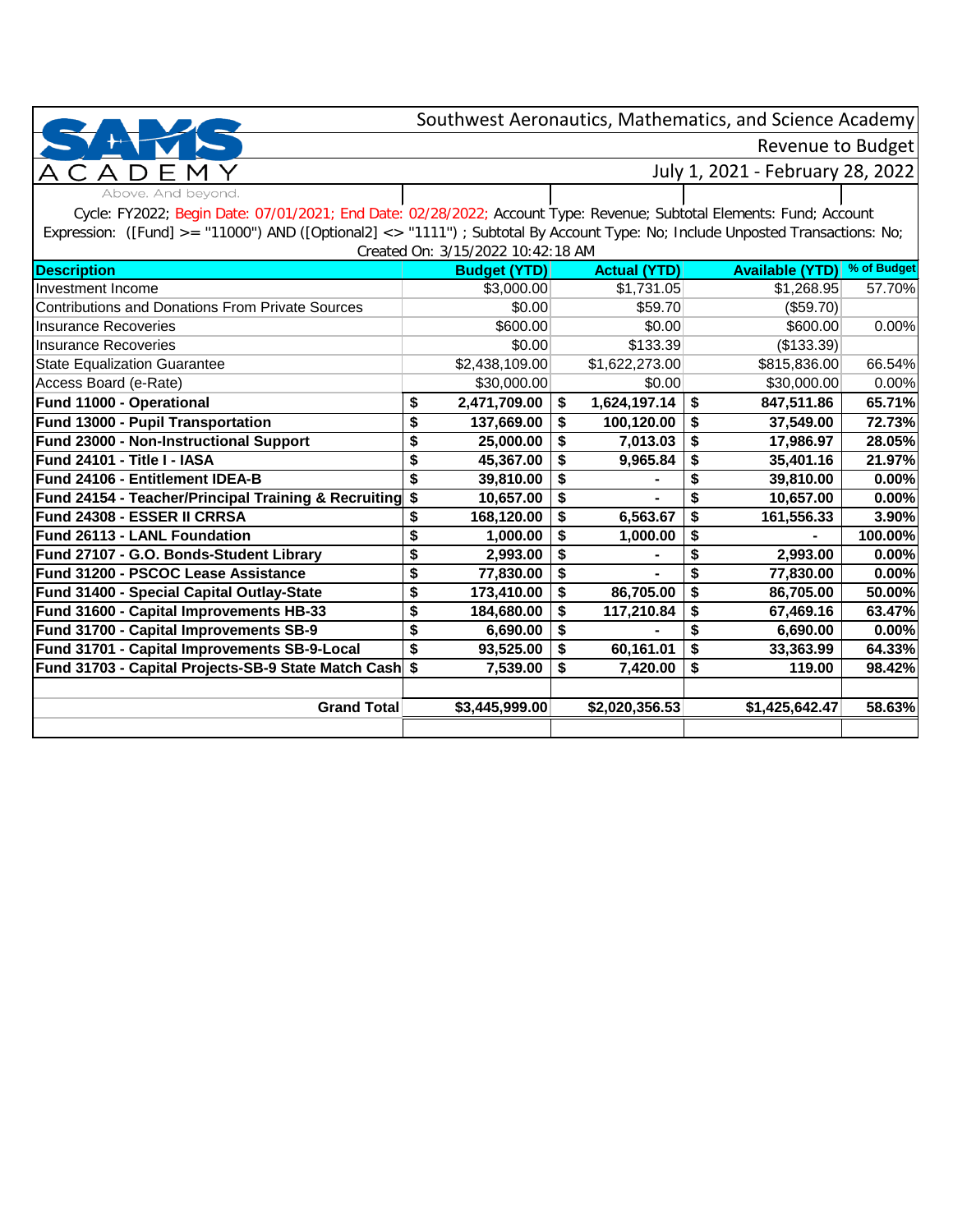Revenue to Budget

Above. And beyond.

### July 1, 2021 - February 28, 2022

Cycle: FY2022; Begin Date: 07/01/2021; End Date: 02/28/2022; Account Type: Revenue; Subtotal Elements: Fund; Account Expression: ([Fund] >= "11000") AND ([Optional2] <> "1111") ; Subtotal By Account Type: No; Include Unposted Transactions: No; Created On: 3/15/2022 10:42:18 AM

|                                                         | Cleated Off: 3/13/2022 10:42:18 AM |   |                     |    |                        |             |
|---------------------------------------------------------|------------------------------------|---|---------------------|----|------------------------|-------------|
| <b>Description</b>                                      | <b>Budget (YTD)</b>                |   | <b>Actual (YTD)</b> |    | <b>Available (YTD)</b> | % of Budget |
| Investment Income                                       | \$3,000.00                         |   | \$1,731.05          |    | \$1,268.95             | 57.70%      |
| <b>Contributions and Donations From Private Sources</b> | \$0.00                             |   | \$59.70             |    | (\$59.70)              |             |
| <b>Insurance Recoveries</b>                             | \$600.00                           |   | \$0.00              |    | \$600.00               | 0.00%       |
| <b>Insurance Recoveries</b>                             | \$0.00                             |   | \$133.39            |    | (\$133.39)             |             |
| <b>State Equalization Guarantee</b>                     | \$2,438,109.00                     |   | \$1,622,273.00      |    | \$815,836.00           | 66.54%      |
| Access Board (e-Rate)                                   | \$30,000.00                        |   | \$0.00              |    | \$30,000.00            | 0.00%       |
| Fund 11000 - Operational                                | \$<br>2,471,709.00                 |   | 1,624,197.14        | S  | 847,511.86             | 65.71%      |
| Fund 13000 - Pupil Transportation                       | \$<br>137,669.00                   |   | 100,120.00          | S  | 37,549.00              | 72.73%      |
| Fund 23000 - Non-Instructional Support                  | \$<br>25,000.00                    |   | 7,013.03            |    | 17,986.97              | 28.05%      |
| Fund 24101 - Title I - IASA                             | \$<br>45,367.00                    |   | 9,965.84            |    | 35,401.16              | 21.97%      |
| Fund 24106 - Entitlement IDEA-B                         | \$<br>39,810.00                    |   |                     |    | 39,810.00              | 0.00%       |
| Fund 24154 - Teacher/Principal Training & Recruiting \$ | 10,657.00                          |   |                     |    | 10,657.00              | 0.00%       |
| Fund 24308 - ESSER II CRRSA                             | 168,120.00                         |   | 6,563.67            | S  | 161,556.33             | 3.90%       |
| Fund 26113 - LANL Foundation                            | \$<br>1,000.00                     |   | 1,000.00            |    |                        | 100.00%     |
| Fund 27107 - G.O. Bonds-Student Library                 | \$<br>2,993.00                     |   |                     | \$ | 2,993.00               | 0.00%       |
| Fund 31200 - PSCOC Lease Assistance                     | \$<br>77,830.00                    |   |                     | \$ | 77,830.00              | 0.00%       |
| Fund 31400 - Special Capital Outlay-State               | \$<br>173,410.00                   |   | 86,705.00           | S  | 86,705.00              | 50.00%      |
| Fund 31600 - Capital Improvements HB-33                 | \$<br>184,680.00                   |   | 117,210.84          |    | 67,469.16              | 63.47%      |
| Fund 31700 - Capital Improvements SB-9                  | \$<br>6,690.00                     |   |                     |    | 6,690.00               | 0.00%       |
| Fund 31701 - Capital Improvements SB-9-Local            | \$<br>93,525.00                    |   | 60,161.01           | \$ | 33,363.99              | 64.33%      |
| Fund 31703 - Capital Projects-SB-9 State Match Cash \$  | 7,539.00                           | S | 7,420.00            | \$ | 119.00                 | 98.42%      |
|                                                         |                                    |   |                     |    |                        |             |
| Grand Total                                             | \$3,445,999.00                     |   | \$2,020,356.53      |    | \$1,425,642.47         | 58.63%      |
|                                                         |                                    |   |                     |    |                        |             |
|                                                         |                                    |   |                     |    |                        |             |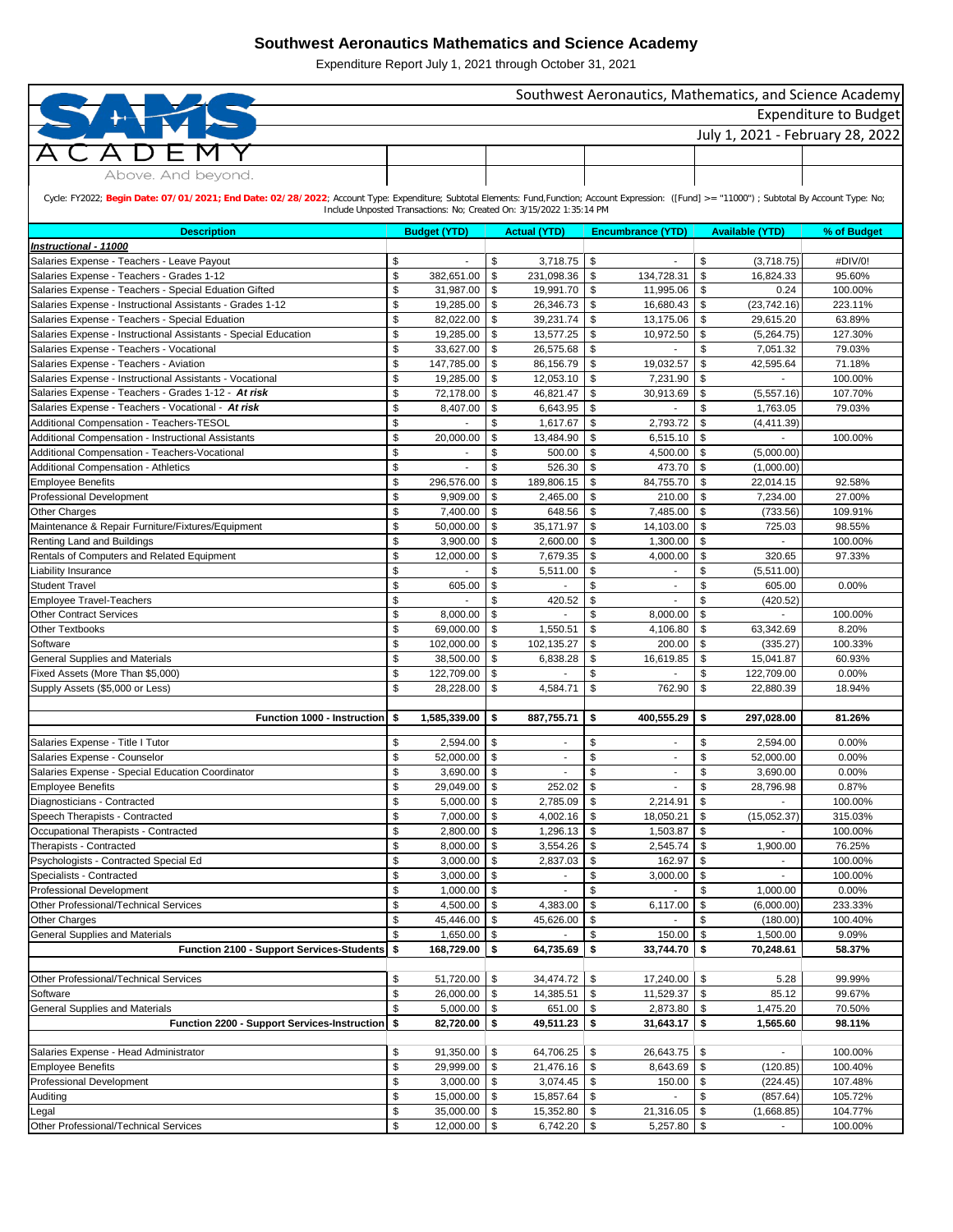| Southwest Aeronautics, Mathematics, and Science Academy                                                                                                                                           |          |                        |          |                                                                     |                                 |                          |            |                          |                  |  |  |  |  |
|---------------------------------------------------------------------------------------------------------------------------------------------------------------------------------------------------|----------|------------------------|----------|---------------------------------------------------------------------|---------------------------------|--------------------------|------------|--------------------------|------------------|--|--|--|--|
| Expenditure to Budget                                                                                                                                                                             |          |                        |          |                                                                     |                                 |                          |            |                          |                  |  |  |  |  |
| July 1, 2021 - February 28, 2022                                                                                                                                                                  |          |                        |          |                                                                     |                                 |                          |            |                          |                  |  |  |  |  |
|                                                                                                                                                                                                   |          |                        |          |                                                                     |                                 |                          |            |                          |                  |  |  |  |  |
|                                                                                                                                                                                                   |          |                        |          |                                                                     |                                 |                          |            |                          |                  |  |  |  |  |
| Above. And beyond.                                                                                                                                                                                |          |                        |          |                                                                     |                                 |                          |            |                          |                  |  |  |  |  |
| Cycle: FY2022; Begin Date: 07/01/2021; End Date: 02/28/2022; Account Type: Expenditure; Subtotal Elements: Fund,Function; Account Expression: ([Fund] >= "11000") ; Subtotal By Account Type: No; |          |                        |          |                                                                     |                                 |                          |            |                          |                  |  |  |  |  |
|                                                                                                                                                                                                   |          |                        |          | Include Unposted Transactions: No; Created On: 3/15/2022 1:35:14 PM |                                 |                          |            |                          |                  |  |  |  |  |
|                                                                                                                                                                                                   |          |                        |          |                                                                     |                                 |                          |            |                          |                  |  |  |  |  |
| <b>Description</b><br><b>Instructional - 11000</b>                                                                                                                                                |          | <b>Budget (YTD)</b>    |          | <b>Actual (YTD)</b>                                                 |                                 | <b>Encumbrance (YTD)</b> |            | <b>Available (YTD)</b>   | % of Budget      |  |  |  |  |
| Salaries Expense - Teachers - Leave Payout                                                                                                                                                        | \$       |                        | \$       | 3,718.75                                                            | \$                              |                          | \$         | (3,718.75)               | #DIV/0!          |  |  |  |  |
| Salaries Expense - Teachers - Grades 1-12                                                                                                                                                         | \$       | 382,651.00             | \$       | 231,098.36                                                          | \$                              | 134,728.31               | \$         | 16,824.33                | 95.60%           |  |  |  |  |
| Salaries Expense - Teachers - Special Eduation Gifted                                                                                                                                             | \$       | 31,987.00              | -\$      | 19,991.70                                                           | -\$                             | 11,995.06                | -\$        | 0.24                     | 100.00%          |  |  |  |  |
| Salaries Expense - Instructional Assistants - Grades 1-12                                                                                                                                         | \$       | 19,285.00              | -\$      | 26,346.73                                                           | \$                              | $16,680.43$ \$           |            | (23,742.16)              | 223.11%          |  |  |  |  |
| Salaries Expense - Teachers - Special Eduation                                                                                                                                                    | \$       | 82,022.00              | \$       | 39,231.74                                                           | \$                              | 13,175.06                | - \$       | 29,615.20                | 63.89%           |  |  |  |  |
| Salaries Expense - Instructional Assistants - Special Education                                                                                                                                   | \$       | 19,285.00              | \$       | 13,577.25                                                           | \$                              | 10,972.50                | - \$       | (5,264.75)               | 127.30%          |  |  |  |  |
| Salaries Expense - Teachers - Vocational                                                                                                                                                          | \$       | 33,627.00              | -\$      | 26,575.68                                                           | \$                              |                          | \$         | 7,051.32                 | 79.03%           |  |  |  |  |
| Salaries Expense - Teachers - Aviation                                                                                                                                                            | \$       | 147,785.00             | -\$      | 86,156.79                                                           | \$                              | 19,032.57                | \$         | 42,595.64                | 71.18%           |  |  |  |  |
| Salaries Expense - Instructional Assistants - Vocational                                                                                                                                          | \$       | 19,285.00              | -\$      | 12,053.10                                                           | \$                              | 7,231.90                 | - \$       |                          | 100.00%          |  |  |  |  |
| Salaries Expense - Teachers - Grades 1-12 - At risk                                                                                                                                               | \$       | 72,178.00              | \$       | 46,821.47                                                           | \$                              | 30,913.69                | \$         | (5,557.16)               | 107.70%          |  |  |  |  |
| Salaries Expense - Teachers - Vocational - At risk                                                                                                                                                | \$       | 8,407.00               | \$       | 6,643.95                                                            | \$                              |                          | \$         | 1,763.05                 | 79.03%           |  |  |  |  |
| Additional Compensation - Teachers-TESOL                                                                                                                                                          | \$       |                        | \$       | 1,617.67                                                            | \$                              | 2,793.72                 | \$         | (4,411.39)               |                  |  |  |  |  |
| Additional Compensation - Instructional Assistants                                                                                                                                                | \$       | 20,000.00              | \$       | 13,484.90                                                           | \$                              | 6,515.10                 | -\$        |                          | 100.00%          |  |  |  |  |
| Additional Compensation - Teachers-Vocational                                                                                                                                                     | \$       |                        | \$       | 500.00                                                              | \$                              | 4,500.00                 | - \$       | (5,000.00)               |                  |  |  |  |  |
| Additional Compensation - Athletics                                                                                                                                                               | \$       |                        | \$       | 526.30                                                              | \$                              | 473.70 $\frac{1}{3}$     |            | (1,000.00)               |                  |  |  |  |  |
| <b>Employee Benefits</b><br><b>Professional Development</b>                                                                                                                                       | \$<br>\$ | 296,576.00<br>9,909.00 | \$<br>\$ | 189,806.15<br>2,465.00                                              | \$<br>\$                        | 84,755.70<br>210.00      | \$<br>- \$ | 22,014.15<br>7,234.00    | 92.58%<br>27.00% |  |  |  |  |
| Other Charges                                                                                                                                                                                     | \$       | 7,400.00               | - \$     | 648.56                                                              | \$                              | 7,485.00                 | - \$       | (733.56)                 | 109.91%          |  |  |  |  |
| Maintenance & Repair Furniture/Fixtures/Equipment                                                                                                                                                 | \$       | 50,000.00              | -\$      | 35,171.97                                                           | \$                              | 14,103.00                | - \$       | 725.03                   | 98.55%           |  |  |  |  |
| Renting Land and Buildings                                                                                                                                                                        | \$       | 3,900.00               | -\$      | 2,600.00                                                            | \$                              | 1,300.00                 | - \$       |                          | 100.00%          |  |  |  |  |
| Rentals of Computers and Related Equipment                                                                                                                                                        | \$       | 12,000.00              | \$       | 7,679.35                                                            | \$                              | 4,000.00 $\vert$ \$      |            | 320.65                   | 97.33%           |  |  |  |  |
| Liability Insurance                                                                                                                                                                               | \$       |                        | \$       | 5,511.00                                                            | \$                              |                          | S          | (5,511.00)               |                  |  |  |  |  |
| <b>Student Travel</b>                                                                                                                                                                             | \$       | 605.00                 | \$       |                                                                     | \$                              |                          | £.         | 605.00                   | 0.00%            |  |  |  |  |
| <b>Employee Travel-Teachers</b>                                                                                                                                                                   | \$       |                        | \$       | 420.52                                                              | \$                              |                          | \$         | (420.52)                 |                  |  |  |  |  |
| <b>Other Contract Services</b>                                                                                                                                                                    | \$       | 8,000.00               | \$       |                                                                     | \$                              | 8,000.00                 | - \$       |                          | 100.00%          |  |  |  |  |
| <b>Other Textbooks</b>                                                                                                                                                                            | \$       | 69,000.00              | \$       | 1,550.51                                                            | $\boldsymbol{\mathsf{S}}$       | 4,106.80                 | \$         | 63,342.69                | 8.20%            |  |  |  |  |
| Software                                                                                                                                                                                          | \$       | 102,000.00             | \$       | 102,135.27                                                          | \$                              | 200.00                   | - \$       | (335.27)                 | 100.33%          |  |  |  |  |
| <b>General Supplies and Materials</b>                                                                                                                                                             | \$       | 38,500.00              | -\$      | 6,838.28                                                            | \$                              | 16,619.85                | \$         | 15,041.87                | 60.93%           |  |  |  |  |
| Fixed Assets (More Than \$5,000)                                                                                                                                                                  | \$       | 122,709.00             | \$       |                                                                     | \$                              |                          | \$         | 122,709.00               | 0.00%            |  |  |  |  |
| Supply Assets (\$5,000 or Less)                                                                                                                                                                   | \$       | 28,228.00              | \$       | 4,584.71                                                            | \$                              | 762.90                   | -\$        | 22,880.39                | 18.94%           |  |  |  |  |
|                                                                                                                                                                                                   |          |                        |          |                                                                     |                                 |                          |            |                          |                  |  |  |  |  |
| Function 1000 - Instruction                                                                                                                                                                       | -\$      | 1,585,339.00           | \$       | 887,755.71                                                          | \$                              | 400,555.29               | -\$        | 297,028.00               | 81.26%           |  |  |  |  |
| Salaries Expense - Title I Tutor                                                                                                                                                                  | \$       | 2,594.00               | \$       |                                                                     | $\boldsymbol{\mathsf{S}}$       | $\blacksquare$           | \$         | 2,594.00                 | 0.00%            |  |  |  |  |
| Salaries Expense - Counselor                                                                                                                                                                      | \$       | 52,000.00              | \$       |                                                                     | $\boldsymbol{\mathsf{S}}$       |                          | \$         | 52,000.00                | 0.00%            |  |  |  |  |
| Salaries Expense - Special Education Coordinator                                                                                                                                                  | \$       | 3,690.00               | \$       |                                                                     | \$                              |                          | ß.         | 3,690.00                 | 0.00%            |  |  |  |  |
| <b>Employee Benefits</b>                                                                                                                                                                          | \$       | 29,049.00              | \$       | 252.02                                                              | \$                              |                          | \$         | 28,796.98                | 0.87%            |  |  |  |  |
| Diagnosticians - Contracted                                                                                                                                                                       | \$       | 5,000.00               | \$       | 2,785.09                                                            | \$                              | 2,214.91                 | -\$        |                          | 100.00%          |  |  |  |  |
| Speech Therapists - Contracted                                                                                                                                                                    | \$       | 7,000.00               | \$       | 4,002.16                                                            | \$                              | 18,050.21                | -\$        | (15,052.37)              | 315.03%          |  |  |  |  |
| Occupational Therapists - Contracted                                                                                                                                                              | \$       | 2,800.00               | \$       | 1,296.13                                                            | \$                              | 1,503.87                 | \$         |                          | 100.00%          |  |  |  |  |
| Therapists - Contracted                                                                                                                                                                           | \$       | 8,000.00               | \$       | 3,554.26                                                            | -\$                             | 2,545.74                 | \$         | 1,900.00                 | 76.25%           |  |  |  |  |
| Psychologists - Contracted Special Ed                                                                                                                                                             | \$       | 3,000.00               | \$       | 2,837.03                                                            | \$                              | 162.97                   | \$         | $\overline{\phantom{a}}$ | 100.00%          |  |  |  |  |
| Specialists - Contracted                                                                                                                                                                          | \$       | 3,000.00               | -\$      |                                                                     | \$                              | 3,000.00                 | \$         |                          | 100.00%          |  |  |  |  |
| <b>Professional Development</b>                                                                                                                                                                   | \$<br>\$ | 1,000.00               | \$<br>\$ | 4,383.00                                                            | \$<br>$\boldsymbol{\mathsf{S}}$ |                          | \$<br>-\$  | 1,000.00                 | 0.00%<br>233.33% |  |  |  |  |
| Other Professional/Technical Services<br>Other Charges                                                                                                                                            | \$       | 4,500.00<br>45,446.00  | \$       | 45,626.00                                                           | \$                              | 6,117.00                 | \$         | (6,000.00)<br>(180.00)   | 100.40%          |  |  |  |  |
| <b>General Supplies and Materials</b>                                                                                                                                                             | \$       | 1,650.00               | -\$      |                                                                     |                                 | 150.00                   | - \$       | 1,500.00                 | 9.09%            |  |  |  |  |
| Function 2100 - Support Services-Students                                                                                                                                                         | \$       | 168,729.00             | \$       | 64,735.69                                                           | \$                              | 33,744.70                | - \$       | 70,248.61                | 58.37%           |  |  |  |  |
|                                                                                                                                                                                                   |          |                        |          |                                                                     |                                 |                          |            |                          |                  |  |  |  |  |
| Other Professional/Technical Services                                                                                                                                                             | \$       | 51,720.00              | \$       | 34,474.72                                                           | \$                              | 17,240.00 \$             |            | 5.28                     | 99.99%           |  |  |  |  |
| Software                                                                                                                                                                                          | \$       | 26,000.00              | -\$      | 14,385.51                                                           | \$                              | $11,529.37$ \$           |            | 85.12                    | 99.67%           |  |  |  |  |
| <b>General Supplies and Materials</b>                                                                                                                                                             | \$       | 5,000.00               | - \$     | 651.00                                                              | \$                              | 2,873.80                 | - \$       | 1,475.20                 | 70.50%           |  |  |  |  |
| Function 2200 - Support Services-Instruction \$                                                                                                                                                   |          | 82,720.00              | - \$     | 49,511.23                                                           | \$                              | $31,643.17$ \$           |            | 1,565.60                 | 98.11%           |  |  |  |  |
|                                                                                                                                                                                                   |          |                        |          |                                                                     |                                 |                          |            |                          |                  |  |  |  |  |
| Salaries Expense - Head Administrator                                                                                                                                                             | \$       | 91,350.00              | \$       | 64,706.25                                                           | \$                              | 26,643.75                | - \$       |                          | 100.00%          |  |  |  |  |
| <b>Employee Benefits</b>                                                                                                                                                                          | \$       | 29,999.00              | \$       | 21,476.16                                                           | -\$                             | 8,643.69                 | -\$        | (120.85)                 | 100.40%          |  |  |  |  |
| Professional Development                                                                                                                                                                          | \$       | 3,000.00               | -\$      | 3,074.45                                                            | \$                              | $150.00$ \$              |            | (224.45)                 | 107.48%          |  |  |  |  |
| Auditing                                                                                                                                                                                          | \$       | $15,000.00$ \$         |          | 15,857.64                                                           | \$                              | $\overline{\phantom{a}}$ | \$         | (857.64)                 | 105.72%          |  |  |  |  |
| Legal                                                                                                                                                                                             | \$       | $35,000.00$ \$         |          | 15,352.80                                                           | $\sqrt[6]{3}$                   | $21,316.05$ \$           |            | (1,668.85)               | 104.77%          |  |  |  |  |
| Other Professional/Technical Services                                                                                                                                                             | \$       | $12,000.00$ \$         |          | 6,742.20 $\frac{1}{2}$                                              |                                 | $5,257.80$ \$            |            |                          | 100.00%          |  |  |  |  |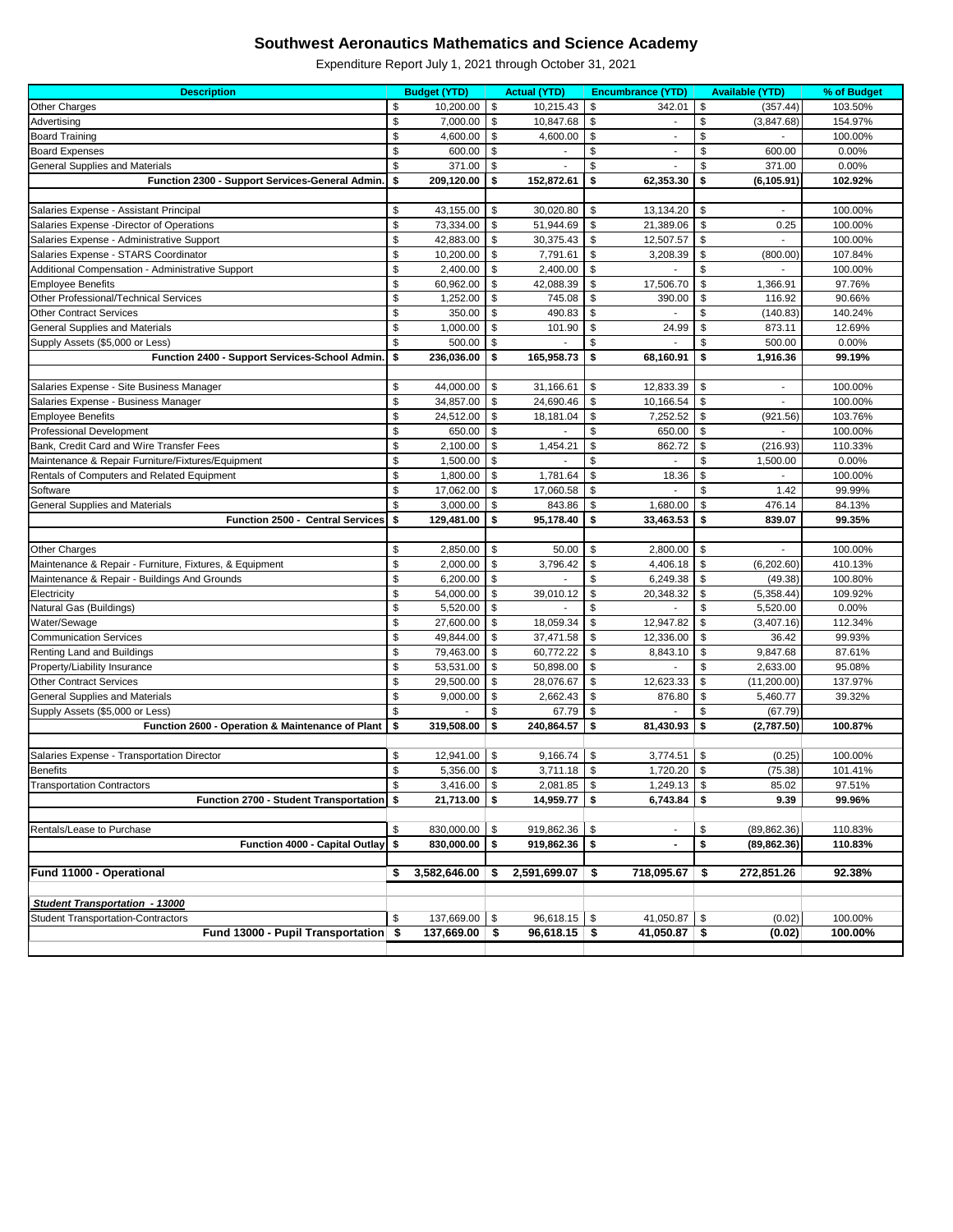| <b>Description</b>                                             |               | <b>Budget (YTD)</b>   |          | <b>Actual (YTD)</b>    |                           | <b>Encumbrance (YTD)</b> |               | <b>Available (YTD)</b>   | % of Budget      |
|----------------------------------------------------------------|---------------|-----------------------|----------|------------------------|---------------------------|--------------------------|---------------|--------------------------|------------------|
| Other Charges                                                  | \$            | 10,200.00             | \$       | 10,215.43              | \$                        | 342.01                   | \$            | (357.44)                 | 103.50%          |
| Advertising                                                    | \$            | 7,000.00              | \$       | 10,847.68              | \$                        |                          | \$            | (3,847.68)               | 154.97%          |
| <b>Board Training</b>                                          | \$            | 4,600.00              | \$       | 4,600.00               | \$                        |                          | \$            |                          | 100.00%          |
| <b>Board Expenses</b>                                          | \$            | 600.00                | \$       |                        | \$                        | $\overline{\phantom{a}}$ | \$            | 600.00                   | 0.00%            |
| <b>General Supplies and Materials</b>                          | \$            | 371.00                | \$       |                        | $\boldsymbol{\mathsf{S}}$ |                          | \$            | 371.00                   | 0.00%            |
| Function 2300 - Support Services-General Admin.                | \$            | 209,120.00            | \$       | 152,872.61             | \$                        | 62,353.30                | \$            | (6, 105.91)              | 102.92%          |
|                                                                |               |                       |          |                        |                           |                          |               |                          |                  |
| Salaries Expense - Assistant Principal                         | \$            | 43,155.00             | \$       | 30,020.80              | \$                        | 13,134.20                | \$            | ä,                       | 100.00%          |
| Salaries Expense - Director of Operations                      | \$            | 73,334.00             | \$       | 51,944.69              | \$                        | 21,389.06                | \$            | 0.25                     | 100.00%          |
| Salaries Expense - Administrative Support                      | \$            | 42,883.00             | \$       | 30,375.43              | \$                        | 12,507.57                | \$            |                          | 100.00%          |
| Salaries Expense - STARS Coordinator                           | \$            | 10,200.00             | \$       | 7,791.61               | \$                        | 3,208.39                 | \$            | (800.00)                 | 107.84%          |
| Additional Compensation - Administrative Support               | $\frac{1}{2}$ | 2,400.00              | \$       | 2,400.00               | \$                        |                          | \$            |                          | 100.00%          |
| <b>Employee Benefits</b>                                       | $\frac{1}{2}$ | 60,962.00             | \$       | 42,088.39              | $\sqrt[6]{\frac{1}{2}}$   | 17,506.70                | \$            | 1,366.91                 | 97.76%           |
| Other Professional/Technical Services                          | \$            | 1,252.00              | \$       | 745.08                 | \$                        | 390.00                   | \$            | 116.92                   | 90.66%           |
| <b>Other Contract Services</b>                                 | \$            | 350.00                | \$       | 490.83                 | $\sqrt[6]{\frac{1}{2}}$   |                          | \$            | (140.83)                 | 140.24%          |
| <b>General Supplies and Materials</b>                          | \$            | 1,000.00              | \$       | 101.90                 | \$                        | 24.99                    | \$            | 873.11                   | 12.69%           |
| Supply Assets (\$5,000 or Less)                                | \$            | 500.00                | \$       |                        | \$                        |                          | \$            | 500.00                   | 0.00%            |
| Function 2400 - Support Services-School Admin.                 | \$            | 236,036.00            | \$       | 165,958.73             | \$                        | 68,160.91                | \$            | 1,916.36                 | 99.19%           |
|                                                                |               |                       |          |                        |                           |                          |               |                          |                  |
| Salaries Expense - Site Business Manager                       | \$            | 44,000.00             | -\$      | 31,166.61              | -\$                       | 12,833.39                | \$            | $\overline{\phantom{a}}$ | 100.00%          |
| Salaries Expense - Business Manager                            | \$            | 34,857.00             | \$       | 24,690.46              | \$                        | 10,166.54                | \$            |                          | 100.00%          |
| <b>Employee Benefits</b>                                       | \$            | 24,512.00             | \$       | 18,181.04              | \$                        | 7,252.52                 | \$            | (921.56)                 | 103.76%          |
| <b>Professional Development</b>                                | $\frac{1}{2}$ | 650.00                | \$       |                        | $\boldsymbol{\mathsf{S}}$ | 650.00                   | \$            |                          | 100.00%          |
| Bank, Credit Card and Wire Transfer Fees                       | \$            | 2,100.00              | \$       | 1,454.21               | \$                        | 862.72                   | \$            | (216.93)                 | 110.33%          |
| Maintenance & Repair Furniture/Fixtures/Equipment              | \$            | 1,500.00              | -\$      |                        | \$                        |                          | <sup>\$</sup> | 1,500.00                 | 0.00%            |
| Rentals of Computers and Related Equipment                     | \$            | 1,800.00              | \$       | 1,781.64               | \$                        | 18.36                    | \$            |                          | 100.00%          |
| Software                                                       | \$            | 17,062.00             | \$       | 17,060.58              | $\boldsymbol{\mathsf{S}}$ |                          | \$            | 1.42                     | 99.99%           |
| <b>General Supplies and Materials</b>                          | \$            | 3,000.00              | \$       | 843.86                 | \$                        | 1,680.00                 | \$            | 476.14                   | 84.13%           |
| Function 2500 - Central Services                               | \$            | 129,481.00            | \$       | 95,178.40              | \$                        | 33,463.53                | \$            | 839.07                   | 99.35%           |
|                                                                |               |                       |          |                        |                           |                          |               |                          |                  |
| Other Charges                                                  | \$            | 2,850.00              | \$       | 50.00                  | \$                        | 2,800.00                 | \$            | $\blacksquare$           | 100.00%          |
| Maintenance & Repair - Furniture, Fixtures, & Equipment        | \$            | 2,000.00              | \$       | 3,796.42               | \$                        | 4,406.18                 | -\$           | (6,202.60)               | 410.13%          |
| Maintenance & Repair - Buildings And Grounds                   | \$            | 6,200.00              | \$       |                        | $\boldsymbol{\mathsf{S}}$ | 6,249.38                 | \$            | (49.38)                  | 100.80%          |
| Electricity                                                    | \$            | 54,000.00             | \$       | 39,010.12              | \$                        | 20,348.32                | \$            | (5,358.44)               | 109.92%          |
| Natural Gas (Buildings)<br>Water/Sewage                        | \$            | 5,520.00<br>27,600.00 | \$       | 18,059.34              |                           | 12,947.82                |               | 5,520.00                 | 0.00%<br>112.34% |
| <b>Communication Services</b>                                  | \$<br>\$      | 49,844.00             | \$       | 37,471.58              | \$                        | 12,336.00                | \$            | (3,407.16)<br>36.42      | 99.93%           |
| Renting Land and Buildings                                     | $\frac{1}{2}$ | 79,463.00             | \$<br>\$ | 60,772.22              | \$<br>\$                  |                          | \$            | 9,847.68                 | 87.61%           |
|                                                                | \$            | 53,531.00             |          |                        | \$                        | 8,843.10                 | \$<br>\$      | 2,633.00                 | 95.08%           |
| Property/Liability Insurance<br><b>Other Contract Services</b> | \$            | 29,500.00             | \$<br>\$ | 50,898.00<br>28,076.67 |                           | 12,623.33                | \$            | (11,200.00)              | 137.97%          |
| <b>General Supplies and Materials</b>                          | \$            | 9,000.00              | \$       | 2,662.43               | \$<br>$\frac{1}{2}$       | 876.80                   | \$            | 5,460.77                 | 39.32%           |
| Supply Assets (\$5,000 or Less)                                | \$            |                       | \$       | 67.79                  | \$                        |                          | \$            | (67.79)                  |                  |
| Function 2600 - Operation & Maintenance of Plant               | \$            | 319,508.00            | \$       | 240,864.57             | \$                        | 81,430.93                | \$            | (2,787.50)               | 100.87%          |
|                                                                |               |                       |          |                        |                           |                          |               |                          |                  |
| Salaries Expense - Transportation Director                     | \$            | 12,941.00             | \$       | 9,166.74               | \$                        | 3,774.51                 | \$            | (0.25)                   | 100.00%          |
| <b>Benefits</b>                                                | \$            | 5,356.00              | \$       | 3,711.18               | \$                        | 1,720.20                 | \$            | (75.38)                  | 101.41%          |
| <b>Transportation Contractors</b>                              | \$            | 3,416.00              | \$       | 2,081.85               | $\sqrt[6]{3}$             | 1,249.13                 | \$            | 85.02                    | 97.51%           |
| Function 2700 - Student Transportation \$                      |               | 21,713.00             | \$       | 14,959.77              | \$                        | 6,743.84                 | \$            | 9.39                     | 99.96%           |
|                                                                |               |                       |          |                        |                           |                          |               |                          |                  |
| Rentals/Lease to Purchase                                      | \$            | 830,000.00            | \$       | 919,862.36             | \$                        | $\overline{\phantom{a}}$ | \$            | (89, 862.36)             | 110.83%          |
| Function 4000 - Capital Outlay \$                              |               | 830,000.00            | \$       | 919,862.36             | \$                        | $\blacksquare$           | \$            | (89, 862.36)             | 110.83%          |
|                                                                |               |                       |          |                        |                           |                          |               |                          |                  |
| Fund 11000 - Operational                                       | \$            | 3,582,646.00          | 5        | 2,591,699.07           | \$                        | 718,095.67               | \$            | 272,851.26               | 92.38%           |
|                                                                |               |                       |          |                        |                           |                          |               |                          |                  |
| <b>Student Transportation - 13000</b>                          |               |                       |          |                        |                           |                          |               |                          |                  |
| <b>Student Transportation-Contractors</b>                      | \$            | 137,669.00            | -\$      | 96,618.15              | \$                        | 41,050.87                | \$            | (0.02)                   | 100.00%          |
| Fund 13000 - Pupil Transportation \$                           |               | 137,669.00            | -\$      | $96,618.15$ \$         |                           | 41,050.87 $\vert$ \$     |               | (0.02)                   | 100.00%          |
|                                                                |               |                       |          |                        |                           |                          |               |                          |                  |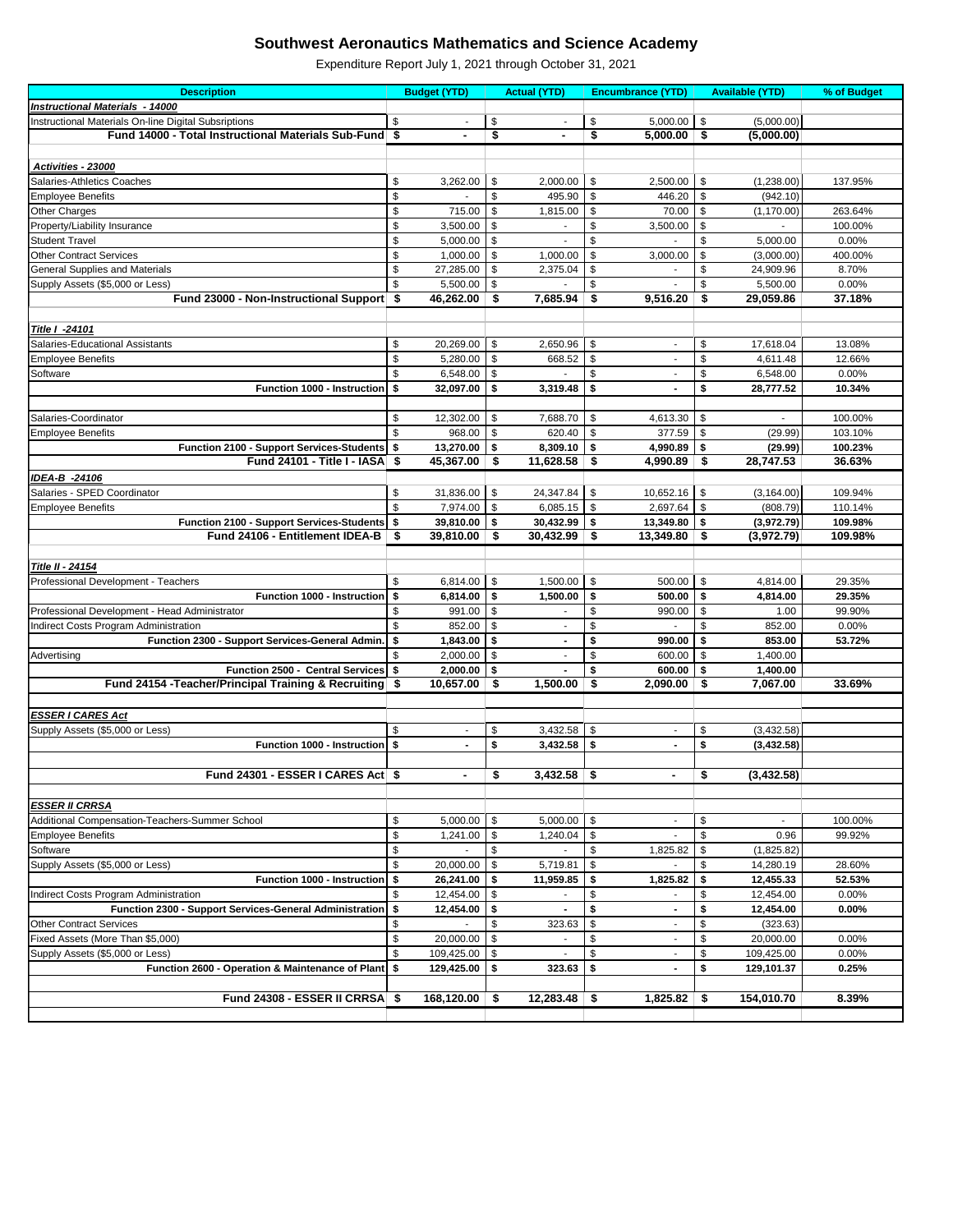| <b>Instructional Materials - 14000</b><br>Instructional Materials On-line Digital Subsriptions<br>\$<br>\$<br>\$<br>\$<br>5,000.00<br>(5,000.00)<br>\$<br>\$<br>Fund 14000 - Total Instructional Materials Sub-Fund<br>-\$<br>5,000.00<br>\$<br>(5,000.00)<br>$\blacksquare$<br>$\blacksquare$<br>Activities - 23000<br>\$<br>\$<br>\$<br>\$<br>Salaries-Athletics Coaches<br>3,262.00<br>2,000.00<br>2,500.00<br>(1,238.00)<br>137.95%<br>\$<br>\$<br>\$<br>\$<br>495.90<br>(942.10)<br><b>Employee Benefits</b><br>446.20<br>\$<br>$\boldsymbol{\mathsf{S}}$<br>Other Charges<br>715.00<br>\$<br>1,815.00<br>\$<br>70.00<br>263.64%<br>(1, 170.00)<br>\$<br>\$<br>Property/Liability Insurance<br>3,500.00<br>\$<br>\$<br>3,500.00<br>100.00%<br>\$<br>$\boldsymbol{\mathsf{S}}$<br>\$<br>\$<br><b>Student Travel</b><br>5,000.00<br>5,000.00<br>0.00%<br>\$<br>$\boldsymbol{\mathsf{S}}$<br>$\frac{1}{2}$<br><b>Other Contract Services</b><br>\$<br>1,000.00<br>1,000.00<br>3,000.00<br>(3,000.00)<br>400.00%<br>\$<br>\$<br><b>General Supplies and Materials</b><br>27,285.00<br>\$<br>\$<br>24,909.96<br>8.70%<br>2,375.04<br>\$<br>5,500.00<br>\$<br>\$<br>5,500.00<br>0.00%<br>Supply Assets (\$5,000 or Less)<br>\$<br>Fund 23000 - Non-Instructional Support \$<br>\$<br>\$<br>\$<br>37.18%<br>46,262.00<br>7,685.94<br>9,516.20<br>29,059.86<br><b>Title I -24101</b><br>\$<br>\$<br>\$<br>\$<br>Salaries-Educational Assistants<br>20,269.00<br>2,650.96<br>17,618.04<br>13.08%<br>$\blacksquare$<br>\$<br>\$<br>5,280.00<br>\$<br>668.52<br>\$<br>4,611.48<br>12.66%<br><b>Employee Benefits</b><br>\$<br>\$<br>\$<br>Software<br>6,548.00<br>\$<br>6,548.00<br>0.00%<br>\$<br>3,319.48<br>\$<br>\$<br><b>Function 1000 - Instruction \$</b><br>32,097.00<br>28,777.52<br>10.34%<br>$\blacksquare$<br>\$<br>12,302.00<br>\$<br>7,688.70<br>\$<br>\$<br>100.00%<br>Salaries-Coordinator<br>4,613.30<br>$\blacksquare$<br>\$<br>\$<br>968.00<br>620.40<br>\$<br>377.59<br>103.10%<br><b>Employee Benefits</b><br>\$<br>(29.99)<br>Function 2100 - Support Services-Students \$<br>13,270.00<br>8,309.10<br>4,990.89<br>-\$<br>\$<br>(29.99)<br>100.23%<br>\$<br>\$<br>Fund 24101 - Title I - IASA \$<br>45,367.00<br>-\$<br>11,628.58<br>36.63%<br>S.<br>4,990.89<br>28,747.53<br>IDEA-B -24106<br>Salaries - SPED Coordinator<br>\$<br>31,836.00<br>\$<br>24,347.84<br>-\$<br>10,652.16<br>\$<br>109.94%<br>(3, 164.00)<br>$\mathbb{S}$<br>\$<br>7,974.00<br>\$<br>6,085.15<br>\$<br>2,697.64<br>(808.79)<br>110.14%<br><b>Employee Benefits</b><br>Function 2100 - Support Services-Students \$<br>30,432.99<br>\$<br>39,810.00<br>\$<br>\$<br>13,349.80<br>(3,972.79)<br>109.98%<br>Fund 24106 - Entitlement IDEA-B<br>\$<br>- \$<br>39,810.00<br>\$<br>30,432.99<br>\$<br>13,349.80<br>(3,972.79)<br>109.98%<br><b>Title II - 24154</b><br>6,814.00 $\vert$ \$<br>$1,500.00$   \$<br>\$<br>\$<br>500.00<br>4,814.00<br>29.35%<br>Professional Development - Teachers<br>6,814.00<br>\$<br>1,500.00<br>-\$<br>\$<br>4,814.00<br><b>Function 1000 - Instruction \$</b><br>500.00<br>29.35%<br>Professional Development - Head Administrator<br>991.00<br>\$<br>99.90%<br>\$<br>\$<br>\$<br>990.00<br>1.00<br>\$<br>852.00<br>\$<br>0.00%<br>Indirect Costs Program Administration<br>\$<br>\$.<br>852.00<br>$\overline{\phantom{a}}$<br>Function 2300 - Support Services-General Admin.<br>\$<br>1,843.00<br>\$<br>\$<br>990.00<br>\$<br>853.00<br>53.72%<br>\$<br>2,000.00<br>\$<br>Advertising<br>600.00<br>\$<br>1,400.00<br>-\$<br>Function 2500 - Central Services \$<br>2,000.00<br>- \$<br>\$<br>600.00<br>\$<br>1,400.00<br>Fund 24154 - Teacher/Principal Training & Recruiting   \$<br>$10,657.00$ \$<br>1,500.00<br>\$<br>2,090.00<br>\$<br>7,067.00<br>33.69%<br><b>ESSER I CARES Act</b><br>\$<br>3,432.58<br>\$<br>Supply Assets (\$5,000 or Less)<br>\$<br>\$<br>(3,432.58)<br>Function 1000 - Instruction \$<br>\$<br>3,432.58<br>\$<br>\$<br>(3,432.58)<br>$\blacksquare$<br>Fund 24301 - ESSER I CARES Act \$<br>$3,432.58$ \$<br>(3,432.58)<br>\$<br>\$<br>$\blacksquare$<br>$\blacksquare$<br><b>ESSER II CRRSA</b><br>Additional Compensation-Teachers-Summer School<br>\$<br>\$<br>5,000.00<br>\$<br>5,000.00<br>\$<br>100.00%<br>$\overline{\phantom{a}}$<br>$\overline{\phantom{a}}$<br>\$<br><b>Employee Benefits</b><br>1,241.00<br>\$<br>0.96<br>99.92%<br>-\$<br>1,240.04<br>\$<br>Software<br>\$<br>\$<br>1,825.82<br>\$<br>(1,825.82)<br>S<br>\$<br>Supply Assets (\$5,000 or Less)<br>\$<br>\$<br>20,000.00<br>\$<br>5,719.81<br>14,280.19<br>28.60%<br>\$<br>Function 1000 - Instruction<br>26,241.00<br>\$<br>11,959.85<br>1,825.82<br>\$<br>12,455.33<br>52.53%<br>\$<br>\$<br>\$<br>0.00%<br>Indirect Costs Program Administration<br>12,454.00<br>\$<br>\$<br>12,454.00<br>Function 2300 - Support Services-General Administration \$<br>\$<br>\$<br>12,454.00<br>\$<br>12,454.00<br>$0.00\%$<br>$\blacksquare$<br>$\sim$<br><b>Other Contract Services</b><br>\$<br>\$<br>323.63<br>\$<br>\$<br>(323.63)<br>\$<br>Fixed Assets (More Than \$5,000)<br>20,000.00<br>\$<br>\$<br>20,000.00<br>0.00%<br>\$<br>\$<br>$\boldsymbol{\mathsf{S}}$<br>109,425.00<br>\$<br>0.00%<br>Supply Assets (\$5,000 or Less)<br>109,425.00<br>Function 2600 - Operation & Maintenance of Plant   \$<br>323.63<br>0.25%<br>129,425.00<br>\$<br>\$<br>\$<br>129,101.37<br>Fund 24308 - ESSER II CRRSA \$<br>$168,120.00$ \$<br>$1,825.82$ \$<br>154,010.70<br>8.39%<br>12,283.48<br>-\$ | <b>Description</b> | <b>Budget (YTD)</b> | <b>Actual (YTD)</b> | <b>Encumbrance (YTD)</b> | <b>Available (YTD)</b> | % of Budget |
|------------------------------------------------------------------------------------------------------------------------------------------------------------------------------------------------------------------------------------------------------------------------------------------------------------------------------------------------------------------------------------------------------------------------------------------------------------------------------------------------------------------------------------------------------------------------------------------------------------------------------------------------------------------------------------------------------------------------------------------------------------------------------------------------------------------------------------------------------------------------------------------------------------------------------------------------------------------------------------------------------------------------------------------------------------------------------------------------------------------------------------------------------------------------------------------------------------------------------------------------------------------------------------------------------------------------------------------------------------------------------------------------------------------------------------------------------------------------------------------------------------------------------------------------------------------------------------------------------------------------------------------------------------------------------------------------------------------------------------------------------------------------------------------------------------------------------------------------------------------------------------------------------------------------------------------------------------------------------------------------------------------------------------------------------------------------------------------------------------------------------------------------------------------------------------------------------------------------------------------------------------------------------------------------------------------------------------------------------------------------------------------------------------------------------------------------------------------------------------------------------------------------------------------------------------------------------------------------------------------------------------------------------------------------------------------------------------------------------------------------------------------------------------------------------------------------------------------------------------------------------------------------------------------------------------------------------------------------------------------------------------------------------------------------------------------------------------------------------------------------------------------------------------------------------------------------------------------------------------------------------------------------------------------------------------------------------------------------------------------------------------------------------------------------------------------------------------------------------------------------------------------------------------------------------------------------------------------------------------------------------------------------------------------------------------------------------------------------------------------------------------------------------------------------------------------------------------------------------------------------------------------------------------------------------------------------------------------------------------------------------------------------------------------------------------------------------------------------------------------------------------------------------------------------------------------------------------------------------------------------------------------------------------------------------------------------------------------------------------------------------------------------------------------------------------------------------------------------------------------------------------------------------------------------------------------------------------------------------------------------------------------------------------------------------------------------------------------------------------------------------------------------------------------------------------------------------------------------------------------------------------------------------------------------------------------------------------------------------------------------------------------------------------------------------------------------------------------------------------------------------------------------------------------------------------------------------------------------------------------------------------------------------------------------------------------------------------------------------------------------------------------------------------------------------------------------------------------------------------------------------------------------|--------------------|---------------------|---------------------|--------------------------|------------------------|-------------|
|                                                                                                                                                                                                                                                                                                                                                                                                                                                                                                                                                                                                                                                                                                                                                                                                                                                                                                                                                                                                                                                                                                                                                                                                                                                                                                                                                                                                                                                                                                                                                                                                                                                                                                                                                                                                                                                                                                                                                                                                                                                                                                                                                                                                                                                                                                                                                                                                                                                                                                                                                                                                                                                                                                                                                                                                                                                                                                                                                                                                                                                                                                                                                                                                                                                                                                                                                                                                                                                                                                                                                                                                                                                                                                                                                                                                                                                                                                                                                                                                                                                                                                                                                                                                                                                                                                                                                                                                                                                                                                                                                                                                                                                                                                                                                                                                                                                                                                                                                                                                                                                                                                                                                                                                                                                                                                                                                                                                                                                                                                                        |                    |                     |                     |                          |                        |             |
|                                                                                                                                                                                                                                                                                                                                                                                                                                                                                                                                                                                                                                                                                                                                                                                                                                                                                                                                                                                                                                                                                                                                                                                                                                                                                                                                                                                                                                                                                                                                                                                                                                                                                                                                                                                                                                                                                                                                                                                                                                                                                                                                                                                                                                                                                                                                                                                                                                                                                                                                                                                                                                                                                                                                                                                                                                                                                                                                                                                                                                                                                                                                                                                                                                                                                                                                                                                                                                                                                                                                                                                                                                                                                                                                                                                                                                                                                                                                                                                                                                                                                                                                                                                                                                                                                                                                                                                                                                                                                                                                                                                                                                                                                                                                                                                                                                                                                                                                                                                                                                                                                                                                                                                                                                                                                                                                                                                                                                                                                                                        |                    |                     |                     |                          |                        |             |
|                                                                                                                                                                                                                                                                                                                                                                                                                                                                                                                                                                                                                                                                                                                                                                                                                                                                                                                                                                                                                                                                                                                                                                                                                                                                                                                                                                                                                                                                                                                                                                                                                                                                                                                                                                                                                                                                                                                                                                                                                                                                                                                                                                                                                                                                                                                                                                                                                                                                                                                                                                                                                                                                                                                                                                                                                                                                                                                                                                                                                                                                                                                                                                                                                                                                                                                                                                                                                                                                                                                                                                                                                                                                                                                                                                                                                                                                                                                                                                                                                                                                                                                                                                                                                                                                                                                                                                                                                                                                                                                                                                                                                                                                                                                                                                                                                                                                                                                                                                                                                                                                                                                                                                                                                                                                                                                                                                                                                                                                                                                        |                    |                     |                     |                          |                        |             |
|                                                                                                                                                                                                                                                                                                                                                                                                                                                                                                                                                                                                                                                                                                                                                                                                                                                                                                                                                                                                                                                                                                                                                                                                                                                                                                                                                                                                                                                                                                                                                                                                                                                                                                                                                                                                                                                                                                                                                                                                                                                                                                                                                                                                                                                                                                                                                                                                                                                                                                                                                                                                                                                                                                                                                                                                                                                                                                                                                                                                                                                                                                                                                                                                                                                                                                                                                                                                                                                                                                                                                                                                                                                                                                                                                                                                                                                                                                                                                                                                                                                                                                                                                                                                                                                                                                                                                                                                                                                                                                                                                                                                                                                                                                                                                                                                                                                                                                                                                                                                                                                                                                                                                                                                                                                                                                                                                                                                                                                                                                                        |                    |                     |                     |                          |                        |             |
|                                                                                                                                                                                                                                                                                                                                                                                                                                                                                                                                                                                                                                                                                                                                                                                                                                                                                                                                                                                                                                                                                                                                                                                                                                                                                                                                                                                                                                                                                                                                                                                                                                                                                                                                                                                                                                                                                                                                                                                                                                                                                                                                                                                                                                                                                                                                                                                                                                                                                                                                                                                                                                                                                                                                                                                                                                                                                                                                                                                                                                                                                                                                                                                                                                                                                                                                                                                                                                                                                                                                                                                                                                                                                                                                                                                                                                                                                                                                                                                                                                                                                                                                                                                                                                                                                                                                                                                                                                                                                                                                                                                                                                                                                                                                                                                                                                                                                                                                                                                                                                                                                                                                                                                                                                                                                                                                                                                                                                                                                                                        |                    |                     |                     |                          |                        |             |
|                                                                                                                                                                                                                                                                                                                                                                                                                                                                                                                                                                                                                                                                                                                                                                                                                                                                                                                                                                                                                                                                                                                                                                                                                                                                                                                                                                                                                                                                                                                                                                                                                                                                                                                                                                                                                                                                                                                                                                                                                                                                                                                                                                                                                                                                                                                                                                                                                                                                                                                                                                                                                                                                                                                                                                                                                                                                                                                                                                                                                                                                                                                                                                                                                                                                                                                                                                                                                                                                                                                                                                                                                                                                                                                                                                                                                                                                                                                                                                                                                                                                                                                                                                                                                                                                                                                                                                                                                                                                                                                                                                                                                                                                                                                                                                                                                                                                                                                                                                                                                                                                                                                                                                                                                                                                                                                                                                                                                                                                                                                        |                    |                     |                     |                          |                        |             |
|                                                                                                                                                                                                                                                                                                                                                                                                                                                                                                                                                                                                                                                                                                                                                                                                                                                                                                                                                                                                                                                                                                                                                                                                                                                                                                                                                                                                                                                                                                                                                                                                                                                                                                                                                                                                                                                                                                                                                                                                                                                                                                                                                                                                                                                                                                                                                                                                                                                                                                                                                                                                                                                                                                                                                                                                                                                                                                                                                                                                                                                                                                                                                                                                                                                                                                                                                                                                                                                                                                                                                                                                                                                                                                                                                                                                                                                                                                                                                                                                                                                                                                                                                                                                                                                                                                                                                                                                                                                                                                                                                                                                                                                                                                                                                                                                                                                                                                                                                                                                                                                                                                                                                                                                                                                                                                                                                                                                                                                                                                                        |                    |                     |                     |                          |                        |             |
|                                                                                                                                                                                                                                                                                                                                                                                                                                                                                                                                                                                                                                                                                                                                                                                                                                                                                                                                                                                                                                                                                                                                                                                                                                                                                                                                                                                                                                                                                                                                                                                                                                                                                                                                                                                                                                                                                                                                                                                                                                                                                                                                                                                                                                                                                                                                                                                                                                                                                                                                                                                                                                                                                                                                                                                                                                                                                                                                                                                                                                                                                                                                                                                                                                                                                                                                                                                                                                                                                                                                                                                                                                                                                                                                                                                                                                                                                                                                                                                                                                                                                                                                                                                                                                                                                                                                                                                                                                                                                                                                                                                                                                                                                                                                                                                                                                                                                                                                                                                                                                                                                                                                                                                                                                                                                                                                                                                                                                                                                                                        |                    |                     |                     |                          |                        |             |
|                                                                                                                                                                                                                                                                                                                                                                                                                                                                                                                                                                                                                                                                                                                                                                                                                                                                                                                                                                                                                                                                                                                                                                                                                                                                                                                                                                                                                                                                                                                                                                                                                                                                                                                                                                                                                                                                                                                                                                                                                                                                                                                                                                                                                                                                                                                                                                                                                                                                                                                                                                                                                                                                                                                                                                                                                                                                                                                                                                                                                                                                                                                                                                                                                                                                                                                                                                                                                                                                                                                                                                                                                                                                                                                                                                                                                                                                                                                                                                                                                                                                                                                                                                                                                                                                                                                                                                                                                                                                                                                                                                                                                                                                                                                                                                                                                                                                                                                                                                                                                                                                                                                                                                                                                                                                                                                                                                                                                                                                                                                        |                    |                     |                     |                          |                        |             |
|                                                                                                                                                                                                                                                                                                                                                                                                                                                                                                                                                                                                                                                                                                                                                                                                                                                                                                                                                                                                                                                                                                                                                                                                                                                                                                                                                                                                                                                                                                                                                                                                                                                                                                                                                                                                                                                                                                                                                                                                                                                                                                                                                                                                                                                                                                                                                                                                                                                                                                                                                                                                                                                                                                                                                                                                                                                                                                                                                                                                                                                                                                                                                                                                                                                                                                                                                                                                                                                                                                                                                                                                                                                                                                                                                                                                                                                                                                                                                                                                                                                                                                                                                                                                                                                                                                                                                                                                                                                                                                                                                                                                                                                                                                                                                                                                                                                                                                                                                                                                                                                                                                                                                                                                                                                                                                                                                                                                                                                                                                                        |                    |                     |                     |                          |                        |             |
|                                                                                                                                                                                                                                                                                                                                                                                                                                                                                                                                                                                                                                                                                                                                                                                                                                                                                                                                                                                                                                                                                                                                                                                                                                                                                                                                                                                                                                                                                                                                                                                                                                                                                                                                                                                                                                                                                                                                                                                                                                                                                                                                                                                                                                                                                                                                                                                                                                                                                                                                                                                                                                                                                                                                                                                                                                                                                                                                                                                                                                                                                                                                                                                                                                                                                                                                                                                                                                                                                                                                                                                                                                                                                                                                                                                                                                                                                                                                                                                                                                                                                                                                                                                                                                                                                                                                                                                                                                                                                                                                                                                                                                                                                                                                                                                                                                                                                                                                                                                                                                                                                                                                                                                                                                                                                                                                                                                                                                                                                                                        |                    |                     |                     |                          |                        |             |
|                                                                                                                                                                                                                                                                                                                                                                                                                                                                                                                                                                                                                                                                                                                                                                                                                                                                                                                                                                                                                                                                                                                                                                                                                                                                                                                                                                                                                                                                                                                                                                                                                                                                                                                                                                                                                                                                                                                                                                                                                                                                                                                                                                                                                                                                                                                                                                                                                                                                                                                                                                                                                                                                                                                                                                                                                                                                                                                                                                                                                                                                                                                                                                                                                                                                                                                                                                                                                                                                                                                                                                                                                                                                                                                                                                                                                                                                                                                                                                                                                                                                                                                                                                                                                                                                                                                                                                                                                                                                                                                                                                                                                                                                                                                                                                                                                                                                                                                                                                                                                                                                                                                                                                                                                                                                                                                                                                                                                                                                                                                        |                    |                     |                     |                          |                        |             |
|                                                                                                                                                                                                                                                                                                                                                                                                                                                                                                                                                                                                                                                                                                                                                                                                                                                                                                                                                                                                                                                                                                                                                                                                                                                                                                                                                                                                                                                                                                                                                                                                                                                                                                                                                                                                                                                                                                                                                                                                                                                                                                                                                                                                                                                                                                                                                                                                                                                                                                                                                                                                                                                                                                                                                                                                                                                                                                                                                                                                                                                                                                                                                                                                                                                                                                                                                                                                                                                                                                                                                                                                                                                                                                                                                                                                                                                                                                                                                                                                                                                                                                                                                                                                                                                                                                                                                                                                                                                                                                                                                                                                                                                                                                                                                                                                                                                                                                                                                                                                                                                                                                                                                                                                                                                                                                                                                                                                                                                                                                                        |                    |                     |                     |                          |                        |             |
|                                                                                                                                                                                                                                                                                                                                                                                                                                                                                                                                                                                                                                                                                                                                                                                                                                                                                                                                                                                                                                                                                                                                                                                                                                                                                                                                                                                                                                                                                                                                                                                                                                                                                                                                                                                                                                                                                                                                                                                                                                                                                                                                                                                                                                                                                                                                                                                                                                                                                                                                                                                                                                                                                                                                                                                                                                                                                                                                                                                                                                                                                                                                                                                                                                                                                                                                                                                                                                                                                                                                                                                                                                                                                                                                                                                                                                                                                                                                                                                                                                                                                                                                                                                                                                                                                                                                                                                                                                                                                                                                                                                                                                                                                                                                                                                                                                                                                                                                                                                                                                                                                                                                                                                                                                                                                                                                                                                                                                                                                                                        |                    |                     |                     |                          |                        |             |
|                                                                                                                                                                                                                                                                                                                                                                                                                                                                                                                                                                                                                                                                                                                                                                                                                                                                                                                                                                                                                                                                                                                                                                                                                                                                                                                                                                                                                                                                                                                                                                                                                                                                                                                                                                                                                                                                                                                                                                                                                                                                                                                                                                                                                                                                                                                                                                                                                                                                                                                                                                                                                                                                                                                                                                                                                                                                                                                                                                                                                                                                                                                                                                                                                                                                                                                                                                                                                                                                                                                                                                                                                                                                                                                                                                                                                                                                                                                                                                                                                                                                                                                                                                                                                                                                                                                                                                                                                                                                                                                                                                                                                                                                                                                                                                                                                                                                                                                                                                                                                                                                                                                                                                                                                                                                                                                                                                                                                                                                                                                        |                    |                     |                     |                          |                        |             |
|                                                                                                                                                                                                                                                                                                                                                                                                                                                                                                                                                                                                                                                                                                                                                                                                                                                                                                                                                                                                                                                                                                                                                                                                                                                                                                                                                                                                                                                                                                                                                                                                                                                                                                                                                                                                                                                                                                                                                                                                                                                                                                                                                                                                                                                                                                                                                                                                                                                                                                                                                                                                                                                                                                                                                                                                                                                                                                                                                                                                                                                                                                                                                                                                                                                                                                                                                                                                                                                                                                                                                                                                                                                                                                                                                                                                                                                                                                                                                                                                                                                                                                                                                                                                                                                                                                                                                                                                                                                                                                                                                                                                                                                                                                                                                                                                                                                                                                                                                                                                                                                                                                                                                                                                                                                                                                                                                                                                                                                                                                                        |                    |                     |                     |                          |                        |             |
|                                                                                                                                                                                                                                                                                                                                                                                                                                                                                                                                                                                                                                                                                                                                                                                                                                                                                                                                                                                                                                                                                                                                                                                                                                                                                                                                                                                                                                                                                                                                                                                                                                                                                                                                                                                                                                                                                                                                                                                                                                                                                                                                                                                                                                                                                                                                                                                                                                                                                                                                                                                                                                                                                                                                                                                                                                                                                                                                                                                                                                                                                                                                                                                                                                                                                                                                                                                                                                                                                                                                                                                                                                                                                                                                                                                                                                                                                                                                                                                                                                                                                                                                                                                                                                                                                                                                                                                                                                                                                                                                                                                                                                                                                                                                                                                                                                                                                                                                                                                                                                                                                                                                                                                                                                                                                                                                                                                                                                                                                                                        |                    |                     |                     |                          |                        |             |
|                                                                                                                                                                                                                                                                                                                                                                                                                                                                                                                                                                                                                                                                                                                                                                                                                                                                                                                                                                                                                                                                                                                                                                                                                                                                                                                                                                                                                                                                                                                                                                                                                                                                                                                                                                                                                                                                                                                                                                                                                                                                                                                                                                                                                                                                                                                                                                                                                                                                                                                                                                                                                                                                                                                                                                                                                                                                                                                                                                                                                                                                                                                                                                                                                                                                                                                                                                                                                                                                                                                                                                                                                                                                                                                                                                                                                                                                                                                                                                                                                                                                                                                                                                                                                                                                                                                                                                                                                                                                                                                                                                                                                                                                                                                                                                                                                                                                                                                                                                                                                                                                                                                                                                                                                                                                                                                                                                                                                                                                                                                        |                    |                     |                     |                          |                        |             |
|                                                                                                                                                                                                                                                                                                                                                                                                                                                                                                                                                                                                                                                                                                                                                                                                                                                                                                                                                                                                                                                                                                                                                                                                                                                                                                                                                                                                                                                                                                                                                                                                                                                                                                                                                                                                                                                                                                                                                                                                                                                                                                                                                                                                                                                                                                                                                                                                                                                                                                                                                                                                                                                                                                                                                                                                                                                                                                                                                                                                                                                                                                                                                                                                                                                                                                                                                                                                                                                                                                                                                                                                                                                                                                                                                                                                                                                                                                                                                                                                                                                                                                                                                                                                                                                                                                                                                                                                                                                                                                                                                                                                                                                                                                                                                                                                                                                                                                                                                                                                                                                                                                                                                                                                                                                                                                                                                                                                                                                                                                                        |                    |                     |                     |                          |                        |             |
|                                                                                                                                                                                                                                                                                                                                                                                                                                                                                                                                                                                                                                                                                                                                                                                                                                                                                                                                                                                                                                                                                                                                                                                                                                                                                                                                                                                                                                                                                                                                                                                                                                                                                                                                                                                                                                                                                                                                                                                                                                                                                                                                                                                                                                                                                                                                                                                                                                                                                                                                                                                                                                                                                                                                                                                                                                                                                                                                                                                                                                                                                                                                                                                                                                                                                                                                                                                                                                                                                                                                                                                                                                                                                                                                                                                                                                                                                                                                                                                                                                                                                                                                                                                                                                                                                                                                                                                                                                                                                                                                                                                                                                                                                                                                                                                                                                                                                                                                                                                                                                                                                                                                                                                                                                                                                                                                                                                                                                                                                                                        |                    |                     |                     |                          |                        |             |
|                                                                                                                                                                                                                                                                                                                                                                                                                                                                                                                                                                                                                                                                                                                                                                                                                                                                                                                                                                                                                                                                                                                                                                                                                                                                                                                                                                                                                                                                                                                                                                                                                                                                                                                                                                                                                                                                                                                                                                                                                                                                                                                                                                                                                                                                                                                                                                                                                                                                                                                                                                                                                                                                                                                                                                                                                                                                                                                                                                                                                                                                                                                                                                                                                                                                                                                                                                                                                                                                                                                                                                                                                                                                                                                                                                                                                                                                                                                                                                                                                                                                                                                                                                                                                                                                                                                                                                                                                                                                                                                                                                                                                                                                                                                                                                                                                                                                                                                                                                                                                                                                                                                                                                                                                                                                                                                                                                                                                                                                                                                        |                    |                     |                     |                          |                        |             |
|                                                                                                                                                                                                                                                                                                                                                                                                                                                                                                                                                                                                                                                                                                                                                                                                                                                                                                                                                                                                                                                                                                                                                                                                                                                                                                                                                                                                                                                                                                                                                                                                                                                                                                                                                                                                                                                                                                                                                                                                                                                                                                                                                                                                                                                                                                                                                                                                                                                                                                                                                                                                                                                                                                                                                                                                                                                                                                                                                                                                                                                                                                                                                                                                                                                                                                                                                                                                                                                                                                                                                                                                                                                                                                                                                                                                                                                                                                                                                                                                                                                                                                                                                                                                                                                                                                                                                                                                                                                                                                                                                                                                                                                                                                                                                                                                                                                                                                                                                                                                                                                                                                                                                                                                                                                                                                                                                                                                                                                                                                                        |                    |                     |                     |                          |                        |             |
|                                                                                                                                                                                                                                                                                                                                                                                                                                                                                                                                                                                                                                                                                                                                                                                                                                                                                                                                                                                                                                                                                                                                                                                                                                                                                                                                                                                                                                                                                                                                                                                                                                                                                                                                                                                                                                                                                                                                                                                                                                                                                                                                                                                                                                                                                                                                                                                                                                                                                                                                                                                                                                                                                                                                                                                                                                                                                                                                                                                                                                                                                                                                                                                                                                                                                                                                                                                                                                                                                                                                                                                                                                                                                                                                                                                                                                                                                                                                                                                                                                                                                                                                                                                                                                                                                                                                                                                                                                                                                                                                                                                                                                                                                                                                                                                                                                                                                                                                                                                                                                                                                                                                                                                                                                                                                                                                                                                                                                                                                                                        |                    |                     |                     |                          |                        |             |
|                                                                                                                                                                                                                                                                                                                                                                                                                                                                                                                                                                                                                                                                                                                                                                                                                                                                                                                                                                                                                                                                                                                                                                                                                                                                                                                                                                                                                                                                                                                                                                                                                                                                                                                                                                                                                                                                                                                                                                                                                                                                                                                                                                                                                                                                                                                                                                                                                                                                                                                                                                                                                                                                                                                                                                                                                                                                                                                                                                                                                                                                                                                                                                                                                                                                                                                                                                                                                                                                                                                                                                                                                                                                                                                                                                                                                                                                                                                                                                                                                                                                                                                                                                                                                                                                                                                                                                                                                                                                                                                                                                                                                                                                                                                                                                                                                                                                                                                                                                                                                                                                                                                                                                                                                                                                                                                                                                                                                                                                                                                        |                    |                     |                     |                          |                        |             |
|                                                                                                                                                                                                                                                                                                                                                                                                                                                                                                                                                                                                                                                                                                                                                                                                                                                                                                                                                                                                                                                                                                                                                                                                                                                                                                                                                                                                                                                                                                                                                                                                                                                                                                                                                                                                                                                                                                                                                                                                                                                                                                                                                                                                                                                                                                                                                                                                                                                                                                                                                                                                                                                                                                                                                                                                                                                                                                                                                                                                                                                                                                                                                                                                                                                                                                                                                                                                                                                                                                                                                                                                                                                                                                                                                                                                                                                                                                                                                                                                                                                                                                                                                                                                                                                                                                                                                                                                                                                                                                                                                                                                                                                                                                                                                                                                                                                                                                                                                                                                                                                                                                                                                                                                                                                                                                                                                                                                                                                                                                                        |                    |                     |                     |                          |                        |             |
|                                                                                                                                                                                                                                                                                                                                                                                                                                                                                                                                                                                                                                                                                                                                                                                                                                                                                                                                                                                                                                                                                                                                                                                                                                                                                                                                                                                                                                                                                                                                                                                                                                                                                                                                                                                                                                                                                                                                                                                                                                                                                                                                                                                                                                                                                                                                                                                                                                                                                                                                                                                                                                                                                                                                                                                                                                                                                                                                                                                                                                                                                                                                                                                                                                                                                                                                                                                                                                                                                                                                                                                                                                                                                                                                                                                                                                                                                                                                                                                                                                                                                                                                                                                                                                                                                                                                                                                                                                                                                                                                                                                                                                                                                                                                                                                                                                                                                                                                                                                                                                                                                                                                                                                                                                                                                                                                                                                                                                                                                                                        |                    |                     |                     |                          |                        |             |
|                                                                                                                                                                                                                                                                                                                                                                                                                                                                                                                                                                                                                                                                                                                                                                                                                                                                                                                                                                                                                                                                                                                                                                                                                                                                                                                                                                                                                                                                                                                                                                                                                                                                                                                                                                                                                                                                                                                                                                                                                                                                                                                                                                                                                                                                                                                                                                                                                                                                                                                                                                                                                                                                                                                                                                                                                                                                                                                                                                                                                                                                                                                                                                                                                                                                                                                                                                                                                                                                                                                                                                                                                                                                                                                                                                                                                                                                                                                                                                                                                                                                                                                                                                                                                                                                                                                                                                                                                                                                                                                                                                                                                                                                                                                                                                                                                                                                                                                                                                                                                                                                                                                                                                                                                                                                                                                                                                                                                                                                                                                        |                    |                     |                     |                          |                        |             |
|                                                                                                                                                                                                                                                                                                                                                                                                                                                                                                                                                                                                                                                                                                                                                                                                                                                                                                                                                                                                                                                                                                                                                                                                                                                                                                                                                                                                                                                                                                                                                                                                                                                                                                                                                                                                                                                                                                                                                                                                                                                                                                                                                                                                                                                                                                                                                                                                                                                                                                                                                                                                                                                                                                                                                                                                                                                                                                                                                                                                                                                                                                                                                                                                                                                                                                                                                                                                                                                                                                                                                                                                                                                                                                                                                                                                                                                                                                                                                                                                                                                                                                                                                                                                                                                                                                                                                                                                                                                                                                                                                                                                                                                                                                                                                                                                                                                                                                                                                                                                                                                                                                                                                                                                                                                                                                                                                                                                                                                                                                                        |                    |                     |                     |                          |                        |             |
|                                                                                                                                                                                                                                                                                                                                                                                                                                                                                                                                                                                                                                                                                                                                                                                                                                                                                                                                                                                                                                                                                                                                                                                                                                                                                                                                                                                                                                                                                                                                                                                                                                                                                                                                                                                                                                                                                                                                                                                                                                                                                                                                                                                                                                                                                                                                                                                                                                                                                                                                                                                                                                                                                                                                                                                                                                                                                                                                                                                                                                                                                                                                                                                                                                                                                                                                                                                                                                                                                                                                                                                                                                                                                                                                                                                                                                                                                                                                                                                                                                                                                                                                                                                                                                                                                                                                                                                                                                                                                                                                                                                                                                                                                                                                                                                                                                                                                                                                                                                                                                                                                                                                                                                                                                                                                                                                                                                                                                                                                                                        |                    |                     |                     |                          |                        |             |
|                                                                                                                                                                                                                                                                                                                                                                                                                                                                                                                                                                                                                                                                                                                                                                                                                                                                                                                                                                                                                                                                                                                                                                                                                                                                                                                                                                                                                                                                                                                                                                                                                                                                                                                                                                                                                                                                                                                                                                                                                                                                                                                                                                                                                                                                                                                                                                                                                                                                                                                                                                                                                                                                                                                                                                                                                                                                                                                                                                                                                                                                                                                                                                                                                                                                                                                                                                                                                                                                                                                                                                                                                                                                                                                                                                                                                                                                                                                                                                                                                                                                                                                                                                                                                                                                                                                                                                                                                                                                                                                                                                                                                                                                                                                                                                                                                                                                                                                                                                                                                                                                                                                                                                                                                                                                                                                                                                                                                                                                                                                        |                    |                     |                     |                          |                        |             |
|                                                                                                                                                                                                                                                                                                                                                                                                                                                                                                                                                                                                                                                                                                                                                                                                                                                                                                                                                                                                                                                                                                                                                                                                                                                                                                                                                                                                                                                                                                                                                                                                                                                                                                                                                                                                                                                                                                                                                                                                                                                                                                                                                                                                                                                                                                                                                                                                                                                                                                                                                                                                                                                                                                                                                                                                                                                                                                                                                                                                                                                                                                                                                                                                                                                                                                                                                                                                                                                                                                                                                                                                                                                                                                                                                                                                                                                                                                                                                                                                                                                                                                                                                                                                                                                                                                                                                                                                                                                                                                                                                                                                                                                                                                                                                                                                                                                                                                                                                                                                                                                                                                                                                                                                                                                                                                                                                                                                                                                                                                                        |                    |                     |                     |                          |                        |             |
|                                                                                                                                                                                                                                                                                                                                                                                                                                                                                                                                                                                                                                                                                                                                                                                                                                                                                                                                                                                                                                                                                                                                                                                                                                                                                                                                                                                                                                                                                                                                                                                                                                                                                                                                                                                                                                                                                                                                                                                                                                                                                                                                                                                                                                                                                                                                                                                                                                                                                                                                                                                                                                                                                                                                                                                                                                                                                                                                                                                                                                                                                                                                                                                                                                                                                                                                                                                                                                                                                                                                                                                                                                                                                                                                                                                                                                                                                                                                                                                                                                                                                                                                                                                                                                                                                                                                                                                                                                                                                                                                                                                                                                                                                                                                                                                                                                                                                                                                                                                                                                                                                                                                                                                                                                                                                                                                                                                                                                                                                                                        |                    |                     |                     |                          |                        |             |
|                                                                                                                                                                                                                                                                                                                                                                                                                                                                                                                                                                                                                                                                                                                                                                                                                                                                                                                                                                                                                                                                                                                                                                                                                                                                                                                                                                                                                                                                                                                                                                                                                                                                                                                                                                                                                                                                                                                                                                                                                                                                                                                                                                                                                                                                                                                                                                                                                                                                                                                                                                                                                                                                                                                                                                                                                                                                                                                                                                                                                                                                                                                                                                                                                                                                                                                                                                                                                                                                                                                                                                                                                                                                                                                                                                                                                                                                                                                                                                                                                                                                                                                                                                                                                                                                                                                                                                                                                                                                                                                                                                                                                                                                                                                                                                                                                                                                                                                                                                                                                                                                                                                                                                                                                                                                                                                                                                                                                                                                                                                        |                    |                     |                     |                          |                        |             |
|                                                                                                                                                                                                                                                                                                                                                                                                                                                                                                                                                                                                                                                                                                                                                                                                                                                                                                                                                                                                                                                                                                                                                                                                                                                                                                                                                                                                                                                                                                                                                                                                                                                                                                                                                                                                                                                                                                                                                                                                                                                                                                                                                                                                                                                                                                                                                                                                                                                                                                                                                                                                                                                                                                                                                                                                                                                                                                                                                                                                                                                                                                                                                                                                                                                                                                                                                                                                                                                                                                                                                                                                                                                                                                                                                                                                                                                                                                                                                                                                                                                                                                                                                                                                                                                                                                                                                                                                                                                                                                                                                                                                                                                                                                                                                                                                                                                                                                                                                                                                                                                                                                                                                                                                                                                                                                                                                                                                                                                                                                                        |                    |                     |                     |                          |                        |             |
|                                                                                                                                                                                                                                                                                                                                                                                                                                                                                                                                                                                                                                                                                                                                                                                                                                                                                                                                                                                                                                                                                                                                                                                                                                                                                                                                                                                                                                                                                                                                                                                                                                                                                                                                                                                                                                                                                                                                                                                                                                                                                                                                                                                                                                                                                                                                                                                                                                                                                                                                                                                                                                                                                                                                                                                                                                                                                                                                                                                                                                                                                                                                                                                                                                                                                                                                                                                                                                                                                                                                                                                                                                                                                                                                                                                                                                                                                                                                                                                                                                                                                                                                                                                                                                                                                                                                                                                                                                                                                                                                                                                                                                                                                                                                                                                                                                                                                                                                                                                                                                                                                                                                                                                                                                                                                                                                                                                                                                                                                                                        |                    |                     |                     |                          |                        |             |
|                                                                                                                                                                                                                                                                                                                                                                                                                                                                                                                                                                                                                                                                                                                                                                                                                                                                                                                                                                                                                                                                                                                                                                                                                                                                                                                                                                                                                                                                                                                                                                                                                                                                                                                                                                                                                                                                                                                                                                                                                                                                                                                                                                                                                                                                                                                                                                                                                                                                                                                                                                                                                                                                                                                                                                                                                                                                                                                                                                                                                                                                                                                                                                                                                                                                                                                                                                                                                                                                                                                                                                                                                                                                                                                                                                                                                                                                                                                                                                                                                                                                                                                                                                                                                                                                                                                                                                                                                                                                                                                                                                                                                                                                                                                                                                                                                                                                                                                                                                                                                                                                                                                                                                                                                                                                                                                                                                                                                                                                                                                        |                    |                     |                     |                          |                        |             |
|                                                                                                                                                                                                                                                                                                                                                                                                                                                                                                                                                                                                                                                                                                                                                                                                                                                                                                                                                                                                                                                                                                                                                                                                                                                                                                                                                                                                                                                                                                                                                                                                                                                                                                                                                                                                                                                                                                                                                                                                                                                                                                                                                                                                                                                                                                                                                                                                                                                                                                                                                                                                                                                                                                                                                                                                                                                                                                                                                                                                                                                                                                                                                                                                                                                                                                                                                                                                                                                                                                                                                                                                                                                                                                                                                                                                                                                                                                                                                                                                                                                                                                                                                                                                                                                                                                                                                                                                                                                                                                                                                                                                                                                                                                                                                                                                                                                                                                                                                                                                                                                                                                                                                                                                                                                                                                                                                                                                                                                                                                                        |                    |                     |                     |                          |                        |             |
|                                                                                                                                                                                                                                                                                                                                                                                                                                                                                                                                                                                                                                                                                                                                                                                                                                                                                                                                                                                                                                                                                                                                                                                                                                                                                                                                                                                                                                                                                                                                                                                                                                                                                                                                                                                                                                                                                                                                                                                                                                                                                                                                                                                                                                                                                                                                                                                                                                                                                                                                                                                                                                                                                                                                                                                                                                                                                                                                                                                                                                                                                                                                                                                                                                                                                                                                                                                                                                                                                                                                                                                                                                                                                                                                                                                                                                                                                                                                                                                                                                                                                                                                                                                                                                                                                                                                                                                                                                                                                                                                                                                                                                                                                                                                                                                                                                                                                                                                                                                                                                                                                                                                                                                                                                                                                                                                                                                                                                                                                                                        |                    |                     |                     |                          |                        |             |
|                                                                                                                                                                                                                                                                                                                                                                                                                                                                                                                                                                                                                                                                                                                                                                                                                                                                                                                                                                                                                                                                                                                                                                                                                                                                                                                                                                                                                                                                                                                                                                                                                                                                                                                                                                                                                                                                                                                                                                                                                                                                                                                                                                                                                                                                                                                                                                                                                                                                                                                                                                                                                                                                                                                                                                                                                                                                                                                                                                                                                                                                                                                                                                                                                                                                                                                                                                                                                                                                                                                                                                                                                                                                                                                                                                                                                                                                                                                                                                                                                                                                                                                                                                                                                                                                                                                                                                                                                                                                                                                                                                                                                                                                                                                                                                                                                                                                                                                                                                                                                                                                                                                                                                                                                                                                                                                                                                                                                                                                                                                        |                    |                     |                     |                          |                        |             |
|                                                                                                                                                                                                                                                                                                                                                                                                                                                                                                                                                                                                                                                                                                                                                                                                                                                                                                                                                                                                                                                                                                                                                                                                                                                                                                                                                                                                                                                                                                                                                                                                                                                                                                                                                                                                                                                                                                                                                                                                                                                                                                                                                                                                                                                                                                                                                                                                                                                                                                                                                                                                                                                                                                                                                                                                                                                                                                                                                                                                                                                                                                                                                                                                                                                                                                                                                                                                                                                                                                                                                                                                                                                                                                                                                                                                                                                                                                                                                                                                                                                                                                                                                                                                                                                                                                                                                                                                                                                                                                                                                                                                                                                                                                                                                                                                                                                                                                                                                                                                                                                                                                                                                                                                                                                                                                                                                                                                                                                                                                                        |                    |                     |                     |                          |                        |             |
|                                                                                                                                                                                                                                                                                                                                                                                                                                                                                                                                                                                                                                                                                                                                                                                                                                                                                                                                                                                                                                                                                                                                                                                                                                                                                                                                                                                                                                                                                                                                                                                                                                                                                                                                                                                                                                                                                                                                                                                                                                                                                                                                                                                                                                                                                                                                                                                                                                                                                                                                                                                                                                                                                                                                                                                                                                                                                                                                                                                                                                                                                                                                                                                                                                                                                                                                                                                                                                                                                                                                                                                                                                                                                                                                                                                                                                                                                                                                                                                                                                                                                                                                                                                                                                                                                                                                                                                                                                                                                                                                                                                                                                                                                                                                                                                                                                                                                                                                                                                                                                                                                                                                                                                                                                                                                                                                                                                                                                                                                                                        |                    |                     |                     |                          |                        |             |
|                                                                                                                                                                                                                                                                                                                                                                                                                                                                                                                                                                                                                                                                                                                                                                                                                                                                                                                                                                                                                                                                                                                                                                                                                                                                                                                                                                                                                                                                                                                                                                                                                                                                                                                                                                                                                                                                                                                                                                                                                                                                                                                                                                                                                                                                                                                                                                                                                                                                                                                                                                                                                                                                                                                                                                                                                                                                                                                                                                                                                                                                                                                                                                                                                                                                                                                                                                                                                                                                                                                                                                                                                                                                                                                                                                                                                                                                                                                                                                                                                                                                                                                                                                                                                                                                                                                                                                                                                                                                                                                                                                                                                                                                                                                                                                                                                                                                                                                                                                                                                                                                                                                                                                                                                                                                                                                                                                                                                                                                                                                        |                    |                     |                     |                          |                        |             |
|                                                                                                                                                                                                                                                                                                                                                                                                                                                                                                                                                                                                                                                                                                                                                                                                                                                                                                                                                                                                                                                                                                                                                                                                                                                                                                                                                                                                                                                                                                                                                                                                                                                                                                                                                                                                                                                                                                                                                                                                                                                                                                                                                                                                                                                                                                                                                                                                                                                                                                                                                                                                                                                                                                                                                                                                                                                                                                                                                                                                                                                                                                                                                                                                                                                                                                                                                                                                                                                                                                                                                                                                                                                                                                                                                                                                                                                                                                                                                                                                                                                                                                                                                                                                                                                                                                                                                                                                                                                                                                                                                                                                                                                                                                                                                                                                                                                                                                                                                                                                                                                                                                                                                                                                                                                                                                                                                                                                                                                                                                                        |                    |                     |                     |                          |                        |             |
|                                                                                                                                                                                                                                                                                                                                                                                                                                                                                                                                                                                                                                                                                                                                                                                                                                                                                                                                                                                                                                                                                                                                                                                                                                                                                                                                                                                                                                                                                                                                                                                                                                                                                                                                                                                                                                                                                                                                                                                                                                                                                                                                                                                                                                                                                                                                                                                                                                                                                                                                                                                                                                                                                                                                                                                                                                                                                                                                                                                                                                                                                                                                                                                                                                                                                                                                                                                                                                                                                                                                                                                                                                                                                                                                                                                                                                                                                                                                                                                                                                                                                                                                                                                                                                                                                                                                                                                                                                                                                                                                                                                                                                                                                                                                                                                                                                                                                                                                                                                                                                                                                                                                                                                                                                                                                                                                                                                                                                                                                                                        |                    |                     |                     |                          |                        |             |
|                                                                                                                                                                                                                                                                                                                                                                                                                                                                                                                                                                                                                                                                                                                                                                                                                                                                                                                                                                                                                                                                                                                                                                                                                                                                                                                                                                                                                                                                                                                                                                                                                                                                                                                                                                                                                                                                                                                                                                                                                                                                                                                                                                                                                                                                                                                                                                                                                                                                                                                                                                                                                                                                                                                                                                                                                                                                                                                                                                                                                                                                                                                                                                                                                                                                                                                                                                                                                                                                                                                                                                                                                                                                                                                                                                                                                                                                                                                                                                                                                                                                                                                                                                                                                                                                                                                                                                                                                                                                                                                                                                                                                                                                                                                                                                                                                                                                                                                                                                                                                                                                                                                                                                                                                                                                                                                                                                                                                                                                                                                        |                    |                     |                     |                          |                        |             |
|                                                                                                                                                                                                                                                                                                                                                                                                                                                                                                                                                                                                                                                                                                                                                                                                                                                                                                                                                                                                                                                                                                                                                                                                                                                                                                                                                                                                                                                                                                                                                                                                                                                                                                                                                                                                                                                                                                                                                                                                                                                                                                                                                                                                                                                                                                                                                                                                                                                                                                                                                                                                                                                                                                                                                                                                                                                                                                                                                                                                                                                                                                                                                                                                                                                                                                                                                                                                                                                                                                                                                                                                                                                                                                                                                                                                                                                                                                                                                                                                                                                                                                                                                                                                                                                                                                                                                                                                                                                                                                                                                                                                                                                                                                                                                                                                                                                                                                                                                                                                                                                                                                                                                                                                                                                                                                                                                                                                                                                                                                                        |                    |                     |                     |                          |                        |             |
|                                                                                                                                                                                                                                                                                                                                                                                                                                                                                                                                                                                                                                                                                                                                                                                                                                                                                                                                                                                                                                                                                                                                                                                                                                                                                                                                                                                                                                                                                                                                                                                                                                                                                                                                                                                                                                                                                                                                                                                                                                                                                                                                                                                                                                                                                                                                                                                                                                                                                                                                                                                                                                                                                                                                                                                                                                                                                                                                                                                                                                                                                                                                                                                                                                                                                                                                                                                                                                                                                                                                                                                                                                                                                                                                                                                                                                                                                                                                                                                                                                                                                                                                                                                                                                                                                                                                                                                                                                                                                                                                                                                                                                                                                                                                                                                                                                                                                                                                                                                                                                                                                                                                                                                                                                                                                                                                                                                                                                                                                                                        |                    |                     |                     |                          |                        |             |
|                                                                                                                                                                                                                                                                                                                                                                                                                                                                                                                                                                                                                                                                                                                                                                                                                                                                                                                                                                                                                                                                                                                                                                                                                                                                                                                                                                                                                                                                                                                                                                                                                                                                                                                                                                                                                                                                                                                                                                                                                                                                                                                                                                                                                                                                                                                                                                                                                                                                                                                                                                                                                                                                                                                                                                                                                                                                                                                                                                                                                                                                                                                                                                                                                                                                                                                                                                                                                                                                                                                                                                                                                                                                                                                                                                                                                                                                                                                                                                                                                                                                                                                                                                                                                                                                                                                                                                                                                                                                                                                                                                                                                                                                                                                                                                                                                                                                                                                                                                                                                                                                                                                                                                                                                                                                                                                                                                                                                                                                                                                        |                    |                     |                     |                          |                        |             |
|                                                                                                                                                                                                                                                                                                                                                                                                                                                                                                                                                                                                                                                                                                                                                                                                                                                                                                                                                                                                                                                                                                                                                                                                                                                                                                                                                                                                                                                                                                                                                                                                                                                                                                                                                                                                                                                                                                                                                                                                                                                                                                                                                                                                                                                                                                                                                                                                                                                                                                                                                                                                                                                                                                                                                                                                                                                                                                                                                                                                                                                                                                                                                                                                                                                                                                                                                                                                                                                                                                                                                                                                                                                                                                                                                                                                                                                                                                                                                                                                                                                                                                                                                                                                                                                                                                                                                                                                                                                                                                                                                                                                                                                                                                                                                                                                                                                                                                                                                                                                                                                                                                                                                                                                                                                                                                                                                                                                                                                                                                                        |                    |                     |                     |                          |                        |             |
|                                                                                                                                                                                                                                                                                                                                                                                                                                                                                                                                                                                                                                                                                                                                                                                                                                                                                                                                                                                                                                                                                                                                                                                                                                                                                                                                                                                                                                                                                                                                                                                                                                                                                                                                                                                                                                                                                                                                                                                                                                                                                                                                                                                                                                                                                                                                                                                                                                                                                                                                                                                                                                                                                                                                                                                                                                                                                                                                                                                                                                                                                                                                                                                                                                                                                                                                                                                                                                                                                                                                                                                                                                                                                                                                                                                                                                                                                                                                                                                                                                                                                                                                                                                                                                                                                                                                                                                                                                                                                                                                                                                                                                                                                                                                                                                                                                                                                                                                                                                                                                                                                                                                                                                                                                                                                                                                                                                                                                                                                                                        |                    |                     |                     |                          |                        |             |
|                                                                                                                                                                                                                                                                                                                                                                                                                                                                                                                                                                                                                                                                                                                                                                                                                                                                                                                                                                                                                                                                                                                                                                                                                                                                                                                                                                                                                                                                                                                                                                                                                                                                                                                                                                                                                                                                                                                                                                                                                                                                                                                                                                                                                                                                                                                                                                                                                                                                                                                                                                                                                                                                                                                                                                                                                                                                                                                                                                                                                                                                                                                                                                                                                                                                                                                                                                                                                                                                                                                                                                                                                                                                                                                                                                                                                                                                                                                                                                                                                                                                                                                                                                                                                                                                                                                                                                                                                                                                                                                                                                                                                                                                                                                                                                                                                                                                                                                                                                                                                                                                                                                                                                                                                                                                                                                                                                                                                                                                                                                        |                    |                     |                     |                          |                        |             |
|                                                                                                                                                                                                                                                                                                                                                                                                                                                                                                                                                                                                                                                                                                                                                                                                                                                                                                                                                                                                                                                                                                                                                                                                                                                                                                                                                                                                                                                                                                                                                                                                                                                                                                                                                                                                                                                                                                                                                                                                                                                                                                                                                                                                                                                                                                                                                                                                                                                                                                                                                                                                                                                                                                                                                                                                                                                                                                                                                                                                                                                                                                                                                                                                                                                                                                                                                                                                                                                                                                                                                                                                                                                                                                                                                                                                                                                                                                                                                                                                                                                                                                                                                                                                                                                                                                                                                                                                                                                                                                                                                                                                                                                                                                                                                                                                                                                                                                                                                                                                                                                                                                                                                                                                                                                                                                                                                                                                                                                                                                                        |                    |                     |                     |                          |                        |             |
|                                                                                                                                                                                                                                                                                                                                                                                                                                                                                                                                                                                                                                                                                                                                                                                                                                                                                                                                                                                                                                                                                                                                                                                                                                                                                                                                                                                                                                                                                                                                                                                                                                                                                                                                                                                                                                                                                                                                                                                                                                                                                                                                                                                                                                                                                                                                                                                                                                                                                                                                                                                                                                                                                                                                                                                                                                                                                                                                                                                                                                                                                                                                                                                                                                                                                                                                                                                                                                                                                                                                                                                                                                                                                                                                                                                                                                                                                                                                                                                                                                                                                                                                                                                                                                                                                                                                                                                                                                                                                                                                                                                                                                                                                                                                                                                                                                                                                                                                                                                                                                                                                                                                                                                                                                                                                                                                                                                                                                                                                                                        |                    |                     |                     |                          |                        |             |
|                                                                                                                                                                                                                                                                                                                                                                                                                                                                                                                                                                                                                                                                                                                                                                                                                                                                                                                                                                                                                                                                                                                                                                                                                                                                                                                                                                                                                                                                                                                                                                                                                                                                                                                                                                                                                                                                                                                                                                                                                                                                                                                                                                                                                                                                                                                                                                                                                                                                                                                                                                                                                                                                                                                                                                                                                                                                                                                                                                                                                                                                                                                                                                                                                                                                                                                                                                                                                                                                                                                                                                                                                                                                                                                                                                                                                                                                                                                                                                                                                                                                                                                                                                                                                                                                                                                                                                                                                                                                                                                                                                                                                                                                                                                                                                                                                                                                                                                                                                                                                                                                                                                                                                                                                                                                                                                                                                                                                                                                                                                        |                    |                     |                     |                          |                        |             |
|                                                                                                                                                                                                                                                                                                                                                                                                                                                                                                                                                                                                                                                                                                                                                                                                                                                                                                                                                                                                                                                                                                                                                                                                                                                                                                                                                                                                                                                                                                                                                                                                                                                                                                                                                                                                                                                                                                                                                                                                                                                                                                                                                                                                                                                                                                                                                                                                                                                                                                                                                                                                                                                                                                                                                                                                                                                                                                                                                                                                                                                                                                                                                                                                                                                                                                                                                                                                                                                                                                                                                                                                                                                                                                                                                                                                                                                                                                                                                                                                                                                                                                                                                                                                                                                                                                                                                                                                                                                                                                                                                                                                                                                                                                                                                                                                                                                                                                                                                                                                                                                                                                                                                                                                                                                                                                                                                                                                                                                                                                                        |                    |                     |                     |                          |                        |             |
|                                                                                                                                                                                                                                                                                                                                                                                                                                                                                                                                                                                                                                                                                                                                                                                                                                                                                                                                                                                                                                                                                                                                                                                                                                                                                                                                                                                                                                                                                                                                                                                                                                                                                                                                                                                                                                                                                                                                                                                                                                                                                                                                                                                                                                                                                                                                                                                                                                                                                                                                                                                                                                                                                                                                                                                                                                                                                                                                                                                                                                                                                                                                                                                                                                                                                                                                                                                                                                                                                                                                                                                                                                                                                                                                                                                                                                                                                                                                                                                                                                                                                                                                                                                                                                                                                                                                                                                                                                                                                                                                                                                                                                                                                                                                                                                                                                                                                                                                                                                                                                                                                                                                                                                                                                                                                                                                                                                                                                                                                                                        |                    |                     |                     |                          |                        |             |
|                                                                                                                                                                                                                                                                                                                                                                                                                                                                                                                                                                                                                                                                                                                                                                                                                                                                                                                                                                                                                                                                                                                                                                                                                                                                                                                                                                                                                                                                                                                                                                                                                                                                                                                                                                                                                                                                                                                                                                                                                                                                                                                                                                                                                                                                                                                                                                                                                                                                                                                                                                                                                                                                                                                                                                                                                                                                                                                                                                                                                                                                                                                                                                                                                                                                                                                                                                                                                                                                                                                                                                                                                                                                                                                                                                                                                                                                                                                                                                                                                                                                                                                                                                                                                                                                                                                                                                                                                                                                                                                                                                                                                                                                                                                                                                                                                                                                                                                                                                                                                                                                                                                                                                                                                                                                                                                                                                                                                                                                                                                        |                    |                     |                     |                          |                        |             |
|                                                                                                                                                                                                                                                                                                                                                                                                                                                                                                                                                                                                                                                                                                                                                                                                                                                                                                                                                                                                                                                                                                                                                                                                                                                                                                                                                                                                                                                                                                                                                                                                                                                                                                                                                                                                                                                                                                                                                                                                                                                                                                                                                                                                                                                                                                                                                                                                                                                                                                                                                                                                                                                                                                                                                                                                                                                                                                                                                                                                                                                                                                                                                                                                                                                                                                                                                                                                                                                                                                                                                                                                                                                                                                                                                                                                                                                                                                                                                                                                                                                                                                                                                                                                                                                                                                                                                                                                                                                                                                                                                                                                                                                                                                                                                                                                                                                                                                                                                                                                                                                                                                                                                                                                                                                                                                                                                                                                                                                                                                                        |                    |                     |                     |                          |                        |             |
|                                                                                                                                                                                                                                                                                                                                                                                                                                                                                                                                                                                                                                                                                                                                                                                                                                                                                                                                                                                                                                                                                                                                                                                                                                                                                                                                                                                                                                                                                                                                                                                                                                                                                                                                                                                                                                                                                                                                                                                                                                                                                                                                                                                                                                                                                                                                                                                                                                                                                                                                                                                                                                                                                                                                                                                                                                                                                                                                                                                                                                                                                                                                                                                                                                                                                                                                                                                                                                                                                                                                                                                                                                                                                                                                                                                                                                                                                                                                                                                                                                                                                                                                                                                                                                                                                                                                                                                                                                                                                                                                                                                                                                                                                                                                                                                                                                                                                                                                                                                                                                                                                                                                                                                                                                                                                                                                                                                                                                                                                                                        |                    |                     |                     |                          |                        |             |
|                                                                                                                                                                                                                                                                                                                                                                                                                                                                                                                                                                                                                                                                                                                                                                                                                                                                                                                                                                                                                                                                                                                                                                                                                                                                                                                                                                                                                                                                                                                                                                                                                                                                                                                                                                                                                                                                                                                                                                                                                                                                                                                                                                                                                                                                                                                                                                                                                                                                                                                                                                                                                                                                                                                                                                                                                                                                                                                                                                                                                                                                                                                                                                                                                                                                                                                                                                                                                                                                                                                                                                                                                                                                                                                                                                                                                                                                                                                                                                                                                                                                                                                                                                                                                                                                                                                                                                                                                                                                                                                                                                                                                                                                                                                                                                                                                                                                                                                                                                                                                                                                                                                                                                                                                                                                                                                                                                                                                                                                                                                        |                    |                     |                     |                          |                        |             |
|                                                                                                                                                                                                                                                                                                                                                                                                                                                                                                                                                                                                                                                                                                                                                                                                                                                                                                                                                                                                                                                                                                                                                                                                                                                                                                                                                                                                                                                                                                                                                                                                                                                                                                                                                                                                                                                                                                                                                                                                                                                                                                                                                                                                                                                                                                                                                                                                                                                                                                                                                                                                                                                                                                                                                                                                                                                                                                                                                                                                                                                                                                                                                                                                                                                                                                                                                                                                                                                                                                                                                                                                                                                                                                                                                                                                                                                                                                                                                                                                                                                                                                                                                                                                                                                                                                                                                                                                                                                                                                                                                                                                                                                                                                                                                                                                                                                                                                                                                                                                                                                                                                                                                                                                                                                                                                                                                                                                                                                                                                                        |                    |                     |                     |                          |                        |             |
|                                                                                                                                                                                                                                                                                                                                                                                                                                                                                                                                                                                                                                                                                                                                                                                                                                                                                                                                                                                                                                                                                                                                                                                                                                                                                                                                                                                                                                                                                                                                                                                                                                                                                                                                                                                                                                                                                                                                                                                                                                                                                                                                                                                                                                                                                                                                                                                                                                                                                                                                                                                                                                                                                                                                                                                                                                                                                                                                                                                                                                                                                                                                                                                                                                                                                                                                                                                                                                                                                                                                                                                                                                                                                                                                                                                                                                                                                                                                                                                                                                                                                                                                                                                                                                                                                                                                                                                                                                                                                                                                                                                                                                                                                                                                                                                                                                                                                                                                                                                                                                                                                                                                                                                                                                                                                                                                                                                                                                                                                                                        |                    |                     |                     |                          |                        |             |
|                                                                                                                                                                                                                                                                                                                                                                                                                                                                                                                                                                                                                                                                                                                                                                                                                                                                                                                                                                                                                                                                                                                                                                                                                                                                                                                                                                                                                                                                                                                                                                                                                                                                                                                                                                                                                                                                                                                                                                                                                                                                                                                                                                                                                                                                                                                                                                                                                                                                                                                                                                                                                                                                                                                                                                                                                                                                                                                                                                                                                                                                                                                                                                                                                                                                                                                                                                                                                                                                                                                                                                                                                                                                                                                                                                                                                                                                                                                                                                                                                                                                                                                                                                                                                                                                                                                                                                                                                                                                                                                                                                                                                                                                                                                                                                                                                                                                                                                                                                                                                                                                                                                                                                                                                                                                                                                                                                                                                                                                                                                        |                    |                     |                     |                          |                        |             |
|                                                                                                                                                                                                                                                                                                                                                                                                                                                                                                                                                                                                                                                                                                                                                                                                                                                                                                                                                                                                                                                                                                                                                                                                                                                                                                                                                                                                                                                                                                                                                                                                                                                                                                                                                                                                                                                                                                                                                                                                                                                                                                                                                                                                                                                                                                                                                                                                                                                                                                                                                                                                                                                                                                                                                                                                                                                                                                                                                                                                                                                                                                                                                                                                                                                                                                                                                                                                                                                                                                                                                                                                                                                                                                                                                                                                                                                                                                                                                                                                                                                                                                                                                                                                                                                                                                                                                                                                                                                                                                                                                                                                                                                                                                                                                                                                                                                                                                                                                                                                                                                                                                                                                                                                                                                                                                                                                                                                                                                                                                                        |                    |                     |                     |                          |                        |             |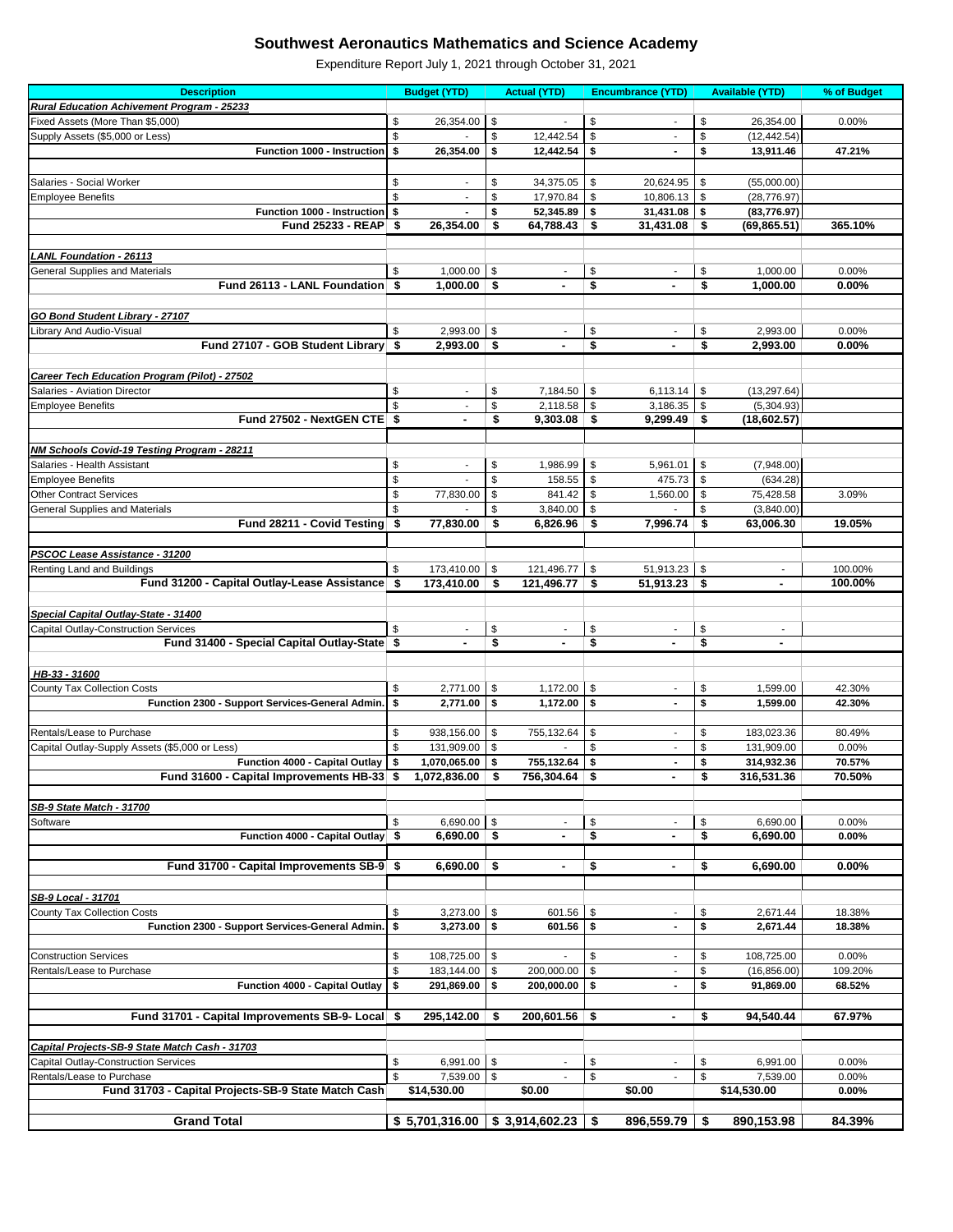| <b>Description</b>                                              |            | <b>Budget (YTD)</b>       |                           | <b>Actual (YTD)</b>                |                           | <b>Encumbrance (YTD)</b> |          | <b>Available (YTD)</b>   | % of Budget    |
|-----------------------------------------------------------------|------------|---------------------------|---------------------------|------------------------------------|---------------------------|--------------------------|----------|--------------------------|----------------|
| <b>Rural Education Achivement Program - 25233</b>               |            |                           |                           |                                    |                           |                          |          |                          |                |
| Fixed Assets (More Than \$5,000)                                | \$         | 26,354.00                 | \$                        |                                    | \$                        | $\blacksquare$           | \$       | 26,354.00                | 0.00%          |
| Supply Assets (\$5,000 or Less)                                 | \$         |                           | \$                        | 12,442.54                          | $\boldsymbol{\mathsf{S}}$ |                          | \$       | (12, 442.54)             |                |
| <b>Function 1000 - Instruction</b>                              | \$         | 26,354.00                 | \$                        | 12,442.54                          | \$                        | $\blacksquare$           | \$       | 13,911.46                | 47.21%         |
|                                                                 |            |                           |                           |                                    |                           |                          |          |                          |                |
| Salaries - Social Worker                                        | \$         | ٠                         | \$                        | 34,375.05                          | \$                        | 20,624.95                | -\$      | (55,000.00)              |                |
| <b>Employee Benefits</b>                                        | \$         |                           | \$                        | 17,970.84                          | \$                        | 10,806.13                | \$       | (28, 776.97)             |                |
| Function 1000 - Instruction \$                                  |            |                           | \$                        | 52,345.89                          | \$                        | 31,431.08                | \$       | (83, 776.97)             |                |
| Fund 25233 - REAP \$                                            |            | 26,354.00                 | \$                        | 64,788.43                          | -\$                       | $31,431.08$ \$           |          | (69, 865.51)             | 365.10%        |
|                                                                 |            |                           |                           |                                    |                           |                          |          |                          |                |
| <b>LANL Foundation - 26113</b>                                  |            |                           |                           |                                    |                           |                          |          |                          |                |
| <b>General Supplies and Materials</b>                           | \$         | 1,000.00                  | \$                        | $\overline{\phantom{a}}$           | \$                        | $\overline{\phantom{a}}$ | \$       | 1,000.00                 | 0.00%          |
| Fund 26113 - LANL Foundation \$                                 |            | $1,000.00$ \$             |                           | $\blacksquare$                     | \$                        |                          | \$       | 1,000.00                 | 0.00%          |
|                                                                 |            |                           |                           |                                    |                           |                          |          |                          |                |
| <b>GO Bond Student Library - 27107</b>                          |            |                           |                           |                                    |                           |                          |          |                          |                |
|                                                                 |            |                           |                           |                                    |                           |                          |          |                          |                |
| Library And Audio-Visual<br>Fund 27107 - GOB Student Library \$ | \$         | 2,993.00<br>$2,993.00$ \$ | \$                        |                                    | \$<br>\$                  |                          | \$<br>\$ | 2,993.00<br>2,993.00     | 0.00%<br>0.00% |
|                                                                 |            |                           |                           |                                    |                           |                          |          |                          |                |
|                                                                 |            |                           |                           |                                    |                           |                          |          |                          |                |
| <b>Career Tech Education Program (Pilot) - 27502</b>            |            |                           |                           |                                    |                           |                          |          |                          |                |
| Salaries - Aviation Director                                    | \$         |                           | \$                        | 7,184.50                           | \$                        | 6,113.14                 | \$       | (13, 297.64)             |                |
| <b>Employee Benefits</b>                                        | \$         |                           | \$                        | 2,118.58                           | \$                        | 3,186.35                 | -\$      | (5,304.93)               |                |
| Fund 27502 - NextGEN CTE \$                                     |            | $\blacksquare$            | \$                        | 9,303.08                           | \$                        | 9,299.49                 | \$       | (18,602.57)              |                |
|                                                                 |            |                           |                           |                                    |                           |                          |          |                          |                |
| NM Schools Covid-19 Testing Program - 28211                     |            |                           |                           |                                    |                           |                          |          |                          |                |
| Salaries - Health Assistant                                     | \$         |                           | \$                        | 1,986.99                           | \$                        | 5,961.01                 | \$       | (7,948.00)               |                |
| <b>Employee Benefits</b>                                        | \$         |                           | \$                        | 158.55                             | \$                        | 475.73                   | \$       | (634.28)                 |                |
| <b>Other Contract Services</b>                                  | \$         | 77,830.00                 | \$                        | 841.42                             | \$                        | 1,560.00                 | \$       | 75,428.58                | 3.09%          |
| <b>General Supplies and Materials</b>                           | \$         |                           | \$                        | 3,840.00                           | \$                        |                          | \$       | (3,840.00)               |                |
| Fund 28211 - Covid Testing                                      | - \$       | 77,830.00                 | \$                        | 6,826.96                           | \$                        | 7,996.74                 | \$       | 63,006.30                | 19.05%         |
|                                                                 |            |                           |                           |                                    |                           |                          |          |                          |                |
| PSCOC Lease Assistance - 31200                                  |            |                           |                           |                                    |                           |                          |          |                          |                |
| Renting Land and Buildings                                      | \$         | 173,410.00                | \$                        | 121,496.77                         | \$                        | 51,913.23                | \$       | ä,                       | 100.00%        |
| Fund 31200 - Capital Outlay-Lease Assistance                    | \$         | $173,410.00$ \$           |                           | $121,496.77$ \$                    |                           | $51,913.23$ \$           |          |                          | 100.00%        |
|                                                                 |            |                           |                           |                                    |                           |                          |          |                          |                |
| Special Capital Outlay-State - 31400                            |            |                           |                           |                                    |                           |                          |          |                          |                |
| <b>Capital Outlay-Construction Services</b>                     | \$         |                           | \$                        |                                    | \$                        | $\overline{\phantom{a}}$ | \$       | $\overline{\phantom{a}}$ |                |
| Fund 31400 - Special Capital Outlay-State \$                    |            |                           | \$                        |                                    | \$                        | $\blacksquare$           | \$       |                          |                |
|                                                                 |            |                           |                           |                                    |                           |                          |          |                          |                |
| HB-33 - 31600                                                   |            |                           |                           |                                    |                           |                          |          |                          |                |
| <b>County Tax Collection Costs</b>                              | \$         | 2,771.00                  | $\sqrt{3}$                | 1,172.00                           | $\sqrt[6]{3}$             | $\overline{\phantom{a}}$ | \$       | 1,599.00                 | 42.30%         |
| Function 2300 - Support Services-General Admin.                 | $\sqrt{5}$ | 2,771.00                  | \$                        | 1,172.00                           | \$                        | $\blacksquare$           | \$       | 1,599.00                 | 42.30%         |
|                                                                 |            |                           |                           |                                    |                           |                          |          |                          |                |
| Rentals/Lease to Purchase                                       | \$         | 938,156.00                | $\frac{1}{2}$             | 755,132.64                         | \$                        | $\blacksquare$           | S        | 183,023.36               | 80.49%         |
| Capital Outlay-Supply Assets (\$5,000 or Less)                  | \$         | 131,909.00                | \$                        |                                    | $\$\$                     |                          | \$       | 131,909.00               | 0.00%          |
| Function 4000 - Capital Outlay                                  | \$         | 1,070,065.00              | \$                        | 755,132.64                         | \$                        | $\blacksquare$           | S        | 314,932.36               | 70.57%         |
| Fund 31600 - Capital Improvements HB-33 \$                      |            | 1,072,836.00              | \$                        | 756,304.64 \$                      |                           | $\blacksquare$           | \$       | 316,531.36               | 70.50%         |
|                                                                 |            |                           |                           |                                    |                           |                          |          |                          |                |
| SB-9 State Match - 31700                                        |            |                           |                           |                                    |                           |                          |          |                          |                |
| Software                                                        | \$         | 6,690.00                  | \$                        |                                    | \$                        | $\overline{\phantom{a}}$ | \$       | 6,690.00                 | 0.00%          |
| Function 4000 - Capital Outlay   \$                             |            | $6,690.00$ \$             |                           |                                    | \$                        |                          | \$       | 6,690.00                 | 0.00%          |
|                                                                 |            |                           |                           |                                    |                           |                          |          |                          |                |
| Fund 31700 - Capital Improvements SB-9 \$                       |            | $6,690.00$ \$             |                           |                                    | \$                        | $\blacksquare$           | \$       | 6,690.00                 | 0.00%          |
|                                                                 |            |                           |                           |                                    |                           |                          |          |                          |                |
| SB-9 Local - 31701                                              |            |                           |                           |                                    |                           |                          |          |                          |                |
| <b>County Tax Collection Costs</b>                              | \$         | 3,273.00                  | $\sqrt[6]{3}$             | 601.56                             | $\$\$                     |                          | \$       | 2,671.44                 | 18.38%         |
| Function 2300 - Support Services-General Admin.                 | \$         | 3,273.00                  | \$                        | 601.56                             | \$                        |                          | \$       | 2,671.44                 | 18.38%         |
|                                                                 |            |                           |                           |                                    |                           |                          |          |                          |                |
| <b>Construction Services</b>                                    |            | 108,725.00                |                           |                                    | \$                        | $\overline{\phantom{a}}$ | \$       | 108,725.00               | 0.00%          |
| Rentals/Lease to Purchase                                       | \$<br>\$   |                           | \$                        |                                    |                           |                          | \$       |                          | 109.20%        |
|                                                                 |            | 183,144.00                | \$                        | 200,000.00                         | \$                        | $\overline{\phantom{a}}$ |          | (16, 856.00)             |                |
| Function 4000 - Capital Outlay                                  | \$         | 291,869.00                | \$                        | 200,000.00                         | \$                        |                          | \$       | 91,869.00                | 68.52%         |
|                                                                 |            |                           |                           |                                    |                           |                          |          |                          |                |
| Fund 31701 - Capital Improvements SB-9- Local \$                |            | 295,142.00                | - \$                      | $200,601.56$ \$                    |                           | $\blacksquare$           | \$       | 94,540.44                | 67.97%         |
|                                                                 |            |                           |                           |                                    |                           |                          |          |                          |                |
| Capital Projects-SB-9 State Match Cash - 31703                  |            |                           |                           |                                    |                           |                          |          |                          |                |
| <b>Capital Outlay-Construction Services</b>                     | \$         | 6,991.00                  | $\boldsymbol{\mathsf{S}}$ |                                    | \$                        |                          | \$       | 6,991.00                 | 0.00%          |
| Rentals/Lease to Purchase                                       | \$         | 7,539.00                  | \$                        |                                    | $\boldsymbol{\$}$         |                          | \$       | 7,539.00                 | 0.00%          |
| Fund 31703 - Capital Projects-SB-9 State Match Cash             |            | \$14,530.00               |                           | \$0.00                             |                           | \$0.00                   |          | \$14,530.00              | $0.00\%$       |
|                                                                 |            |                           |                           |                                    |                           |                          |          |                          |                |
| <b>Grand Total</b>                                              |            |                           |                           | $$5,701,316.00 \mid $3,914,602.23$ | \$                        | $896,559.79$ \$          |          | 890,153.98               | 84.39%         |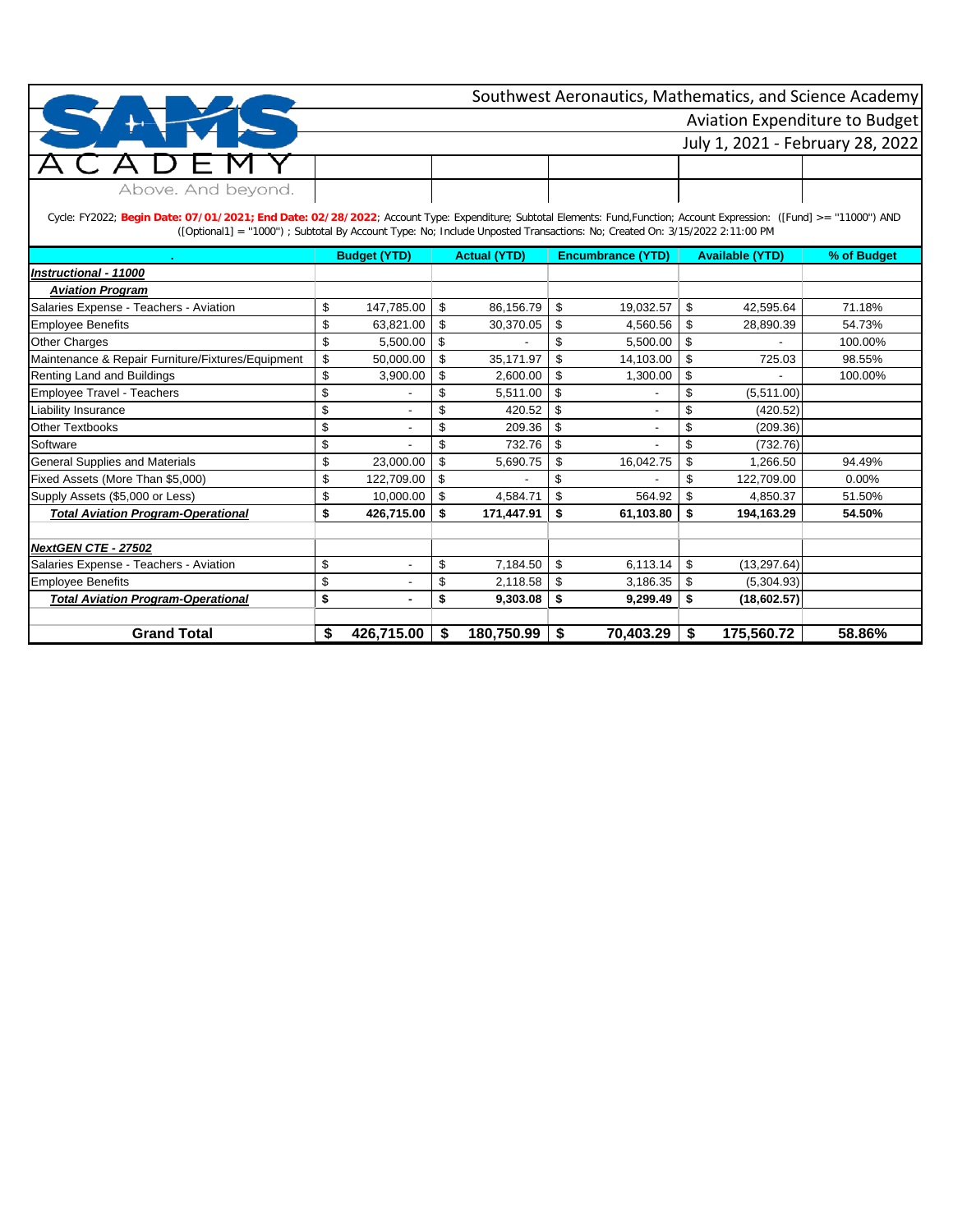|                    | Southwest Aeronautics, Mathematics, and Science Academy |
|--------------------|---------------------------------------------------------|
|                    | <b>Aviation Expenditure to Budget</b>                   |
|                    | July 1, 2021 - February 28, 2022                        |
| $1) \vdash M$      |                                                         |
| Above. And beyond. |                                                         |

Cycle: FY2022; **Begin Date: 07/01/2021; End Date: 02/28/2022**; Account Type: Expenditure; Subtotal Elements: Fund,Function; Account Expression: ([Fund] >= ''11000'') AND ([Optional1] = ''1000'') ; Subtotal By Account Type: No; Include Unposted Transactions: No; Created On: 3/15/2022 2:11:00 PM

|                                                   | <b>Budget (YTD)</b>  |    | <b>Actual (YTD)</b> | <b>Encumbrance (YTD)</b> |    | <b>Available (YTD)</b> | % of Budget |
|---------------------------------------------------|----------------------|----|---------------------|--------------------------|----|------------------------|-------------|
| Instructional - 11000                             |                      |    |                     |                          |    |                        |             |
| <b>Aviation Program</b>                           |                      |    |                     |                          |    |                        |             |
| Salaries Expense - Teachers - Aviation            | \$<br>147,785.00     | \$ | 86,156.79           | \$<br>19,032.57          | \$ | 42,595.64              | 71.18%      |
| <b>Employee Benefits</b>                          | \$<br>63,821.00      | \$ | 30,370.05           | \$<br>4,560.56           | \$ | 28,890.39              | 54.73%      |
| <b>Other Charges</b>                              | \$<br>5,500.00       | \$ |                     | \$<br>5,500.00           | \$ |                        | 100.00%     |
| Maintenance & Repair Furniture/Fixtures/Equipment | \$<br>50,000.00      | \$ | 35,171.97           | \$<br>14,103.00          | \$ | 725.03                 | 98.55%      |
| Renting Land and Buildings                        | \$<br>3,900.00       | \$ | 2,600.00            | \$<br>1,300.00           | \$ |                        | 100.00%     |
| Employee Travel - Teachers                        | \$                   |    | 5,511.00            | \$                       |    | (5,511.00)             |             |
| Liability Insurance                               | \$                   |    | 420.52              | \$                       |    | (420.52)               |             |
| <b>Other Textbooks</b>                            | \$                   | S  | 209.36              | \$                       | \$ | (209.36)               |             |
| Software                                          | \$                   |    | 732.76              | \$                       | \$ | (732.76)               |             |
| <b>General Supplies and Materials</b>             | \$<br>23,000.00      | \$ | 5,690.75            | \$<br>16,042.75          | \$ | 1,266.50               | 94.49%      |
| Fixed Assets (More Than \$5,000)                  | \$<br>122,709.00     | £. |                     | \$                       | \$ | 122,709.00             | $0.00\%$    |
| Supply Assets (\$5,000 or Less)                   | \$<br>10,000.00      | \$ | 4,584.71            | \$<br>564.92             | \$ | 4,850.37               | 51.50%      |
| <b>Total Aviation Program-Operational</b>         | \$<br>426,715.00     | \$ | 171,447.91          | \$<br>61,103.80          | \$ | 194,163.29             | 54.50%      |
|                                                   |                      |    |                     |                          |    |                        |             |
| <b>NextGEN CTE - 27502</b>                        |                      |    |                     |                          |    |                        |             |
| Salaries Expense - Teachers - Aviation            | \$                   | \$ | 7,184.50            | \$<br>6,113.14           | \$ | (13, 297.64)           |             |
| <b>Employee Benefits</b>                          | \$                   |    | 2,118.58            | \$<br>3,186.35           | \$ | (5,304.93)             |             |
| <b>Total Aviation Program-Operational</b>         | \$<br>$\blacksquare$ | \$ | 9,303.08            | \$<br>9,299.49           | \$ | (18,602.57)            |             |
|                                                   |                      |    |                     |                          |    |                        |             |
| <b>Grand Total</b>                                | \$<br>426,715.00     | \$ | 180,750.99          | \$<br>70,403.29          | S  | 175,560.72             | 58.86%      |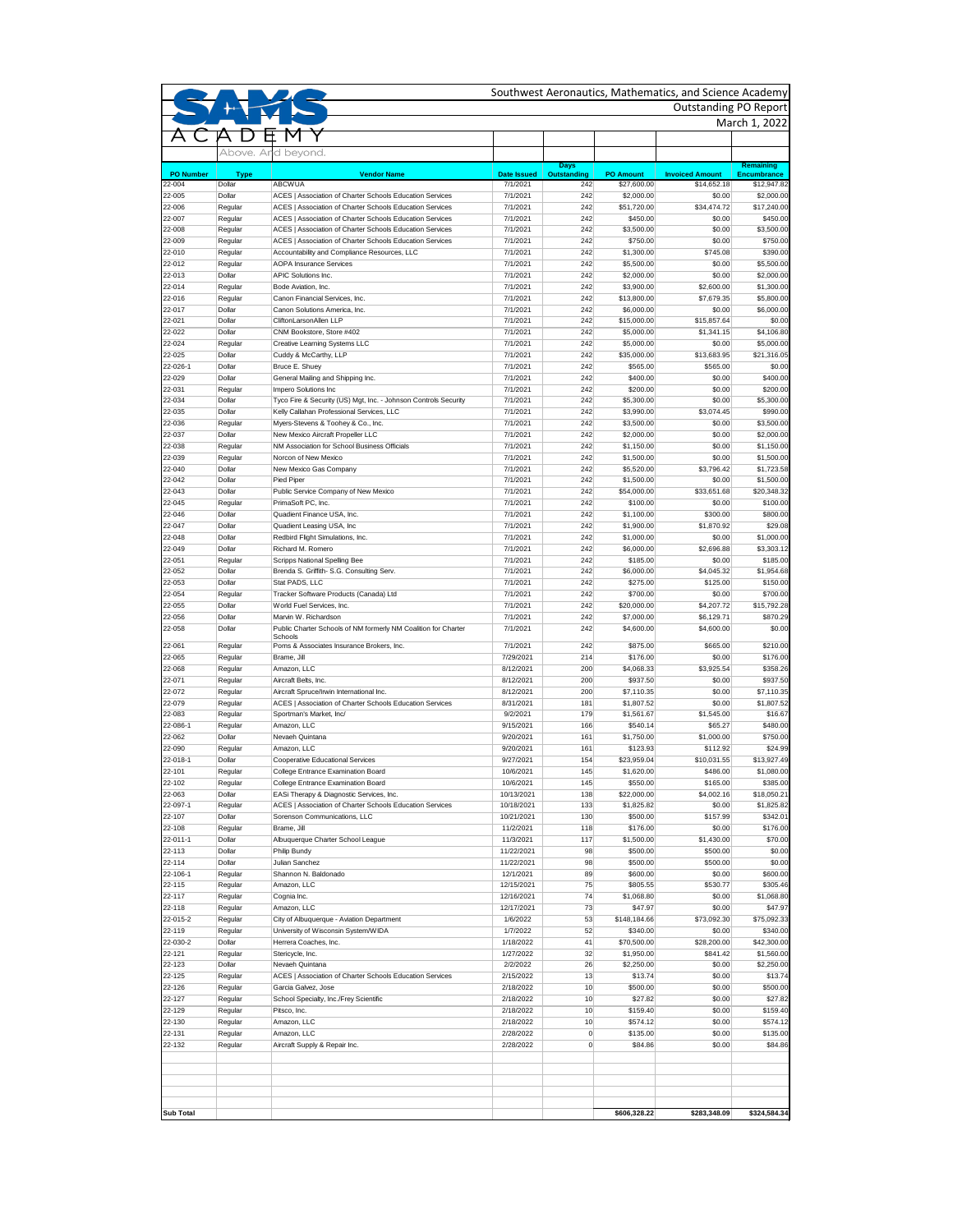|                  |                    |                                                                                                                      |                          |                       |                           | Outstanding PO Report    |                           |
|------------------|--------------------|----------------------------------------------------------------------------------------------------------------------|--------------------------|-----------------------|---------------------------|--------------------------|---------------------------|
|                  |                    |                                                                                                                      |                          |                       |                           |                          | March 1, 2022             |
|                  |                    |                                                                                                                      |                          |                       |                           |                          |                           |
|                  |                    | Above. And beyond.                                                                                                   |                          |                       |                           |                          |                           |
|                  |                    |                                                                                                                      |                          | <b>Days</b>           |                           |                          | <b>Remaining</b>          |
| <b>PO Number</b> | <b>Type</b>        | <b>Vendor Name</b>                                                                                                   | <b>Date Issued</b>       | <b>Outstanding</b>    | <b>PO Amount</b>          | <b>Invoiced Amount</b>   | <b>Encumbrance</b>        |
| 22-004           | Dollar             | <b>ABCWUA</b>                                                                                                        | 7/1/2021                 | 242                   | \$27,600.00               | \$14,652.18              | \$12,947.82               |
| 22-005<br>22-006 | Dollar<br>Regular  | ACES   Association of Charter Schools Education Services<br>ACES   Association of Charter Schools Education Services | 7/1/2021<br>7/1/2021     | 242<br>242            | \$2,000.00<br>\$51,720.00 | \$0.00<br>\$34,474.72    | \$2,000.00<br>\$17,240.00 |
| 22-007           | Regular            | ACES   Association of Charter Schools Education Services                                                             | 7/1/2021                 | 242                   | \$450.00                  | \$0.00                   | \$450.00                  |
| 22-008           | Regular            | ACES   Association of Charter Schools Education Services                                                             | 7/1/2021                 | 242                   | \$3,500.00                | \$0.00                   | \$3,500.00                |
| 22-009           | Regular            | ACES   Association of Charter Schools Education Services                                                             | 7/1/2021                 | 242                   | \$750.00                  | \$0.00                   | \$750.00                  |
| 22-010           | Regular            | Accountability and Compliance Resources, LLC                                                                         | 7/1/2021                 | 242                   | \$1,300.00                | \$745.08                 | \$390.00                  |
| 22-012           | Regular            | <b>AOPA Insurance Services</b>                                                                                       | 7/1/2021                 | 242                   | \$5,500.00                | \$0.00                   | \$5,500.00                |
| 22-013           | Dollar             | <b>APIC Solutions Inc.</b>                                                                                           | 7/1/2021                 | 242                   | \$2,000.00                | \$0.00<br>\$2,600.00     | \$2,000.00                |
| 22-014<br>22-016 | Regular<br>Regular | Bode Aviation, Inc.<br>Canon Financial Services, Inc.                                                                | 7/1/2021<br>7/1/2021     | 242<br>242            | \$3,900.00<br>\$13,800.00 | \$7,679.35               | \$1,300.00<br>\$5,800.00  |
| 22-017           | Dollar             | Canon Solutions America, Inc.                                                                                        | 7/1/2021                 | 242                   | \$6,000.00                | \$0.00                   | \$6,000.00                |
| 22-021           | Dollar             | CliftonLarsonAllen LLP                                                                                               | 7/1/2021                 | 242                   | \$15,000.00               | \$15,857.64              | \$0.00                    |
| 22-022           | Dollar             | CNM Bookstore, Store #402                                                                                            | 7/1/2021                 | 242                   | \$5,000.00                | \$1,341.15               | \$4,106.80                |
| 22-024           | Regular            | <b>Creative Learning Systems LLC</b>                                                                                 | 7/1/2021                 | 242                   | \$5,000.00                | \$0.00                   | \$5,000.00                |
| 22-025           | Dollar             | Cuddy & McCarthy, LLP                                                                                                | 7/1/2021                 | 242                   | \$35,000.00               | \$13,683.95              | \$21,316.05               |
| 22-026-1         | Dollar             | Bruce E. Shuey                                                                                                       | 7/1/2021                 | 242                   | \$565.00                  | \$565.00                 | \$0.00                    |
| 22-029<br>22-031 | Dollar<br>Regular  | General Mailing and Shipping Inc.<br>Impero Solutions Inc                                                            | 7/1/2021<br>7/1/2021     | 242<br>242            | \$400.00<br>\$200.00      | \$0.00<br>\$0.00         | \$400.00<br>\$200.00      |
| 22-034           | Dollar             | Tyco Fire & Security (US) Mgt, Inc. - Johnson Controls Security                                                      | 7/1/2021                 | 242                   | \$5,300.00                | \$0.00                   | \$5,300.00                |
| 22-035           | Dollar             | Kelly Callahan Professional Services, LLC                                                                            | 7/1/2021                 | 242                   | \$3,990.00                | \$3,074.45               | \$990.00                  |
| 22-036           | Regular            | Myers-Stevens & Toohey & Co., Inc.                                                                                   | 7/1/2021                 | 242                   | \$3,500.00                | \$0.00                   | \$3,500.00                |
| 22-037           | Dollar             | New Mexico Aircraft Propeller LLC                                                                                    | 7/1/2021                 | 242                   | \$2,000.00                | \$0.00                   | \$2,000.00                |
| 22-038           | Regular            | NM Association for School Business Officials                                                                         | 7/1/2021                 | 242                   | \$1,150.00                | \$0.00                   | \$1,150.00                |
| 22-039           | Regular            | Norcon of New Mexico                                                                                                 | 7/1/2021                 | 242                   | \$1,500.00                | \$0.00                   | \$1,500.00                |
| 22-040           | Dollar             | New Mexico Gas Company                                                                                               | 7/1/2021                 | 242                   | \$5,520.00                | \$3,796.42               | \$1,723.58                |
| 22-042<br>22-043 | Dollar<br>Dollar   | Pied Piper<br>Public Service Company of New Mexico                                                                   | 7/1/2021<br>7/1/2021     | 242<br>242            | \$1,500.00<br>\$54,000.00 | \$0.00<br>\$33,651.68    | \$1,500.00<br>\$20,348.32 |
| 22-045           | Regular            | PrimaSoft PC. Inc.                                                                                                   | 7/1/2021                 | 242                   | \$100.00                  | \$0.00                   | \$100.00                  |
| 22-046           | Dollar             | Quadient Finance USA, Inc.                                                                                           | 7/1/2021                 | 242                   | \$1,100.00                | \$300.00                 | \$800.00                  |
| 22-047           | Dollar             | Quadient Leasing USA, Inc.                                                                                           | 7/1/2021                 | 242                   | \$1,900.00                | \$1,870.92               | \$29.08                   |
| 22-048           | Dollar             | Redbird Flight Simulations, Inc.                                                                                     | 7/1/2021                 | 242                   | \$1,000.00                | \$0.00                   | \$1,000.00                |
| 22-049           | Dollar             | Richard M. Romero                                                                                                    | 7/1/2021                 | 242                   | \$6,000.00                | \$2,696.88               | \$3,303.12                |
| 22-051           | Regular            | Scripps National Spelling Bee                                                                                        | 7/1/2021                 | 242                   | \$185.00                  | \$0.00                   | \$185.00                  |
| 22-052           | Dollar             | Brenda S. Griffith- S.G. Consulting Serv.                                                                            | 7/1/2021                 | 242                   | \$6,000.00                | \$4,045.32               | \$1,954.68                |
| 22-053           | Dollar             | Stat PADS, LLC                                                                                                       | 7/1/2021                 | 242                   | \$275.00                  | \$125.00                 | \$150.00                  |
| 22-054           | Regular            | Tracker Software Products (Canada) Ltd<br>World Fuel Services, Inc.                                                  | 7/1/2021                 | 242                   | \$700.00                  | \$0.00                   | \$700.00                  |
| 22-055<br>22-056 | Dollar<br>Dollar   | Marvin W. Richardson                                                                                                 | 7/1/2021<br>7/1/2021     | 242<br>242            | \$20,000.00<br>\$7,000.00 | \$4,207.72<br>\$6,129.71 | \$15,792.28<br>\$870.29   |
| 22-058           | Dollar             | Public Charter Schools of NM formerly NM Coalition for Charter                                                       | 7/1/2021                 | 242                   | \$4,600.00                | \$4,600.00               | \$0.00                    |
|                  |                    | Schools                                                                                                              |                          |                       |                           |                          |                           |
| 22-061           | Regular            | Poms & Associates Insurance Brokers, Inc.                                                                            | 7/1/2021                 | 242                   | \$875.00                  | \$665.00                 | \$210.00                  |
| 22-065<br>22-068 | Regular<br>Regular | Brame, Jill<br>Amazon, LLC                                                                                           | 7/29/2021<br>8/12/2021   | 214<br>200            | \$176.00<br>\$4,068.33    | \$0.00<br>\$3,925.54     | \$176.00<br>\$358.26      |
| 22-071           | Regular            | Aircraft Belts, Inc.                                                                                                 | 8/12/2021                | 200                   | \$937.50                  | \$0.00                   | \$937.50                  |
| 22-072           | Regular            | Aircraft Spruce/Irwin International Inc.                                                                             | 8/12/2021                | 200                   | \$7,110.35                | \$0.00                   | \$7,110.35                |
| 22-079           | Regular            | ACES   Association of Charter Schools Education Services                                                             | 8/31/2021                | 181                   | \$1,807.52                | \$0.00                   | \$1,807.52                |
| 22-083           | Regular            | Sportman's Market, Inc/                                                                                              | 9/2/2021                 | 179                   | \$1,561.67                | \$1,545.00               | \$16.67                   |
| 22-086-1         | Regular            | Amazon, LLC                                                                                                          | 9/15/2021                | 166                   | \$540.14                  | \$65.27                  | \$480.00                  |
| 22-062           | Dollar             | Nevaeh Quintana                                                                                                      | 9/20/2021                | 161                   | \$1,750.00                | \$1,000.00               | \$750.00                  |
| 22-090           | Regular            | Amazon, LLC                                                                                                          | 9/20/2021                | 161                   | \$123.93                  | \$112.92                 | \$24.99                   |
| 22-018-1         | Dollar             | Cooperative Educational Services                                                                                     | 9/27/2021                | 154                   | \$23,959.04               | \$10,031.55              | \$13,927.49               |
| 22-101<br>22-102 | Regular<br>Regular | College Entrance Examination Board<br>College Entrance Examination Board                                             | 10/6/2021<br>10/6/2021   | 145<br>145            | \$1,620.00<br>\$550.00    | \$486.00<br>\$165.00     | \$1,080.00<br>\$385.00    |
| 22-063           | Dollar             | EASi Therapy & Diagnostic Services, Inc.                                                                             | 10/13/2021               | 138                   | \$22,000.00               | \$4,002.16               | \$18,050.21               |
| 22-097-1         | Regular            | <b>ACES   Association of Charter Schools Education Services</b>                                                      | 10/18/2021               | 133                   | \$1,825.82                | \$0.00                   | \$1,825.82                |
| 22-107           | Dollar             | Sorenson Communications, LLC                                                                                         | 10/21/2021               | 130                   | \$500.00                  | \$157.99                 | \$342.01                  |
| 22-108           | Regular            | Brame, Jill                                                                                                          | 11/2/2021                | 118                   | \$176.00                  | \$0.00                   | \$176.00                  |
| 22-011-1         | Dollar             | Albuquerque Charter School League                                                                                    | 11/3/2021                | 117                   | \$1,500.00                | \$1,430.00               | \$70.00                   |
| 22-113           | Dollar             | Philip Bundy                                                                                                         | 11/22/2021               | 98                    | \$500.00                  | \$500.00                 | \$0.00                    |
| 22-114           | Dollar             | Julian Sanchez                                                                                                       | 11/22/2021               | 98                    | \$500.00                  | \$500.00                 | \$0.00                    |
| 22-106-1         | Regular            | Shannon N. Baldonado                                                                                                 | 12/1/2021                | 89                    | \$600.00                  | \$0.00                   | \$600.00                  |
| 22-115<br>22-117 | Regular<br>Regular | Amazon, LLC<br>Cognia Inc.                                                                                           | 12/15/2021<br>12/16/2021 | 75<br>74              | \$805.55<br>\$1,068.80    | \$530.77<br>\$0.00       | \$305.46<br>\$1,068.80    |
| 22-118           | Regular            | Amazon, LLC                                                                                                          | 12/17/2021               | 73                    | \$47.97                   | \$0.00                   | \$47.97                   |
| 22-015-2         | Regular            | City of Albuquerque - Aviation Department                                                                            | 1/6/2022                 | 53                    | \$148,184.66              | \$73,092.30              | \$75,092.33               |
| 22-119           | Regular            | University of Wisconsin System/WIDA                                                                                  | 1/7/2022                 | 52                    | \$340.00                  | \$0.00                   | \$340.00                  |
| 22-030-2         | Dollar             | Herrera Coaches, Inc.                                                                                                | 1/18/2022                | 41                    | \$70,500.00               | \$28,200.00              | \$42,300.00               |
| 22-121           | Regular            | Stericycle, Inc.                                                                                                     | 1/27/2022                | 32                    | \$1,950.00                | \$841.42                 | \$1,560.00                |
| 22-123           | Dollar             | Nevaeh Quintana                                                                                                      | 2/2/2022                 | 26                    | \$2,250.00                | \$0.00                   | \$2,250.00                |
| 22-125           | Regular            | ACES   Association of Charter Schools Education Services                                                             | 2/15/2022                | 13                    | \$13.74                   | \$0.00                   | \$13.74                   |
| 22-126           | Regular            | Garcia Galvez, Jose                                                                                                  | 2/18/2022                | 10                    | \$500.00                  | \$0.00                   | \$500.00                  |
| 22-127<br>22-129 | Regular            | School Specialty, Inc./Frey Scientific<br>Pitsco, Inc.                                                               | 2/18/2022<br>2/18/2022   | 10 <sup>1</sup><br>10 | \$27.82<br>\$159.40       | \$0.00<br>\$0.00         | \$27.82<br>\$159.40       |
| 22-130           | Regular<br>Regular | Amazon, LLC                                                                                                          | 2/18/2022                | 10                    | \$574.12                  | \$0.00                   | \$574.12                  |
| 22-131           | Regular            | Amazon, LLC                                                                                                          | 2/28/2022                | 0                     | \$135.00                  | \$0.00                   | \$135.00                  |
| 22-132           | Regular            | Aircraft Supply & Repair Inc.                                                                                        | 2/28/2022                | 0                     | \$84.86                   | \$0.00                   | \$84.86                   |
|                  |                    |                                                                                                                      |                          |                       |                           |                          |                           |
|                  |                    |                                                                                                                      |                          |                       |                           |                          |                           |
|                  |                    |                                                                                                                      |                          |                       |                           |                          |                           |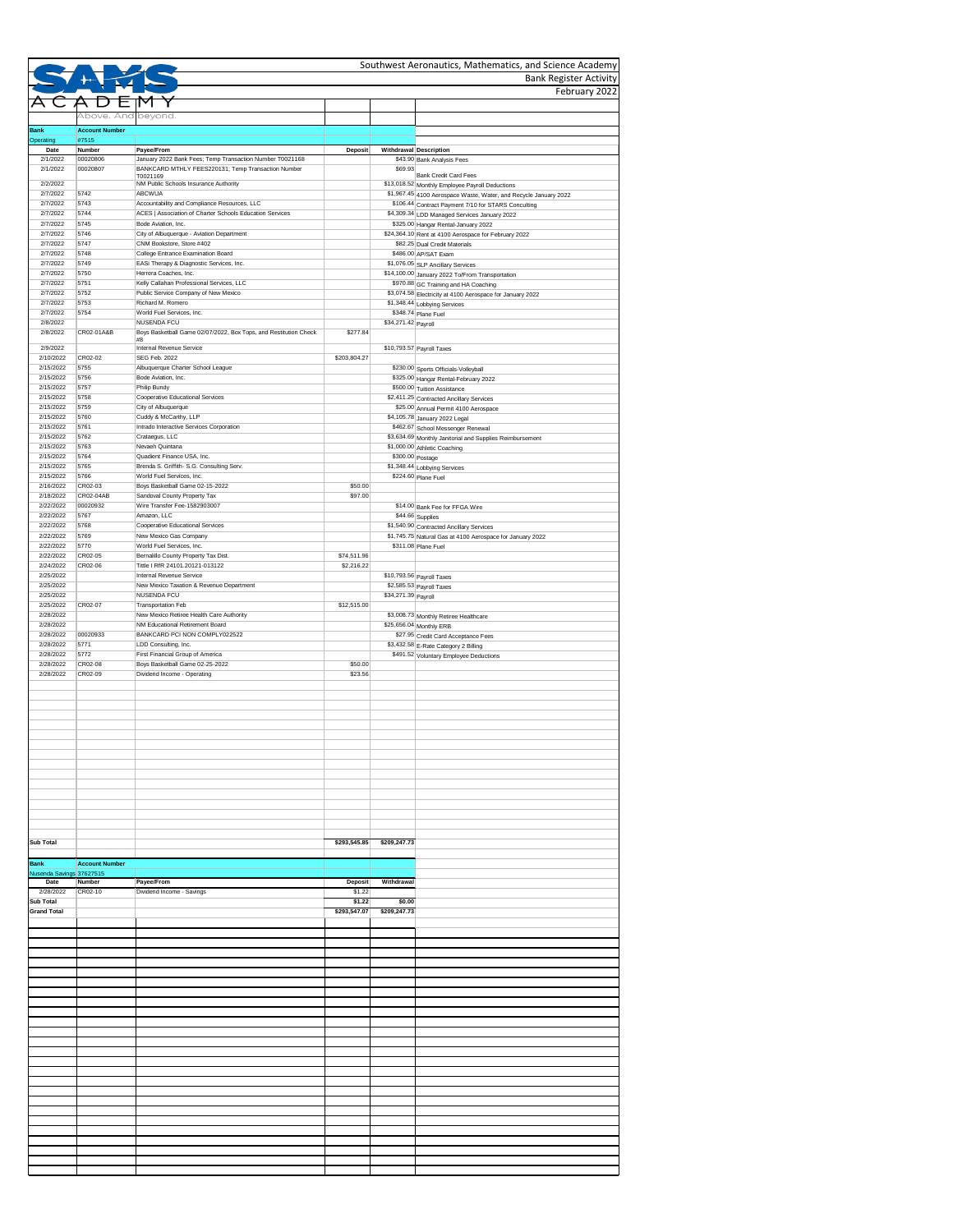|                                  |                        |                                                                                                                |                           |                     | <b>Bank Register Activity</b>                                                                                       |
|----------------------------------|------------------------|----------------------------------------------------------------------------------------------------------------|---------------------------|---------------------|---------------------------------------------------------------------------------------------------------------------|
|                                  |                        |                                                                                                                |                           |                     | February 2022                                                                                                       |
|                                  | Above. And beyond.     |                                                                                                                |                           |                     |                                                                                                                     |
| <b>Bank</b>                      | <b>Account Number</b>  |                                                                                                                |                           |                     |                                                                                                                     |
| Operating<br>Date                | #7515<br><b>Number</b> | Payee/From                                                                                                     | Deposit                   |                     | Withdrawal Description                                                                                              |
| 2/1/2022<br>2/1/2022             | 00020806<br>00020807   | January 2022 Bank Fees; Temp Transaction Number T0021168<br>BANKCARD MTHLY FEES220131; Temp Transaction Number |                           | \$69.93             | \$43.90 Bank Analysis Fees                                                                                          |
|                                  |                        | T0021169                                                                                                       |                           |                     | <b>Bank Credit Card Fees</b>                                                                                        |
| 2/2/2022<br>2/7/2022             | 5742                   | NM Public Schools Insurance Authority<br><b>ABCWUA</b>                                                         |                           |                     | \$13,018.52 Monthly Employee Payroll Deductions<br>\$1,967.45 4100 Aerospace Waste, Water, and Recycle January 2022 |
| 2/7/2022                         | 5743                   | Accountability and Compliance Resources, LLC                                                                   |                           |                     | \$106.44 Contract Payment 7/10 for STARS Conculting                                                                 |
| 2/7/2022                         | 5744                   | ACES   Association of Charter Schools Education Services                                                       |                           |                     | \$4,309.34 LDD Managed Services January 2022                                                                        |
| 2/7/2022<br>2/7/2022             | 5745<br>5746           | Bode Aviation, Inc.<br>City of Albuquerque - Aviation Department                                               |                           |                     | \$325.00 Hangar Rental-January 2022<br>\$24,364.10 Rent at 4100 Aerospace for February 2022                         |
| 2/7/2022                         | 5747                   | CNM Bookstore, Store #402                                                                                      |                           |                     | \$82.25 Dual Credit Materials                                                                                       |
| 2/7/2022                         | 5748                   | College Entrance Examination Board                                                                             |                           |                     | \$486.00 AP/SAT Exam                                                                                                |
| 2/7/2022<br>2/7/2022             | 5749<br>5750           | EASi Therapy & Diagnostic Services, Inc.<br>Herrera Coaches, Inc.                                              |                           |                     | \$1,076.05 SLP Ancillary Services<br>\$14,100.00 January 2022 To/From Transportation                                |
| 2/7/2022                         | 5751                   | Kelly Callahan Professional Services, LLC                                                                      |                           |                     | \$970.88 GC Training and HA Coaching                                                                                |
| 2/7/2022                         | 5752                   | Public Service Company of New Mexico                                                                           |                           |                     | \$3,074.58 Electricity at 4100 Aerospace for January 2022                                                           |
| 2/7/2022<br>2/7/2022             | 5753<br>5754           | Richard M. Romero<br>World Fuel Services, Inc.                                                                 |                           |                     | \$1,348.44 Lobbying Services<br>\$348.74 Plane Fuel                                                                 |
| 2/8/2022                         |                        | <b>NUSENDA FCU</b>                                                                                             |                           | \$34,271.42 Payroll |                                                                                                                     |
| 2/8/2022                         | CR02-01A&B             | Boys Basketball Game 02/07/2022, Box Tops, and Restitution Check                                               | \$277.84                  |                     |                                                                                                                     |
| 2/9/2022                         |                        | #8<br>Internal Revenue Service                                                                                 |                           |                     | $$10,793.57$ Payroll Taxes                                                                                          |
| 2/10/2022                        | CR02-02                | SEG Feb. 2022                                                                                                  | \$203,804.27              |                     |                                                                                                                     |
| 2/15/2022<br>2/15/2022           | 5755<br>5756           | Albuquerque Charter School League<br>Bode Aviation, Inc.                                                       |                           |                     | \$230.00 Sports Officials-Volleyball<br>\$325.00 Hangar Rental-February 2022                                        |
| 2/15/2022                        | 5757                   | Philip Bundy                                                                                                   |                           |                     | \$500.00 Tuition Assistance                                                                                         |
| 2/15/2022                        | 5758                   | <b>Cooperative Educational Services</b>                                                                        |                           |                     | \$2,411.25 Contracted Ancillary Services                                                                            |
| 2/15/2022                        | 5759                   | City of Albuquerque                                                                                            |                           |                     | \$25.00 Annual Permit 4100 Aerospace                                                                                |
| 2/15/2022<br>2/15/2022           | 5760<br>5761           | Cuddy & McCarthy, LLP<br>Intrado Interactive Services Corporation                                              |                           |                     | \$4,105.78 January 2022 Legal<br>\$462.67 School Messenger Renewal                                                  |
| 2/15/2022                        | 5762                   | Crataegus, LLC                                                                                                 |                           |                     | \$3,634.69 Monthly Janitorial and Supplies Reimbursement                                                            |
| 2/15/2022                        | 5763                   | Nevaeh Quintana                                                                                                |                           |                     | \$1,000.00 Athletic Coaching                                                                                        |
| 2/15/2022                        | 5764                   | Quadient Finance USA, Inc.                                                                                     |                           | \$300.00 Postage    |                                                                                                                     |
| 2/15/2022<br>2/15/2022           | 5765<br>5766           | Brenda S. Griffith- S.G. Consulting Serv.<br>World Fuel Services, Inc.                                         |                           |                     | \$1,348.44 Lobbying Services<br>\$224.60 Plane Fuel                                                                 |
| 2/16/2022                        | CR02-03                | Boys Basketball Game 02-15-2022                                                                                | \$50.00                   |                     |                                                                                                                     |
| 2/18/2022                        | CR02-04AB              | Sandoval County Property Tax                                                                                   | \$97.00                   |                     |                                                                                                                     |
| 2/22/2022<br>2/22/2022           | 00020932<br>5767       | Wire Transfer Fee-1582903007<br>Amazon, LLC                                                                    |                           |                     | \$14.00 Bank Fee for FFGA Wire                                                                                      |
| 2/22/2022                        | 5768                   | <b>Cooperative Educational Services</b>                                                                        |                           |                     | $$44.66$ Supplies<br>\$1,540.90 Contracted Ancillary Services                                                       |
| 2/22/2022                        | 5769                   | New Mexico Gas Company                                                                                         |                           |                     | \$1,745.75 Natural Gas at 4100 Aerospace for January 2022                                                           |
| 2/22/2022                        | 5770                   | World Fuel Services, Inc.                                                                                      |                           |                     | $\sqrt{$311.08}$ Plane Fuel                                                                                         |
| 2/22/2022<br>2/24/2022           | CR02-05<br>CR02-06     | Bernalillo County Property Tax Dist.<br>Tittle I RfR 24101.20121-013122                                        | \$74,511.96<br>\$2,216.22 |                     |                                                                                                                     |
| 2/25/2022                        |                        | Internal Revenue Service                                                                                       |                           |                     | \$10,793.56 Payroll Taxes                                                                                           |
| 2/25/2022                        |                        | New Mexico Taxation & Revenue Department                                                                       |                           |                     | \$2,585.53 Payroll Taxes                                                                                            |
| 2/25/2022                        |                        | <b>NUSENDA FCU</b>                                                                                             |                           | \$34,271.39 Payroll |                                                                                                                     |
| 2/25/2022<br>2/28/2022           | CR02-07                | <b>Transportation Feb</b><br>New Mexico Retiree Health Care Authority                                          | \$12,515.00               |                     | \$3,008.73 Monthly Retiree Healthcare                                                                               |
| 2/28/2022                        |                        | NM Educational Retirement Board                                                                                |                           |                     | \$25,656.04 Monthly ERB                                                                                             |
| 2/28/2022                        | 00020933               | BANKCARD PCI NON COMPLY022522                                                                                  |                           |                     | \$27.95 Credit Card Acceptance Fees                                                                                 |
| 2/28/2022                        | 5771<br>5772           | LDD Consulting, Inc.<br>First Financial Group of America                                                       |                           |                     | \$3,432.58 E-Rate Category 2 Billing                                                                                |
| 2/28/2022<br>2/28/2022           | CR02-08                | Boys Basketball Game 02-25-2022                                                                                | \$50.00                   |                     | \$491.52 Voluntary Employee Deductions                                                                              |
| 2/28/2022                        | CR02-09                | Dividend Income - Operating                                                                                    | \$23.56                   |                     |                                                                                                                     |
|                                  |                        |                                                                                                                |                           |                     |                                                                                                                     |
|                                  |                        |                                                                                                                |                           |                     |                                                                                                                     |
|                                  |                        |                                                                                                                |                           |                     |                                                                                                                     |
|                                  |                        |                                                                                                                |                           |                     |                                                                                                                     |
|                                  |                        |                                                                                                                |                           |                     |                                                                                                                     |
|                                  |                        |                                                                                                                |                           |                     |                                                                                                                     |
|                                  |                        |                                                                                                                |                           |                     |                                                                                                                     |
|                                  |                        |                                                                                                                |                           |                     |                                                                                                                     |
|                                  |                        |                                                                                                                |                           |                     |                                                                                                                     |
|                                  |                        |                                                                                                                |                           |                     |                                                                                                                     |
|                                  |                        |                                                                                                                |                           |                     |                                                                                                                     |
|                                  |                        |                                                                                                                |                           |                     |                                                                                                                     |
| <b>Sub Total</b>                 |                        |                                                                                                                | \$293,545.85              | \$209,247.73        |                                                                                                                     |
|                                  |                        |                                                                                                                |                           |                     |                                                                                                                     |
| <b>Bank</b>                      | <b>Account Number</b>  |                                                                                                                |                           |                     |                                                                                                                     |
| Nusenda Savings 37627515<br>Date | <b>Number</b>          | Payee/From                                                                                                     | <b>Deposit</b>            | Withdrawal          |                                                                                                                     |
| 2/28/2022                        | CR02-10                | Dividend Income - Savings                                                                                      | \$1.22                    |                     |                                                                                                                     |
| <b>Sub Total</b>                 |                        |                                                                                                                | \$1.22                    | \$0.00              |                                                                                                                     |
| <b>Grand Total</b>               |                        |                                                                                                                | \$293,547.07              | \$209,247.73        |                                                                                                                     |
|                                  |                        |                                                                                                                |                           |                     |                                                                                                                     |
|                                  |                        |                                                                                                                |                           |                     |                                                                                                                     |
|                                  |                        |                                                                                                                |                           |                     |                                                                                                                     |
|                                  |                        |                                                                                                                |                           |                     |                                                                                                                     |
|                                  |                        |                                                                                                                |                           |                     |                                                                                                                     |
|                                  |                        |                                                                                                                |                           |                     |                                                                                                                     |
|                                  |                        |                                                                                                                |                           |                     |                                                                                                                     |
|                                  |                        |                                                                                                                |                           |                     |                                                                                                                     |
|                                  |                        |                                                                                                                |                           |                     |                                                                                                                     |
|                                  |                        |                                                                                                                |                           |                     |                                                                                                                     |
|                                  |                        |                                                                                                                |                           |                     |                                                                                                                     |
|                                  |                        |                                                                                                                |                           |                     |                                                                                                                     |
|                                  |                        |                                                                                                                |                           |                     |                                                                                                                     |
|                                  |                        |                                                                                                                |                           |                     |                                                                                                                     |
|                                  |                        |                                                                                                                |                           |                     |                                                                                                                     |
|                                  |                        |                                                                                                                |                           |                     |                                                                                                                     |
|                                  |                        |                                                                                                                |                           |                     |                                                                                                                     |
|                                  |                        |                                                                                                                |                           |                     |                                                                                                                     |
|                                  |                        |                                                                                                                |                           |                     |                                                                                                                     |
|                                  |                        |                                                                                                                |                           |                     |                                                                                                                     |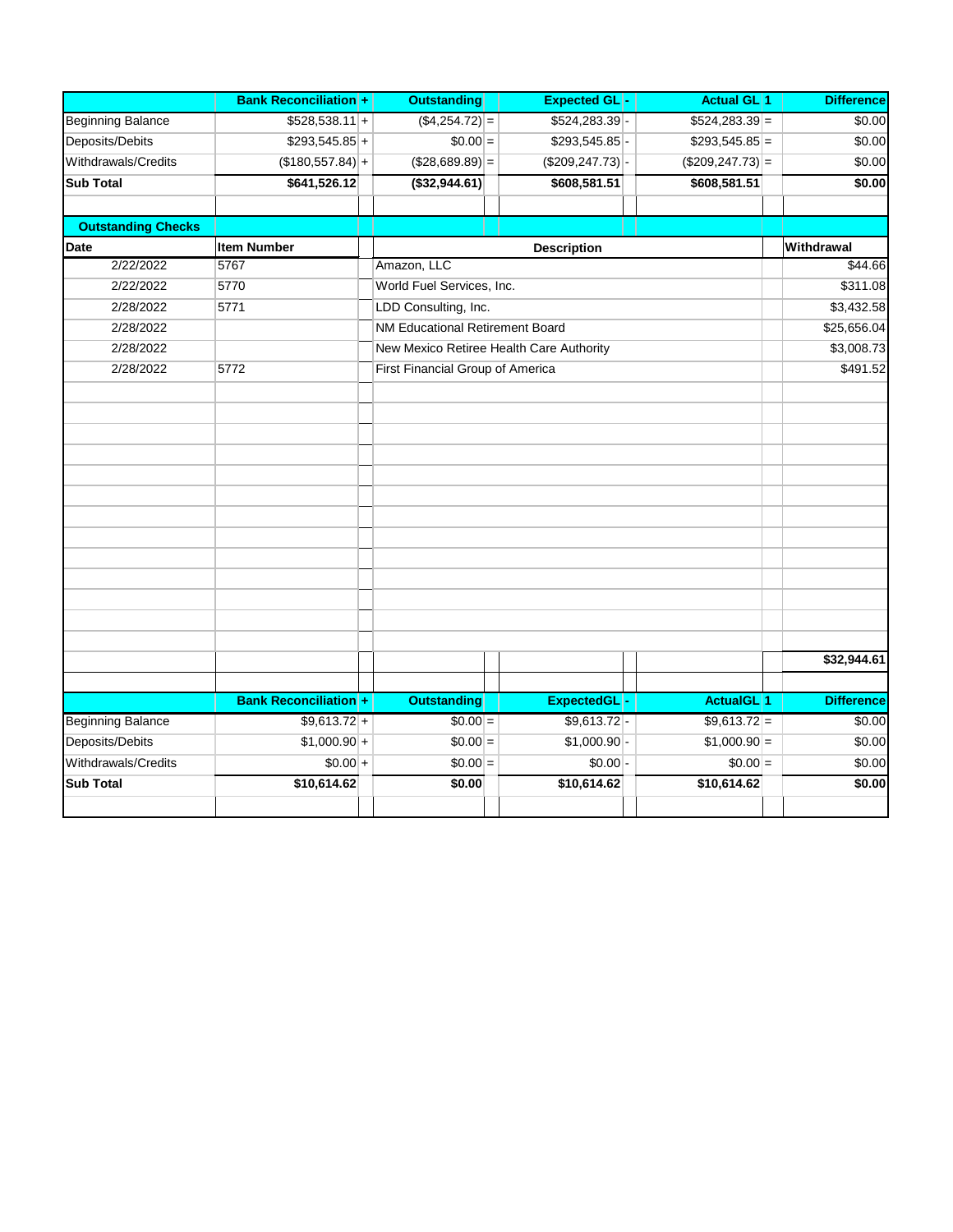|                           | <b>Bank Reconciliation +</b> | <b>Outstanding</b>                       | <b>Expected GL-</b>    | <b>Actual GL</b> 1           | <b>Difference</b> |
|---------------------------|------------------------------|------------------------------------------|------------------------|------------------------------|-------------------|
| <b>Beginning Balance</b>  | $$528,538.11$ +              | $($4,254.72)$ =                          | $$524,283.39$ -        | $$524,283.39$ =              | \$0.00            |
| Deposits/Debits           | $$293,545.85$ +              | $$0.00 =$                                | $$293,545.85$ -        | $$293,545.85$ =              | \$0.00            |
| Withdrawals/Credits       | $($ \$180,557.84) +          | $($28,689.89)$ =                         | $($ \$209,247.73 $)$ - | $($209, 247.73)$ =           | \$0.00            |
| <b>Sub Total</b>          | \$641,526.12                 | $($ \$32,944.61)                         | \$608,581.51           | \$608,581.51                 | \$0.00            |
|                           |                              |                                          |                        |                              |                   |
| <b>Outstanding Checks</b> |                              |                                          |                        |                              |                   |
| Date                      | <b>Item Number</b>           |                                          | <b>Description</b>     |                              | Withdrawal        |
| 2/22/2022                 | 5767                         | Amazon, LLC                              |                        |                              | \$44.66           |
| 2/22/2022                 | 5770                         | World Fuel Services, Inc.                |                        |                              | \$311.08          |
| 2/28/2022                 | 5771                         | LDD Consulting, Inc.                     |                        |                              | \$3,432.58        |
| 2/28/2022                 |                              | NM Educational Retirement Board          |                        |                              | \$25,656.04       |
| 2/28/2022                 |                              | New Mexico Retiree Health Care Authority |                        |                              | \$3,008.73        |
| 2/28/2022                 | 5772                         | First Financial Group of America         |                        |                              | \$491.52          |
|                           |                              |                                          |                        |                              |                   |
|                           |                              |                                          |                        |                              |                   |
|                           |                              |                                          |                        |                              |                   |
|                           |                              |                                          |                        |                              |                   |
|                           |                              |                                          |                        |                              |                   |
|                           |                              |                                          |                        |                              |                   |
|                           |                              |                                          |                        |                              |                   |
|                           |                              |                                          |                        |                              |                   |
|                           |                              |                                          |                        |                              |                   |
|                           |                              |                                          |                        |                              |                   |
|                           |                              |                                          |                        |                              |                   |
|                           |                              |                                          |                        |                              |                   |
|                           |                              |                                          |                        |                              |                   |
|                           |                              |                                          |                        |                              | \$32,944.61       |
|                           |                              |                                          |                        |                              |                   |
|                           | <b>Bank Reconciliation +</b> | <b>Outstanding</b>                       | <b>ExpectedGL</b>      | <b>ActualGL</b> <sup>1</sup> | <b>Difference</b> |
| <b>Beginning Balance</b>  | $$9,613.72+$                 | $$0.00 =$                                | $$9,613.72$ -          | $$9,613.72 =$                | \$0.00            |
| Deposits/Debits           | $$1,000.90 +$                | $$0.00 =$                                | $$1,000.90$ -          | $$1,000.90 =$                | \$0.00            |
| Withdrawals/Credits       | $$0.00 +$                    | $$0.00 =$                                | $$0.00$ -              | $$0.00 =$                    | \$0.00            |
| <b>Sub Total</b>          | \$10,614.62                  | \$0.00                                   | \$10,614.62            | \$10,614.62                  | \$0.00            |
|                           |                              |                                          |                        |                              |                   |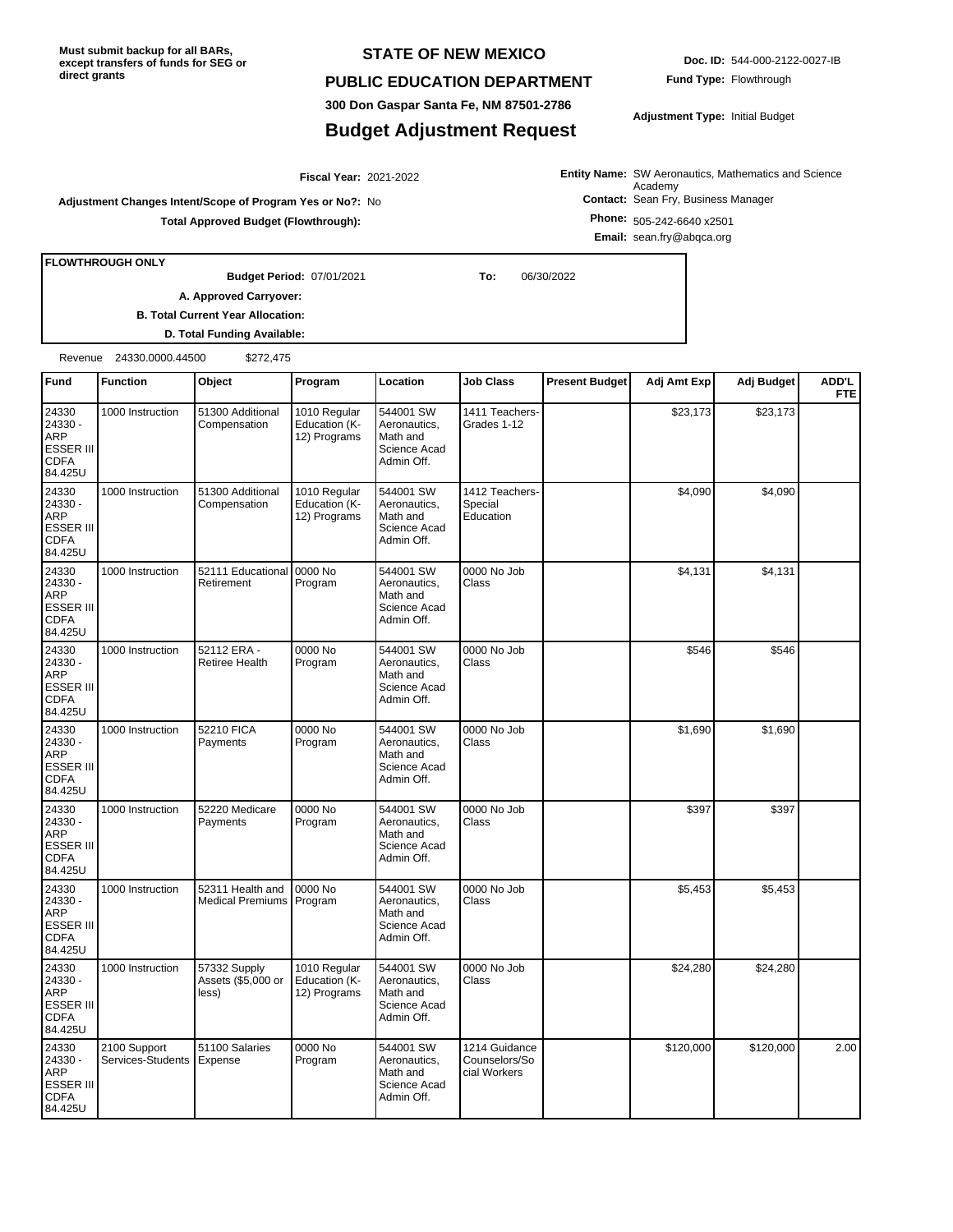**Must submit backup for all BARs, except transfers of funds for SEG or direct grants**

#### **STATE OF NEW MEXICO**

#### **PUBLIC EDUCATION DEPARTMENT**

**300 Don Gaspar Santa Fe, NM 87501-2786**

### **Budget Adjustment Request**

**Doc. ID:** 544-000-2122-0027-IB **Fund Type:** Flowthrough

**Adjustment Type:** Initial Budget

**Entity Name:** SW Aeronautics, Mathematics and Science **Contact:** Sean Fry, Business Manager Academy

**Adjustment Changes Intent/Scope of Program Yes or No?:** No **Total Approved Budget (Flowthrough):**

**Phone:** 505-242-6640 x2501 **Email:** sean.fry@abqca.org

**FLOWTHROUGH ONLY**

07/01/2021 **To:** 06/30/2022 **Budget Period:**

2021-2022 **Fiscal Year:**

**B. Total Current Year Allocation:**

**A. Approved Carryover:** 

**D. Total Funding Available:**

Revenue 24330.0000.44500 \$272,475

| Fund                                                                  | <b>Function</b>                   | Object                                      | Program                                       | Location                                                            | <b>Job Class</b>                               | <b>Present Budget</b> | Adj Amt Exp | Adj Budget | ADD'L<br><b>FTE</b> |
|-----------------------------------------------------------------------|-----------------------------------|---------------------------------------------|-----------------------------------------------|---------------------------------------------------------------------|------------------------------------------------|-----------------------|-------------|------------|---------------------|
| 24330<br>24330 -<br>ARP<br><b>ESSER III</b><br><b>CDFA</b><br>84.425U | 1000 Instruction                  | 51300 Additional<br>Compensation            | 1010 Regular<br>Education (K-<br>12) Programs | 544001 SW<br>Aeronautics,<br>Math and<br>Science Acad<br>Admin Off. | 1411 Teachers-<br>Grades 1-12                  |                       | \$23,173    | \$23,173   |                     |
| 24330<br>24330 -<br>ARP<br><b>ESSER III</b><br><b>CDFA</b><br>84.425U | 1000 Instruction                  | 51300 Additional<br>Compensation            | 1010 Regular<br>Education (K-<br>12) Programs | 544001 SW<br>Aeronautics,<br>Math and<br>Science Acad<br>Admin Off. | 1412 Teachers-<br>Special<br>Education         |                       | \$4,090     | \$4,090    |                     |
| 24330<br>24330 -<br>ARP<br>ESSER III<br><b>CDFA</b><br>84.425U        | 1000 Instruction                  | 52111 Educational<br>Retirement             | 0000 No<br>Program                            | 544001 SW<br>Aeronautics,<br>Math and<br>Science Acad<br>Admin Off. | 0000 No Job<br>Class                           |                       | \$4,131     | \$4,131    |                     |
| 24330<br>24330 -<br>ARP<br>ESSER III<br><b>CDFA</b><br>84.425U        | 1000 Instruction                  | 52112 ERA -<br>Retiree Health               | 0000 No<br>Program                            | 544001 SW<br>Aeronautics,<br>Math and<br>Science Acad<br>Admin Off. | 0000 No Job<br>Class                           |                       | \$546       | \$546      |                     |
| 24330<br>24330 -<br>ARP<br>ESSER III<br><b>CDFA</b><br>84.425U        | 1000 Instruction                  | 52210 FICA<br>Payments                      | 0000 No<br>Program                            | 544001 SW<br>Aeronautics,<br>Math and<br>Science Acad<br>Admin Off. | 0000 No Job<br>Class                           |                       | \$1,690     | \$1,690    |                     |
| 24330<br>24330 -<br>ARP<br>ESSER III<br><b>CDFA</b><br>84.425U        | 1000 Instruction                  | 52220 Medicare<br>Payments                  | 0000 No<br>Program                            | 544001 SW<br>Aeronautics,<br>Math and<br>Science Acad<br>Admin Off. | 0000 No Job<br>Class                           |                       | \$397       | \$397      |                     |
| 24330<br>24330 -<br>ARP<br>ESSER III<br><b>CDFA</b><br>84.425U        | 1000 Instruction                  | 52311 Health and<br><b>Medical Premiums</b> | 0000 No<br>Program                            | 544001 SW<br>Aeronautics,<br>Math and<br>Science Acad<br>Admin Off. | 0000 No Job<br>Class                           |                       | \$5,453     | \$5,453    |                     |
| 24330<br>24330 -<br>ARP<br><b>ESSER III</b><br><b>CDFA</b><br>84.425U | 1000 Instruction                  | 57332 Supply<br>Assets (\$5,000 or<br>less) | 1010 Regular<br>Education (K-<br>12) Programs | 544001 SW<br>Aeronautics,<br>Math and<br>Science Acad<br>Admin Off. | 0000 No Job<br>Class                           |                       | \$24,280    | \$24,280   |                     |
| 24330<br>24330 -<br>ARP<br>ESSER III<br><b>CDFA</b><br>84.425U        | 2100 Support<br>Services-Students | 51100 Salaries<br>Expense                   | 0000 No<br>Program                            | 544001 SW<br>Aeronautics,<br>Math and<br>Science Acad<br>Admin Off. | 1214 Guidance<br>Counselors/So<br>cial Workers |                       | \$120,000   | \$120,000  | 2.00                |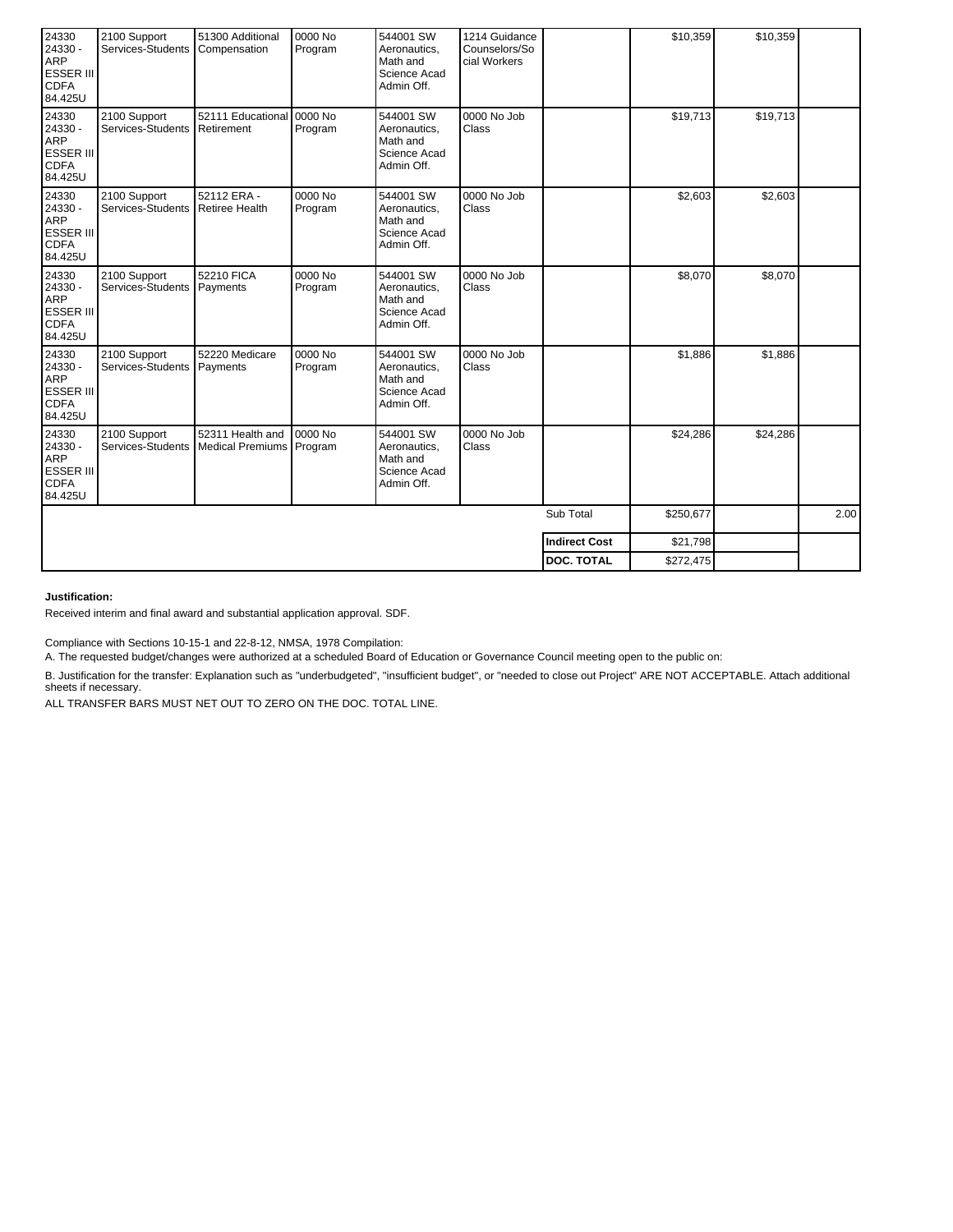| 24330<br>24330 -<br><b>ARP</b><br><b>ESSER III</b><br><b>CDFA</b><br>84.425U | 2100 Support<br>Services-Students                | 51300 Additional<br>Compensation             | 0000 No<br>Program   | 544001 SW<br>Aeronautics,<br>Math and<br>Science Acad<br>Admin Off. | 1214 Guidance<br>Counselors/So<br>cial Workers |           | \$10,359  | \$10,359 |      |
|------------------------------------------------------------------------------|--------------------------------------------------|----------------------------------------------|----------------------|---------------------------------------------------------------------|------------------------------------------------|-----------|-----------|----------|------|
| 24330<br>24330 -<br><b>ARP</b><br><b>ESSER III</b><br><b>CDFA</b><br>84.425U | 2100 Support<br>Services-Students                | 52111 Educational 0000 No<br>Retirement      | Program              | 544001 SW<br>Aeronautics,<br>Math and<br>Science Acad<br>Admin Off. | 0000 No Job<br>Class                           |           | \$19,713  | \$19,713 |      |
| 24330<br>24330 -<br><b>ARP</b><br><b>ESSER III</b><br><b>CDFA</b><br>84.425U | 2100 Support<br>Services-Students Retiree Health | 52112 ERA -                                  | 0000 No<br>Program   | 544001 SW<br>Aeronautics.<br>Math and<br>Science Acad<br>Admin Off. | 0000 No Job<br>Class                           |           | \$2,603   | \$2,603  |      |
| 24330<br>24330 -<br>ARP<br><b>ESSER III</b><br><b>CDFA</b><br>84.425U        | 2100 Support<br>Services-Students                | 52210 FICA<br>Payments                       | 0000 No<br>Program   | 544001 SW<br>Aeronautics,<br>Math and<br>Science Acad<br>Admin Off. | 0000 No Job<br>Class                           |           | \$8,070   | \$8,070  |      |
| 24330<br>24330 -<br><b>ARP</b><br><b>ESSER III</b><br><b>CDFA</b><br>84.425U | 2100 Support<br>Services-Students                | 52220 Medicare<br>Payments                   | 0000 No<br>Program   | 544001 SW<br>Aeronautics,<br>Math and<br>Science Acad<br>Admin Off. | 0000 No Job<br>Class                           |           | \$1,886   | \$1,886  |      |
| 24330<br>24330 -<br>ARP<br><b>ESSER III</b><br><b>CDFA</b><br>84.425U        | 2100 Support<br>Services-Students                | 52311 Health and<br>Medical Premiums Program | 0000 No              | 544001 SW<br>Aeronautics,<br>Math and<br>Science Acad<br>Admin Off. | 0000 No Job<br>Class                           |           | \$24,286  | \$24,286 |      |
|                                                                              |                                                  |                                              |                      |                                                                     |                                                | Sub Total | \$250,677 |          | 2.00 |
|                                                                              |                                                  |                                              | <b>Indirect Cost</b> | \$21,798                                                            |                                                |           |           |          |      |
|                                                                              |                                                  |                                              | <b>DOC. TOTAL</b>    | \$272,475                                                           |                                                |           |           |          |      |

#### **Justification:**

Received interim and final award and substantial application approval. SDF.

Compliance with Sections 10-15-1 and 22-8-12, NMSA, 1978 Compilation:

A. The requested budget/changes were authorized at a scheduled Board of Education or Governance Council meeting open to the public on:

B. Justification for the transfer: Explanation such as "underbudgeted", "insufficient budget", or "needed to close out Project" ARE NOT ACCEPTABLE. Attach additional sheets if necessary.

ALL TRANSFER BARS MUST NET OUT TO ZERO ON THE DOC. TOTAL LINE.